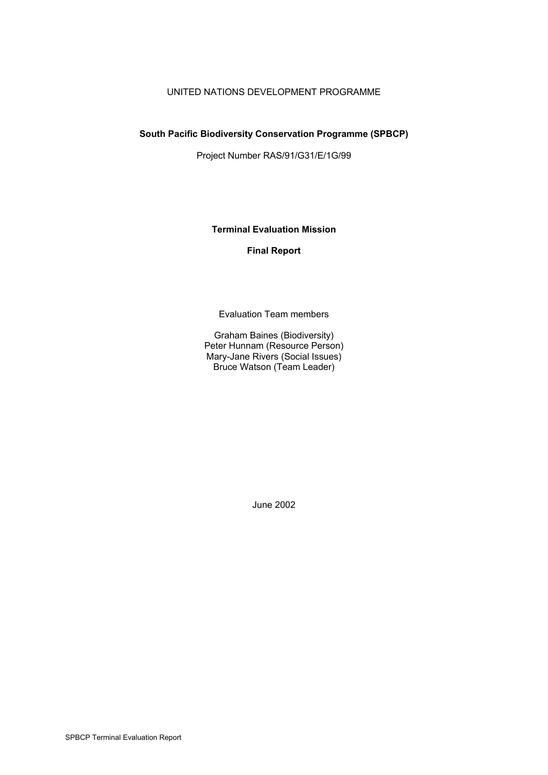### UNITED NATIONS DEVELOPMENT PROGRAMME

#### **South Pacific Biodiversity Conservation Programme (SPBCP)**

Project Number RAS/91/G31/E/1G/99

**Terminal Evaluation Mission**

#### **Final Report**

Evaluation Team members

Graham Baines (Biodiversity) Peter Hunnam (Resource Person) Mary-Jane Rivers (Social Issues) Bruce Watson (Team Leader)

June 2002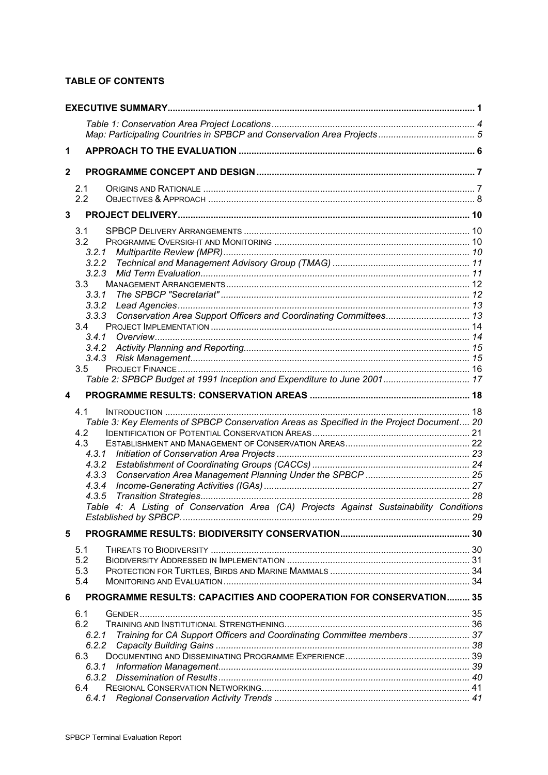### **TABLE OF CONTENTS**

| 1            |                                                                                           |  |
|--------------|-------------------------------------------------------------------------------------------|--|
| $\mathbf{2}$ |                                                                                           |  |
|              | 2.1                                                                                       |  |
|              | 2.2                                                                                       |  |
| $\mathbf{3}$ |                                                                                           |  |
|              | 3.1                                                                                       |  |
|              | 3.2                                                                                       |  |
|              | 3.2.1<br>3.2.2                                                                            |  |
|              | 3.2.3                                                                                     |  |
|              | 3.3                                                                                       |  |
|              | 3.3.1                                                                                     |  |
|              |                                                                                           |  |
|              | 3.3.3 Conservation Area Support Officers and Coordinating Committees 13                   |  |
|              | 3.4<br>3.4.1                                                                              |  |
|              |                                                                                           |  |
|              |                                                                                           |  |
|              | 3.5                                                                                       |  |
|              | Table 2: SPBCP Budget at 1991 Inception and Expenditure to June 2001 17                   |  |
| 4            |                                                                                           |  |
|              | 4.1                                                                                       |  |
|              | Table 3: Key Elements of SPBCP Conservation Areas as Specified in the Project Document 20 |  |
|              | 4.2                                                                                       |  |
|              | 4.3                                                                                       |  |
|              |                                                                                           |  |
|              | 4.3.2<br>4.3.3                                                                            |  |
|              | 4.3.4                                                                                     |  |
|              | 4.3.5                                                                                     |  |
|              | Table 4: A Listing of Conservation Area (CA) Projects Against Sustainability Conditions   |  |
|              |                                                                                           |  |
| 5            |                                                                                           |  |
|              | 5.1                                                                                       |  |
|              | 5.2                                                                                       |  |
|              | 5.3<br>5.4                                                                                |  |
|              |                                                                                           |  |
| 6            | <b>PROGRAMME RESULTS: CAPACITIES AND COOPERATION FOR CONSERVATION 35</b>                  |  |
|              | 6.1<br>6.2                                                                                |  |
|              | Training for CA Support Officers and Coordinating Committee members 37<br>6.2.1           |  |
|              |                                                                                           |  |
|              | 6.3                                                                                       |  |
|              | 6.3.1                                                                                     |  |
|              | 6.3.2                                                                                     |  |
|              | 6.4                                                                                       |  |
|              | 6.4.1                                                                                     |  |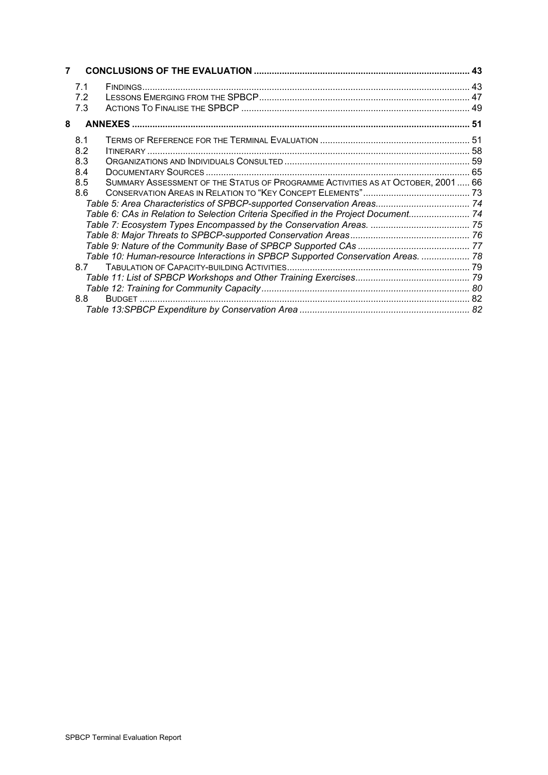| 7 |                                               |                                                                                                                                                                                                                                                            |  |
|---|-----------------------------------------------|------------------------------------------------------------------------------------------------------------------------------------------------------------------------------------------------------------------------------------------------------------|--|
|   | 7.1<br>7.2<br>7.3                             |                                                                                                                                                                                                                                                            |  |
| 8 |                                               |                                                                                                                                                                                                                                                            |  |
|   | 8.1<br>8.2<br>8.3<br>8.4<br>8.5<br>8.6<br>8.8 | SUMMARY ASSESSMENT OF THE STATUS OF PROGRAMME ACTIVITIES AS AT OCTOBER, 2001 66<br>Table 6: CAs in Relation to Selection Criteria Specified in the Project Document 74<br>Table 10: Human-resource Interactions in SPBCP Supported Conservation Areas.  78 |  |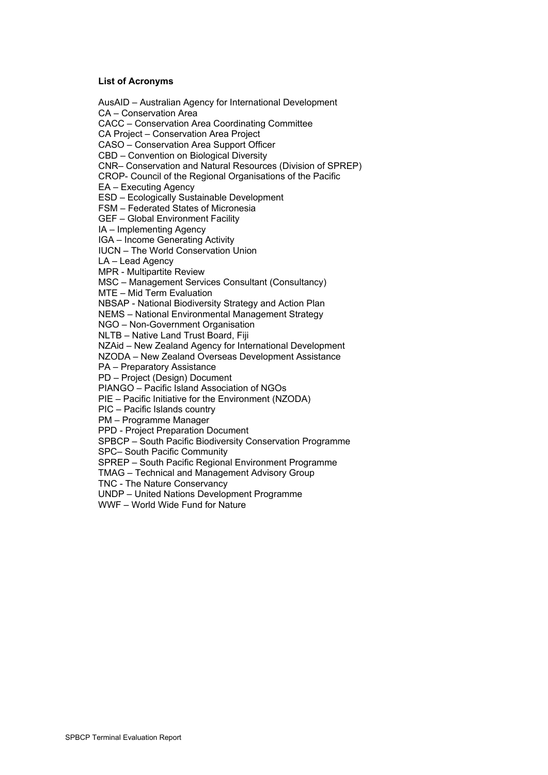#### **List of Acronyms**

AusAID – Australian Agency for International Development CA – Conservation Area CACC – Conservation Area Coordinating Committee CA Project – Conservation Area Project CASO – Conservation Area Support Officer CBD – Convention on Biological Diversity CNR– Conservation and Natural Resources (Division of SPREP) CROP- Council of the Regional Organisations of the Pacific EA – Executing Agency ESD – Ecologically Sustainable Development FSM – Federated States of Micronesia GEF – Global Environment Facility IA – Implementing Agency IGA – Income Generating Activity IUCN – The World Conservation Union LA – Lead Agency MPR - Multipartite Review MSC – Management Services Consultant (Consultancy) MTE – Mid Term Evaluation NBSAP - National Biodiversity Strategy and Action Plan NEMS – National Environmental Management Strategy NGO – Non-Government Organisation NLTB – Native Land Trust Board, Fiji NZAid – New Zealand Agency for International Development NZODA – New Zealand Overseas Development Assistance PA – Preparatory Assistance PD – Project (Design) Document PIANGO – Pacific Island Association of NGOs PIE – Pacific Initiative for the Environment (NZODA) PIC – Pacific Islands country PM – Programme Manager PPD - Project Preparation Document SPBCP – South Pacific Biodiversity Conservation Programme SPC– South Pacific Community SPREP – South Pacific Regional Environment Programme TMAG – Technical and Management Advisory Group TNC - The Nature Conservancy UNDP – United Nations Development Programme WWF – World Wide Fund for Nature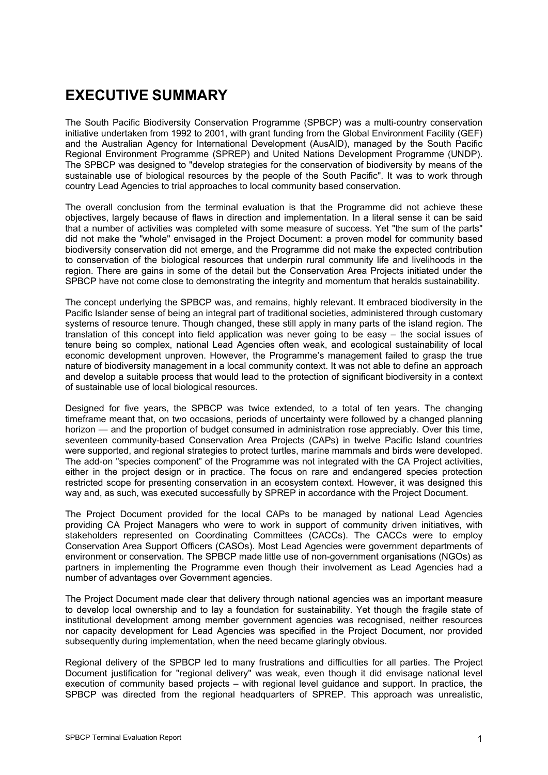# **EXECUTIVE SUMMARY**

The South Pacific Biodiversity Conservation Programme (SPBCP) was a multi-country conservation initiative undertaken from 1992 to 2001, with grant funding from the Global Environment Facility (GEF) and the Australian Agency for International Development (AusAID), managed by the South Pacific Regional Environment Programme (SPREP) and United Nations Development Programme (UNDP). The SPBCP was designed to "develop strategies for the conservation of biodiversity by means of the sustainable use of biological resources by the people of the South Pacific". It was to work through country Lead Agencies to trial approaches to local community based conservation.

The overall conclusion from the terminal evaluation is that the Programme did not achieve these objectives, largely because of flaws in direction and implementation. In a literal sense it can be said that a number of activities was completed with some measure of success. Yet "the sum of the parts" did not make the "whole" envisaged in the Project Document: a proven model for community based biodiversity conservation did not emerge, and the Programme did not make the expected contribution to conservation of the biological resources that underpin rural community life and livelihoods in the region. There are gains in some of the detail but the Conservation Area Projects initiated under the SPBCP have not come close to demonstrating the integrity and momentum that heralds sustainability.

The concept underlying the SPBCP was, and remains, highly relevant. It embraced biodiversity in the Pacific Islander sense of being an integral part of traditional societies, administered through customary systems of resource tenure. Though changed, these still apply in many parts of the island region. The translation of this concept into field application was never going to be easy – the social issues of tenure being so complex, national Lead Agencies often weak, and ecological sustainability of local economic development unproven. However, the Programme's management failed to grasp the true nature of biodiversity management in a local community context. It was not able to define an approach and develop a suitable process that would lead to the protection of significant biodiversity in a context of sustainable use of local biological resources.

Designed for five years, the SPBCP was twice extended, to a total of ten years. The changing timeframe meant that, on two occasions, periods of uncertainty were followed by a changed planning horizon — and the proportion of budget consumed in administration rose appreciably. Over this time, seventeen community-based Conservation Area Projects (CAPs) in twelve Pacific Island countries were supported, and regional strategies to protect turtles, marine mammals and birds were developed. The add-on "species component" of the Programme was not integrated with the CA Project activities, either in the project design or in practice. The focus on rare and endangered species protection restricted scope for presenting conservation in an ecosystem context. However, it was designed this way and, as such, was executed successfully by SPREP in accordance with the Project Document.

The Project Document provided for the local CAPs to be managed by national Lead Agencies providing CA Project Managers who were to work in support of community driven initiatives, with stakeholders represented on Coordinating Committees (CACCs). The CACCs were to employ Conservation Area Support Officers (CASOs). Most Lead Agencies were government departments of environment or conservation. The SPBCP made little use of non-government organisations (NGOs) as partners in implementing the Programme even though their involvement as Lead Agencies had a number of advantages over Government agencies.

The Project Document made clear that delivery through national agencies was an important measure to develop local ownership and to lay a foundation for sustainability. Yet though the fragile state of institutional development among member government agencies was recognised, neither resources nor capacity development for Lead Agencies was specified in the Project Document, nor provided subsequently during implementation, when the need became glaringly obvious.

Regional delivery of the SPBCP led to many frustrations and difficulties for all parties. The Project Document justification for "regional delivery" was weak, even though it did envisage national level execution of community based projects – with regional level guidance and support. In practice, the SPBCP was directed from the regional headquarters of SPREP. This approach was unrealistic,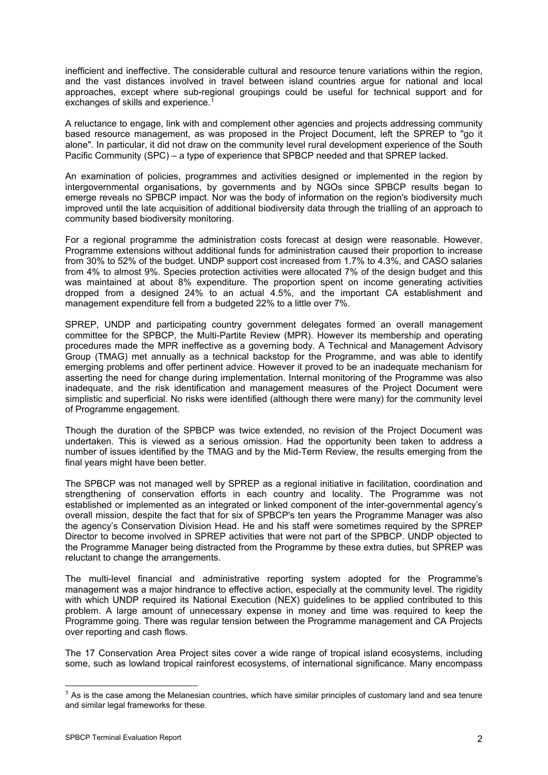inefficient and ineffective. The considerable cultural and resource tenure variations within the region, and the vast distances involved in travel between island countries argue for national and local approaches, except where sub-regional groupings could be useful for technical support and for exchanges of skills and experience.<sup>1</sup>

A reluctance to engage, link with and complement other agencies and projects addressing community based resource management, as was proposed in the Project Document, left the SPREP to "go it alone". In particular, it did not draw on the community level rural development experience of the South Pacific Community (SPC) – a type of experience that SPBCP needed and that SPREP lacked.

An examination of policies, programmes and activities designed or implemented in the region by intergovernmental organisations, by governments and by NGOs since SPBCP results began to emerge reveals no SPBCP impact. Nor was the body of information on the region's biodiversity much improved until the late acquisition of additional biodiversity data through the trialling of an approach to community based biodiversity monitoring.

For a regional programme the administration costs forecast at design were reasonable. However, Programme extensions without additional funds for administration caused their proportion to increase from 30% to 52% of the budget. UNDP support cost increased from 1.7% to 4.3%, and CASO salaries from 4% to almost 9%. Species protection activities were allocated 7% of the design budget and this was maintained at about 8% expenditure. The proportion spent on income generating activities dropped from a designed 24% to an actual 4.5%, and the important CA establishment and management expenditure fell from a budgeted 22% to a little over 7%.

SPREP, UNDP and participating country government delegates formed an overall management committee for the SPBCP, the Multi-Partite Review (MPR). However its membership and operating procedures made the MPR ineffective as a governing body. A Technical and Management Advisory Group (TMAG) met annually as a technical backstop for the Programme, and was able to identify emerging problems and offer pertinent advice. However it proved to be an inadequate mechanism for asserting the need for change during implementation. Internal monitoring of the Programme was also inadequate, and the risk identification and management measures of the Project Document were simplistic and superficial. No risks were identified (although there were many) for the community level of Programme engagement.

Though the duration of the SPBCP was twice extended, no revision of the Project Document was undertaken. This is viewed as a serious omission. Had the opportunity been taken to address a number of issues identified by the TMAG and by the Mid-Term Review, the results emerging from the final years might have been better.

The SPBCP was not managed well by SPREP as a regional initiative in facilitation, coordination and strengthening of conservation efforts in each country and locality. The Programme was not established or implemented as an integrated or linked component of the inter-governmental agency's overall mission, despite the fact that for six of SPBCP's ten years the Programme Manager was also the agency's Conservation Division Head. He and his staff were sometimes required by the SPREP Director to become involved in SPREP activities that were not part of the SPBCP. UNDP objected to the Programme Manager being distracted from the Programme by these extra duties, but SPREP was reluctant to change the arrangements.

The multi-level financial and administrative reporting system adopted for the Programme's management was a major hindrance to effective action, especially at the community level. The rigidity with which UNDP required its National Execution (NEX) guidelines to be applied contributed to this problem. A large amount of unnecessary expense in money and time was required to keep the Programme going. There was regular tension between the Programme management and CA Projects over reporting and cash flows.

The 17 Conservation Area Project sites cover a wide range of tropical island ecosystems, including some, such as lowland tropical rainforest ecosystems, of international significance. Many encompass

<span id="page-5-0"></span> $1$  As is the case among the Melanesian countries, which have similar principles of customary land and sea tenure and similar legal frameworks for these.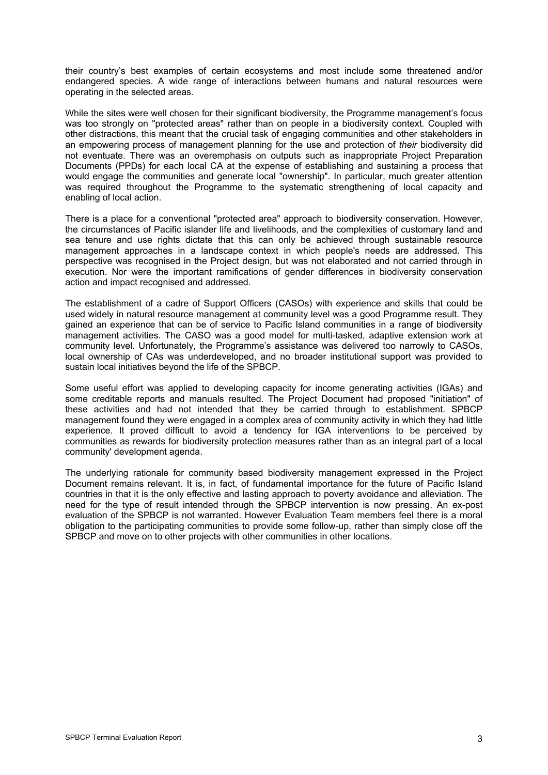their country's best examples of certain ecosystems and most include some threatened and/or endangered species. A wide range of interactions between humans and natural resources were operating in the selected areas.

While the sites were well chosen for their significant biodiversity, the Programme management's focus was too strongly on "protected areas" rather than on people in a biodiversity context. Coupled with other distractions, this meant that the crucial task of engaging communities and other stakeholders in an empowering process of management planning for the use and protection of *their* biodiversity did not eventuate. There was an overemphasis on outputs such as inappropriate Project Preparation Documents (PPDs) for each local CA at the expense of establishing and sustaining a process that would engage the communities and generate local "ownership". In particular, much greater attention was required throughout the Programme to the systematic strengthening of local capacity and enabling of local action.

There is a place for a conventional "protected area" approach to biodiversity conservation. However, the circumstances of Pacific islander life and livelihoods, and the complexities of customary land and sea tenure and use rights dictate that this can only be achieved through sustainable resource management approaches in a landscape context in which people's needs are addressed. This perspective was recognised in the Project design, but was not elaborated and not carried through in execution. Nor were the important ramifications of gender differences in biodiversity conservation action and impact recognised and addressed.

The establishment of a cadre of Support Officers (CASOs) with experience and skills that could be used widely in natural resource management at community level was a good Programme result. They gained an experience that can be of service to Pacific Island communities in a range of biodiversity management activities. The CASO was a good model for multi-tasked, adaptive extension work at community level. Unfortunately, the Programme's assistance was delivered too narrowly to CASOs, local ownership of CAs was underdeveloped, and no broader institutional support was provided to sustain local initiatives beyond the life of the SPBCP.

Some useful effort was applied to developing capacity for income generating activities (IGAs) and some creditable reports and manuals resulted. The Project Document had proposed "initiation" of these activities and had not intended that they be carried through to establishment. SPBCP management found they were engaged in a complex area of community activity in which they had little experience. It proved difficult to avoid a tendency for IGA interventions to be perceived by communities as rewards for biodiversity protection measures rather than as an integral part of a local community' development agenda.

The underlying rationale for community based biodiversity management expressed in the Project Document remains relevant. It is, in fact, of fundamental importance for the future of Pacific Island countries in that it is the only effective and lasting approach to poverty avoidance and alleviation. The need for the type of result intended through the SPBCP intervention is now pressing. An ex-post evaluation of the SPBCP is not warranted. However Evaluation Team members feel there is a moral obligation to the participating communities to provide some follow-up, rather than simply close off the SPBCP and move on to other projects with other communities in other locations.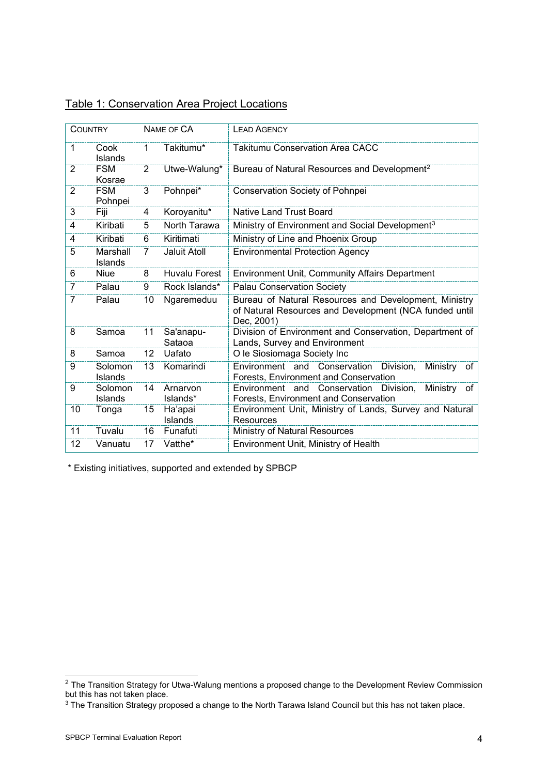|                | <b>COUNTRY</b>        |                | NAME OF CA           | <b>LEAD AGENCY</b>                                                                                                            |  |  |  |  |  |  |  |  |  |
|----------------|-----------------------|----------------|----------------------|-------------------------------------------------------------------------------------------------------------------------------|--|--|--|--|--|--|--|--|--|
| 1              | Cook<br>Islands       | $\mathbf{1}$   | Takitumu*            | <b>Takitumu Conservation Area CACC</b>                                                                                        |  |  |  |  |  |  |  |  |  |
| $\overline{2}$ | <b>FSM</b><br>Kosrae  | $\overline{2}$ | Utwe-Walung*         | Bureau of Natural Resources and Development <sup>2</sup>                                                                      |  |  |  |  |  |  |  |  |  |
| $\overline{2}$ | <b>FSM</b><br>Pohnpei | 3              | Pohnpei*             | Conservation Society of Pohnpei                                                                                               |  |  |  |  |  |  |  |  |  |
| 3              | Fiji                  | 4              | Koroyanitu*          | <b>Native Land Trust Board</b>                                                                                                |  |  |  |  |  |  |  |  |  |
| 4              | Kiribati              | 5              | North Tarawa         | Ministry of Environment and Social Development <sup>3</sup>                                                                   |  |  |  |  |  |  |  |  |  |
| 4              | Kiribati              | 6              | Kiritimati           | Ministry of Line and Phoenix Group                                                                                            |  |  |  |  |  |  |  |  |  |
| 5              | Marshall<br>Islands   | 7              | Jaluit Atoll         | <b>Environmental Protection Agency</b>                                                                                        |  |  |  |  |  |  |  |  |  |
| 6              | Niue                  | 8              | <b>Huvalu Forest</b> | <b>Environment Unit, Community Affairs Department</b>                                                                         |  |  |  |  |  |  |  |  |  |
| $\overline{7}$ | Palau                 | 9              | Rock Islands*        | <b>Palau Conservation Society</b>                                                                                             |  |  |  |  |  |  |  |  |  |
| $\overline{7}$ | Palau                 | 10             | Ngaremeduu           | Bureau of Natural Resources and Development, Ministry<br>of Natural Resources and Development (NCA funded until<br>Dec, 2001) |  |  |  |  |  |  |  |  |  |
| 8              | Samoa                 | 11             | Sa'anapu-<br>Sataoa  | Division of Environment and Conservation, Department of<br>Lands, Survey and Environment                                      |  |  |  |  |  |  |  |  |  |
| 8              | Samoa                 | 12             | Uafato               | O le Siosiomaga Society Inc                                                                                                   |  |  |  |  |  |  |  |  |  |
| 9              | Solomon<br>Islands    | 13             | Komarindi            | Environment and Conservation Division,<br>Ministry<br>of<br><b>Forests, Environment and Conservation</b>                      |  |  |  |  |  |  |  |  |  |
| 9              | Solomon<br>Islands    | 14             | Arnarvon<br>Islands* | Environment and Conservation Division,<br>Ministry of<br>Forests, Environment and Conservation                                |  |  |  |  |  |  |  |  |  |
| 10             | Tonga                 | 15             | Ha'apai<br>Islands   | Environment Unit, Ministry of Lands, Survey and Natural<br>Resources                                                          |  |  |  |  |  |  |  |  |  |
| 11             | Tuvalu                | 16             | Funafuti             | Ministry of Natural Resources                                                                                                 |  |  |  |  |  |  |  |  |  |
| 12             | Vanuatu               | 17             | Vatthe*              | Environment Unit, Ministry of Health                                                                                          |  |  |  |  |  |  |  |  |  |

|  | <b>Table 1: Conservation Area Project Locations</b> |
|--|-----------------------------------------------------|
|  |                                                     |

\* Existing initiatives, supported and extended by SPBCP

<span id="page-7-0"></span> $^2$  The Transition Strategy for Utwa-Walung mentions a proposed change to the Development Review Commission but this has not taken place.

<span id="page-7-1"></span> $^3$  The Transition Strategy proposed a change to the North Tarawa Island Council but this has not taken place.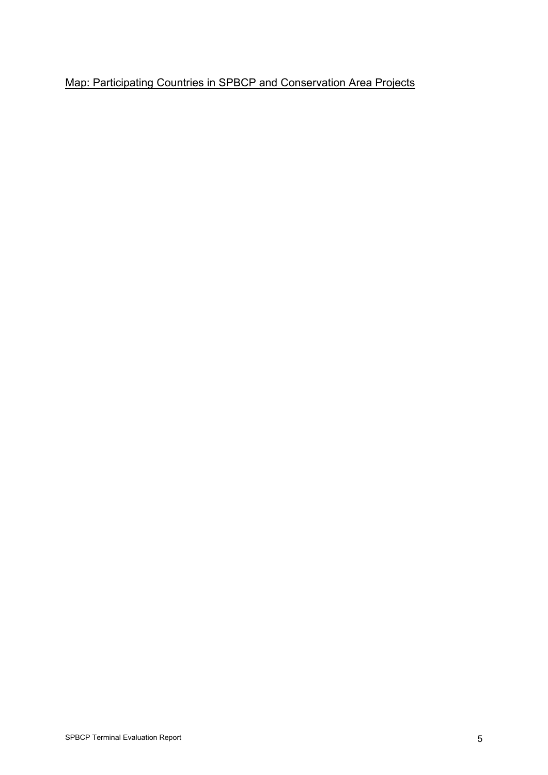# Map: Participating Countries in SPBCP and Conservation Area Projects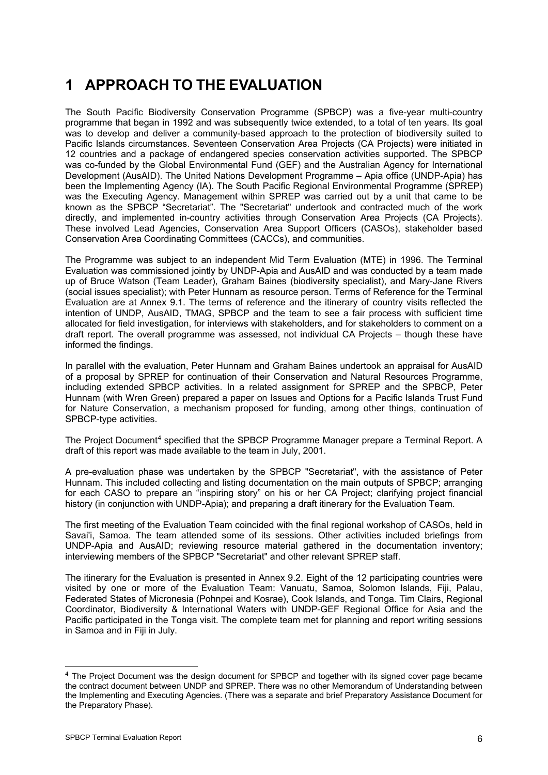# **1 APPROACH TO THE EVALUATION**

The South Pacific Biodiversity Conservation Programme (SPBCP) was a five-year multi-country programme that began in 1992 and was subsequently twice extended, to a total of ten years. Its goal was to develop and deliver a community-based approach to the protection of biodiversity suited to Pacific Islands circumstances. Seventeen Conservation Area Projects (CA Projects) were initiated in 12 countries and a package of endangered species conservation activities supported. The SPBCP was co-funded by the Global Environmental Fund (GEF) and the Australian Agency for International Development (AusAID). The United Nations Development Programme – Apia office (UNDP-Apia) has been the Implementing Agency (IA). The South Pacific Regional Environmental Programme (SPREP) was the Executing Agency. Management within SPREP was carried out by a unit that came to be known as the SPBCP "Secretariat". The "Secretariat" undertook and contracted much of the work directly, and implemented in-country activities through Conservation Area Projects (CA Projects). These involved Lead Agencies, Conservation Area Support Officers (CASOs), stakeholder based Conservation Area Coordinating Committees (CACCs), and communities.

The Programme was subject to an independent Mid Term Evaluation (MTE) in 1996. The Terminal Evaluation was commissioned jointly by UNDP-Apia and AusAID and was conducted by a team made up of Bruce Watson (Team Leader), Graham Baines (biodiversity specialist), and Mary-Jane Rivers (social issues specialist); with Peter Hunnam as resource person. Terms of Reference for the Terminal Evaluation are at Annex 9.1. The terms of reference and the itinerary of country visits reflected the intention of UNDP, AusAID, TMAG, SPBCP and the team to see a fair process with sufficient time allocated for field investigation, for interviews with stakeholders, and for stakeholders to comment on a draft report. The overall programme was assessed, not individual CA Projects – though these have informed the findings.

In parallel with the evaluation, Peter Hunnam and Graham Baines undertook an appraisal for AusAID of a proposal by SPREP for continuation of their Conservation and Natural Resources Programme, including extended SPBCP activities. In a related assignment for SPREP and the SPBCP, Peter Hunnam (with Wren Green) prepared a paper on Issues and Options for a Pacific Islands Trust Fund for Nature Conservation, a mechanism proposed for funding, among other things, continuation of SPBCP-type activities.

The Project Document<sup>[4](#page-9-0)</sup> specified that the SPBCP Programme Manager prepare a Terminal Report. A draft of this report was made available to the team in July, 2001.

A pre-evaluation phase was undertaken by the SPBCP "Secretariat", with the assistance of Peter Hunnam. This included collecting and listing documentation on the main outputs of SPBCP; arranging for each CASO to prepare an "inspiring story" on his or her CA Project; clarifying project financial history (in conjunction with UNDP-Apia); and preparing a draft itinerary for the Evaluation Team.

The first meeting of the Evaluation Team coincided with the final regional workshop of CASOs, held in Savai'i, Samoa. The team attended some of its sessions. Other activities included briefings from UNDP-Apia and AusAID; reviewing resource material gathered in the documentation inventory; interviewing members of the SPBCP "Secretariat" and other relevant SPREP staff.

The itinerary for the Evaluation is presented in Annex 9.2. Eight of the 12 participating countries were visited by one or more of the Evaluation Team: Vanuatu, Samoa, Solomon Islands, Fiji, Palau, Federated States of Micronesia (Pohnpei and Kosrae), Cook Islands, and Tonga. Tim Clairs, Regional Coordinator, Biodiversity & International Waters with UNDP-GEF Regional Office for Asia and the Pacific participated in the Tonga visit. The complete team met for planning and report writing sessions in Samoa and in Fiji in July.

<span id="page-9-0"></span><sup>4</sup> The Project Document was the design document for SPBCP and together with its signed cover page became the contract document between UNDP and SPREP. There was no other Memorandum of Understanding between the Implementing and Executing Agencies. (There was a separate and brief Preparatory Assistance Document for the Preparatory Phase).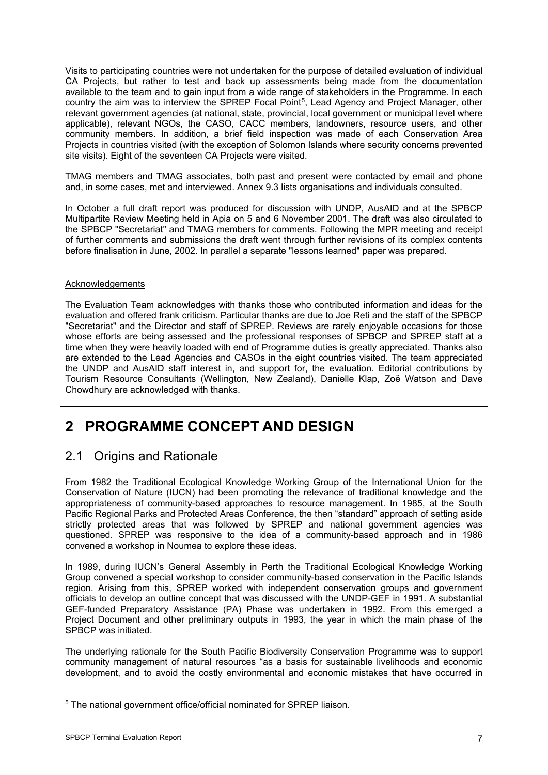Visits to participating countries were not undertaken for the purpose of detailed evaluation of individual CA Projects, but rather to test and back up assessments being made from the documentation available to the team and to gain input from a wide range of stakeholders in the Programme. In each country the aim was to interview the SPREP Focal Point<sup>[5](#page-10-0)</sup>, Lead Agency and Project Manager, other relevant government agencies (at national, state, provincial, local government or municipal level where applicable), relevant NGOs, the CASO, CACC members, landowners, resource users, and other community members. In addition, a brief field inspection was made of each Conservation Area Projects in countries visited (with the exception of Solomon Islands where security concerns prevented site visits). Eight of the seventeen CA Projects were visited.

TMAG members and TMAG associates, both past and present were contacted by email and phone and, in some cases, met and interviewed. Annex 9.3 lists organisations and individuals consulted.

In October a full draft report was produced for discussion with UNDP, AusAID and at the SPBCP Multipartite Review Meeting held in Apia on 5 and 6 November 2001. The draft was also circulated to the SPBCP "Secretariat" and TMAG members for comments. Following the MPR meeting and receipt of further comments and submissions the draft went through further revisions of its complex contents before finalisation in June, 2002. In parallel a separate "lessons learned" paper was prepared.

### Acknowledgements

The Evaluation Team acknowledges with thanks those who contributed information and ideas for the evaluation and offered frank criticism. Particular thanks are due to Joe Reti and the staff of the SPBCP "Secretariat" and the Director and staff of SPREP. Reviews are rarely enjoyable occasions for those whose efforts are being assessed and the professional responses of SPBCP and SPREP staff at a time when they were heavily loaded with end of Programme duties is greatly appreciated. Thanks also are extended to the Lead Agencies and CASOs in the eight countries visited. The team appreciated the UNDP and AusAID staff interest in, and support for, the evaluation. Editorial contributions by Tourism Resource Consultants (Wellington, New Zealand), Danielle Klap, Zoë Watson and Dave Chowdhury are acknowledged with thanks.

# **2 PROGRAMME CONCEPT AND DESIGN**

# 2.1 Origins and Rationale

From 1982 the Traditional Ecological Knowledge Working Group of the International Union for the Conservation of Nature (IUCN) had been promoting the relevance of traditional knowledge and the appropriateness of community-based approaches to resource management. In 1985, at the South Pacific Regional Parks and Protected Areas Conference, the then "standard" approach of setting aside strictly protected areas that was followed by SPREP and national government agencies was questioned. SPREP was responsive to the idea of a community-based approach and in 1986 convened a workshop in Noumea to explore these ideas.

In 1989, during IUCN's General Assembly in Perth the Traditional Ecological Knowledge Working Group convened a special workshop to consider community-based conservation in the Pacific Islands region. Arising from this, SPREP worked with independent conservation groups and government officials to develop an outline concept that was discussed with the UNDP-GEF in 1991. A substantial GEF-funded Preparatory Assistance (PA) Phase was undertaken in 1992. From this emerged a Project Document and other preliminary outputs in 1993, the year in which the main phase of the SPBCP was initiated.

The underlying rationale for the South Pacific Biodiversity Conservation Programme was to support community management of natural resources "as a basis for sustainable livelihoods and economic development, and to avoid the costly environmental and economic mistakes that have occurred in

<span id="page-10-0"></span><sup>-</sup><sup>5</sup> The national government office/official nominated for SPREP liaison.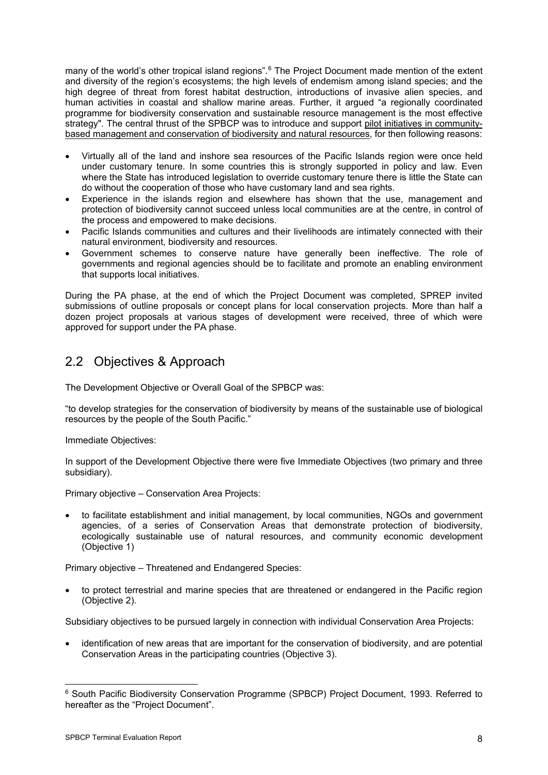many of the world's other tropical island regions".<sup>6</sup> The Project Document made mention of the extent and diversity of the region's ecosystems; the high levels of endemism among island species; and the high degree of threat from forest habitat destruction, introductions of invasive alien species, and human activities in coastal and shallow marine areas. Further, it argued "a regionally coordinated programme for biodiversity conservation and sustainable resource management is the most effective strategy". The central thrust of the SPBCP was to introduce and support pilot initiatives in communitybased management and conservation of biodiversity and natural resources, for then following reasons:

- Virtually all of the land and inshore sea resources of the Pacific Islands region were once held under customary tenure. In some countries this is strongly supported in policy and law. Even where the State has introduced legislation to override customary tenure there is little the State can do without the cooperation of those who have customary land and sea rights.
- Experience in the islands region and elsewhere has shown that the use, management and protection of biodiversity cannot succeed unless local communities are at the centre, in control of the process and empowered to make decisions.
- Pacific Islands communities and cultures and their livelihoods are intimately connected with their natural environment, biodiversity and resources.
- Government schemes to conserve nature have generally been ineffective. The role of governments and regional agencies should be to facilitate and promote an enabling environment that supports local initiatives.

During the PA phase, at the end of which the Project Document was completed, SPREP invited submissions of outline proposals or concept plans for local conservation projects. More than half a dozen project proposals at various stages of development were received, three of which were approved for support under the PA phase.

# 2.2 Objectives & Approach

The Development Objective or Overall Goal of the SPBCP was:

"to develop strategies for the conservation of biodiversity by means of the sustainable use of biological resources by the people of the South Pacific."

Immediate Objectives:

In support of the Development Objective there were five Immediate Objectives (two primary and three subsidiary).

Primary objective – Conservation Area Projects:

• to facilitate establishment and initial management, by local communities, NGOs and government agencies, of a series of Conservation Areas that demonstrate protection of biodiversity, ecologically sustainable use of natural resources, and community economic development (Objective 1)

Primary objective – Threatened and Endangered Species:

• to protect terrestrial and marine species that are threatened or endangered in the Pacific region (Objective 2).

Subsidiary objectives to be pursued largely in connection with individual Conservation Area Projects:

• identification of new areas that are important for the conservation of biodiversity, and are potential Conservation Areas in the participating countries (Objective 3).

<span id="page-11-0"></span><sup>-</sup><sup>6</sup> South Pacific Biodiversity Conservation Programme (SPBCP) Project Document, 1993. Referred to hereafter as the "Project Document".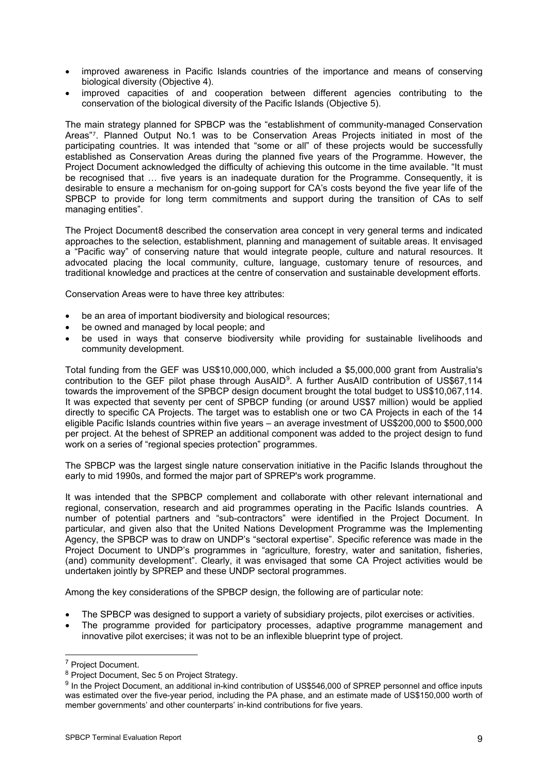- improved awareness in Pacific Islands countries of the importance and means of conserving biological diversity (Objective 4).
- improved capacities of and cooperation between different agencies contributing to the conservation of the biological diversity of the Pacific Islands (Objective 5).

The main strategy planned for SPBCP was the "establishment of community-managed Conservation Areas"[7](#page-12-0). Planned Output No.1 was to be Conservation Areas Projects initiated in most of the participating countries. It was intended that "some or all" of these projects would be successfully established as Conservation Areas during the planned five years of the Programme. However, the Project Document acknowledged the difficulty of achieving this outcome in the time available. "It must be recognised that … five years is an inadequate duration for the Programme. Consequently, it is desirable to ensure a mechanism for on-going support for CA's costs beyond the five year life of the SPBCP to provide for long term commitments and support during the transition of CAs to self managing entities".

The Project Document[8](#page-12-1) described the conservation area concept in very general terms and indicated approaches to the selection, establishment, planning and management of suitable areas. It envisaged a "Pacific way" of conserving nature that would integrate people, culture and natural resources. It advocated placing the local community, culture, language, customary tenure of resources, and traditional knowledge and practices at the centre of conservation and sustainable development efforts.

Conservation Areas were to have three key attributes:

- be an area of important biodiversity and biological resources;
- be owned and managed by local people; and
- be used in ways that conserve biodiversity while providing for sustainable livelihoods and community development.

Total funding from the GEF was US\$10,000,000, which included a \$5,000,000 grant from Australia's contribution to the GEF pilot phase through AusAID<sup>9</sup>. A further AusAID contribution of US\$67,114 towards the improvement of the SPBCP design document brought the total budget to US\$10,067,114. It was expected that seventy per cent of SPBCP funding (or around US\$7 million) would be applied directly to specific CA Projects. The target was to establish one or two CA Projects in each of the 14 eligible Pacific Islands countries within five years – an average investment of US\$200,000 to \$500,000 per project. At the behest of SPREP an additional component was added to the project design to fund work on a series of "regional species protection" programmes.

The SPBCP was the largest single nature conservation initiative in the Pacific Islands throughout the early to mid 1990s, and formed the major part of SPREP's work programme.

It was intended that the SPBCP complement and collaborate with other relevant international and regional, conservation, research and aid programmes operating in the Pacific Islands countries. A number of potential partners and "sub-contractors" were identified in the Project Document. In particular, and given also that the United Nations Development Programme was the Implementing Agency, the SPBCP was to draw on UNDP's "sectoral expertise". Specific reference was made in the Project Document to UNDP's programmes in "agriculture, forestry, water and sanitation, fisheries, (and) community development". Clearly, it was envisaged that some CA Project activities would be undertaken jointly by SPREP and these UNDP sectoral programmes.

Among the key considerations of the SPBCP design, the following are of particular note:

- The SPBCP was designed to support a variety of subsidiary projects, pilot exercises or activities.
- The programme provided for participatory processes, adaptive programme management and innovative pilot exercises; it was not to be an inflexible blueprint type of project.

<span id="page-12-2"></span><span id="page-12-1"></span>

<span id="page-12-0"></span><sup>&</sup>lt;sup>7</sup> Project Document.<br><sup>8</sup> Project Document, Sec 5 on Project Strategy.<br><sup>9</sup> In the Project Document, an additional in-kind contribution of US\$546,000 of SPREP personnel and office inputs was estimated over the five-year period, including the PA phase, and an estimate made of US\$150,000 worth of member governments' and other counterparts' in-kind contributions for five years.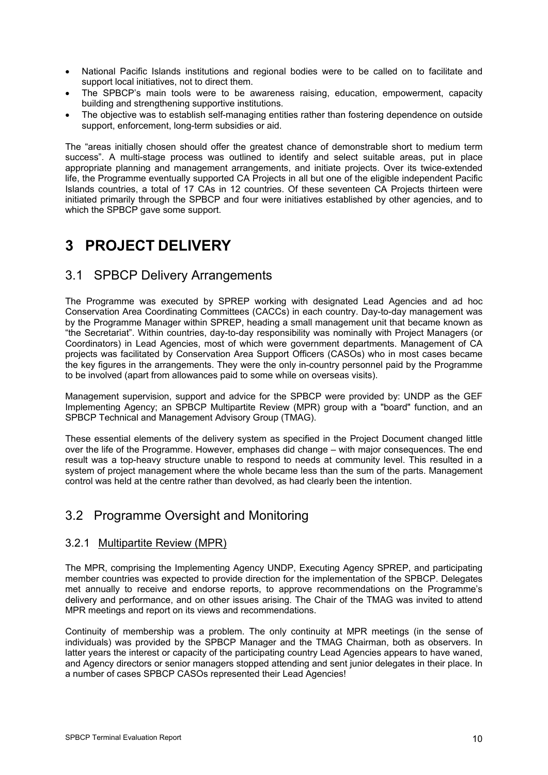- National Pacific Islands institutions and regional bodies were to be called on to facilitate and support local initiatives, not to direct them.
- The SPBCP's main tools were to be awareness raising, education, empowerment, capacity building and strengthening supportive institutions.
- The objective was to establish self-managing entities rather than fostering dependence on outside support, enforcement, long-term subsidies or aid.

The "areas initially chosen should offer the greatest chance of demonstrable short to medium term success". A multi-stage process was outlined to identify and select suitable areas, put in place appropriate planning and management arrangements, and initiate projects. Over its twice-extended life, the Programme eventually supported CA Projects in all but one of the eligible independent Pacific Islands countries, a total of 17 CAs in 12 countries. Of these seventeen CA Projects thirteen were initiated primarily through the SPBCP and four were initiatives established by other agencies, and to which the SPBCP gave some support.

# **3 PROJECT DELIVERY**

# 3.1 SPBCP Delivery Arrangements

The Programme was executed by SPREP working with designated Lead Agencies and ad hoc Conservation Area Coordinating Committees (CACCs) in each country. Day-to-day management was by the Programme Manager within SPREP, heading a small management unit that became known as "the Secretariat". Within countries, day-to-day responsibility was nominally with Project Managers (or Coordinators) in Lead Agencies, most of which were government departments. Management of CA projects was facilitated by Conservation Area Support Officers (CASOs) who in most cases became the key figures in the arrangements. They were the only in-country personnel paid by the Programme to be involved (apart from allowances paid to some while on overseas visits).

Management supervision, support and advice for the SPBCP were provided by: UNDP as the GEF Implementing Agency; an SPBCP Multipartite Review (MPR) group with a "board" function, and an SPBCP Technical and Management Advisory Group (TMAG).

These essential elements of the delivery system as specified in the Project Document changed little over the life of the Programme. However, emphases did change – with major consequences. The end result was a top-heavy structure unable to respond to needs at community level. This resulted in a system of project management where the whole became less than the sum of the parts. Management control was held at the centre rather than devolved, as had clearly been the intention.

# 3.2 Programme Oversight and Monitoring

## 3.2.1 Multipartite Review (MPR)

The MPR, comprising the Implementing Agency UNDP, Executing Agency SPREP, and participating member countries was expected to provide direction for the implementation of the SPBCP. Delegates met annually to receive and endorse reports, to approve recommendations on the Programme's delivery and performance, and on other issues arising. The Chair of the TMAG was invited to attend MPR meetings and report on its views and recommendations.

Continuity of membership was a problem. The only continuity at MPR meetings (in the sense of individuals) was provided by the SPBCP Manager and the TMAG Chairman, both as observers. In latter years the interest or capacity of the participating country Lead Agencies appears to have waned, and Agency directors or senior managers stopped attending and sent junior delegates in their place. In a number of cases SPBCP CASOs represented their Lead Agencies!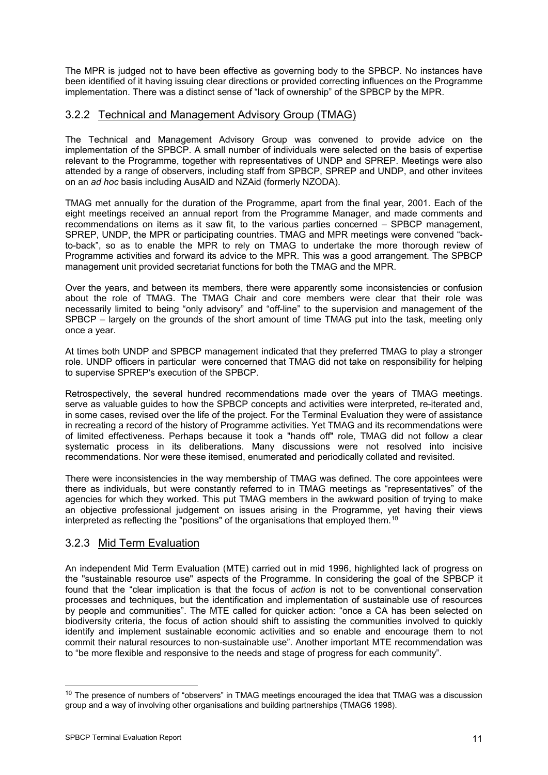The MPR is judged not to have been effective as governing body to the SPBCP. No instances have been identified of it having issuing clear directions or provided correcting influences on the Programme implementation. There was a distinct sense of "lack of ownership" of the SPBCP by the MPR.

### 3.2.2 Technical and Management Advisory Group (TMAG)

The Technical and Management Advisory Group was convened to provide advice on the implementation of the SPBCP. A small number of individuals were selected on the basis of expertise relevant to the Programme, together with representatives of UNDP and SPREP. Meetings were also attended by a range of observers, including staff from SPBCP, SPREP and UNDP, and other invitees on an *ad hoc* basis including AusAID and NZAid (formerly NZODA).

TMAG met annually for the duration of the Programme, apart from the final year, 2001. Each of the eight meetings received an annual report from the Programme Manager, and made comments and recommendations on items as it saw fit, to the various parties concerned – SPBCP management, SPREP, UNDP, the MPR or participating countries. TMAG and MPR meetings were convened "backto-back", so as to enable the MPR to rely on TMAG to undertake the more thorough review of Programme activities and forward its advice to the MPR. This was a good arrangement. The SPBCP management unit provided secretariat functions for both the TMAG and the MPR.

Over the years, and between its members, there were apparently some inconsistencies or confusion about the role of TMAG. The TMAG Chair and core members were clear that their role was necessarily limited to being "only advisory" and "off-line" to the supervision and management of the SPBCP – largely on the grounds of the short amount of time TMAG put into the task, meeting only once a year.

At times both UNDP and SPBCP management indicated that they preferred TMAG to play a stronger role. UNDP officers in particular were concerned that TMAG did not take on responsibility for helping to supervise SPREP's execution of the SPBCP.

Retrospectively, the several hundred recommendations made over the years of TMAG meetings. serve as valuable guides to how the SPBCP concepts and activities were interpreted, re-iterated and, in some cases, revised over the life of the project. For the Terminal Evaluation they were of assistance in recreating a record of the history of Programme activities. Yet TMAG and its recommendations were of limited effectiveness. Perhaps because it took a "hands off" role, TMAG did not follow a clear systematic process in its deliberations. Many discussions were not resolved into incisive recommendations. Nor were these itemised, enumerated and periodically collated and revisited.

There were inconsistencies in the way membership of TMAG was defined. The core appointees were there as individuals, but were constantly referred to in TMAG meetings as "representatives" of the agencies for which they worked. This put TMAG members in the awkward position of trying to make an objective professional judgement on issues arising in the Programme, yet having their views interpreted as reflecting the "positions" of the organisations that employed them.<sup>[1](#page-14-0)0</sup>

## 3.2.3 Mid Term Evaluation

An independent Mid Term Evaluation (MTE) carried out in mid 1996, highlighted lack of progress on the "sustainable resource use" aspects of the Programme. In considering the goal of the SPBCP it found that the "clear implication is that the focus of *action* is not to be conventional conservation processes and techniques, but the identification and implementation of sustainable use of resources by people and communities". The MTE called for quicker action: "once a CA has been selected on biodiversity criteria, the focus of action should shift to assisting the communities involved to quickly identify and implement sustainable economic activities and so enable and encourage them to not commit their natural resources to non-sustainable use". Another important MTE recommendation was to "be more flexible and responsive to the needs and stage of progress for each community".

<span id="page-14-0"></span> $10$  The presence of numbers of "observers" in TMAG meetings encouraged the idea that TMAG was a discussion group and a way of involving other organisations and building partnerships (TMAG6 1998).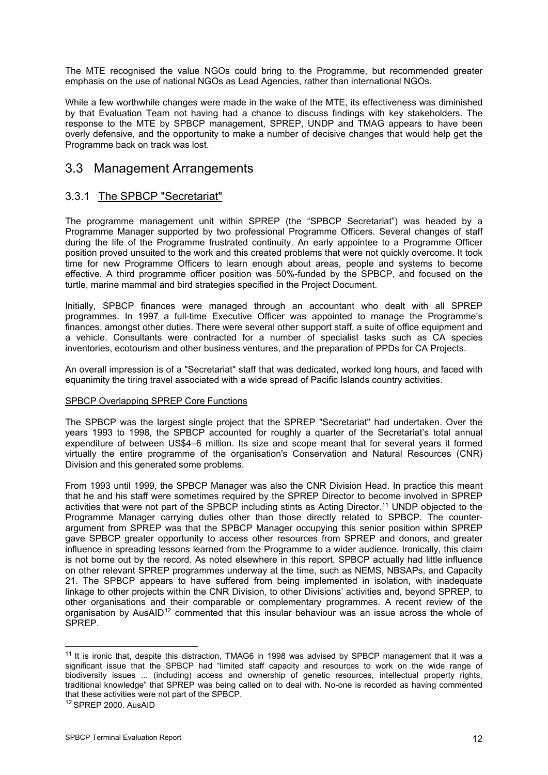The MTE recognised the value NGOs could bring to the Programme, but recommended greater emphasis on the use of national NGOs as Lead Agencies, rather than international NGOs.

While a few worthwhile changes were made in the wake of the MTE, its effectiveness was diminished by that Evaluation Team not having had a chance to discuss findings with key stakeholders. The response to the MTE by SPBCP management, SPREP, UNDP and TMAG appears to have been overly defensive, and the opportunity to make a number of decisive changes that would help get the Programme back on track was lost.

# 3.3 Management Arrangements

## 3.3.1 The SPBCP "Secretariat"

The programme management unit within SPREP (the "SPBCP Secretariat") was headed by a Programme Manager supported by two professional Programme Officers. Several changes of staff during the life of the Programme frustrated continuity. An early appointee to a Programme Officer position proved unsuited to the work and this created problems that were not quickly overcome. It took time for new Programme Officers to learn enough about areas, people and systems to become effective. A third programme officer position was 50%-funded by the SPBCP, and focused on the turtle, marine mammal and bird strategies specified in the Project Document.

Initially, SPBCP finances were managed through an accountant who dealt with all SPREP programmes. In 1997 a full-time Executive Officer was appointed to manage the Programme's finances, amongst other duties. There were several other support staff, a suite of office equipment and a vehicle. Consultants were contracted for a number of specialist tasks such as CA species inventories, ecotourism and other business ventures, and the preparation of PPDs for CA Projects.

An overall impression is of a "Secretariat" staff that was dedicated, worked long hours, and faced with equanimity the tiring travel associated with a wide spread of Pacific Islands country activities.

### SPBCP Overlapping SPREP Core Functions

The SPBCP was the largest single project that the SPREP "Secretariat" had undertaken. Over the years 1993 to 1998, the SPBCP accounted for roughly a quarter of the Secretariat's total annual expenditure of between US\$4–6 million. Its size and scope meant that for several years it formed virtually the entire programme of the organisation's Conservation and Natural Resources (CNR) Division and this generated some problems.

From 1993 until 1999, the SPBCP Manager was also the CNR Division Head. In practice this meant that he and his staff were sometimes required by the SPREP Director to become involved in SPREP activities that were not part of the SPBCP including stints as Acting Director.<sup>[11](#page-15-0)</sup> UNDP objected to the Programme Manager carrying duties other than those directly related to SPBCP. The counterargument from SPREP was that the SPBCP Manager occupying this senior position within SPREP gave SPBCP greater opportunity to access other resources from SPREP and donors, and greater influence in spreading lessons learned from the Programme to a wider audience. Ironically, this claim is not borne out by the record. As noted elsewhere in this report, SPBCP actually had little influence on other relevant SPREP programmes underway at the time, such as NEMS, NBSAPs, and Capacity 21. The SPBCP appears to have suffered from being implemented in isolation, with inadequate linkage to other projects within the CNR Division, to other Divisions' activities and, beyond SPREP, to other organisations and their comparable or complementary programmes. A recent review of the organisation by AusAID<sup>[1](#page-15-1)2</sup> commented that this insular behaviour was an issue across the whole of SPREP.

<span id="page-15-0"></span> $11$  It is ironic that, despite this distraction, TMAG6 in 1998 was advised by SPBCP management that it was a significant issue that the SPBCP had "limited staff capacity and resources to work on the wide range of biodiversity issues ... (including) access and ownership of genetic resources, intellectual property rights, traditional knowledge" that SPREP was being called on to deal with. No-one is recorded as having commented that these activities were not part of the SPBCP.

<span id="page-15-1"></span><sup>12</sup> SPREP 2000. AusAID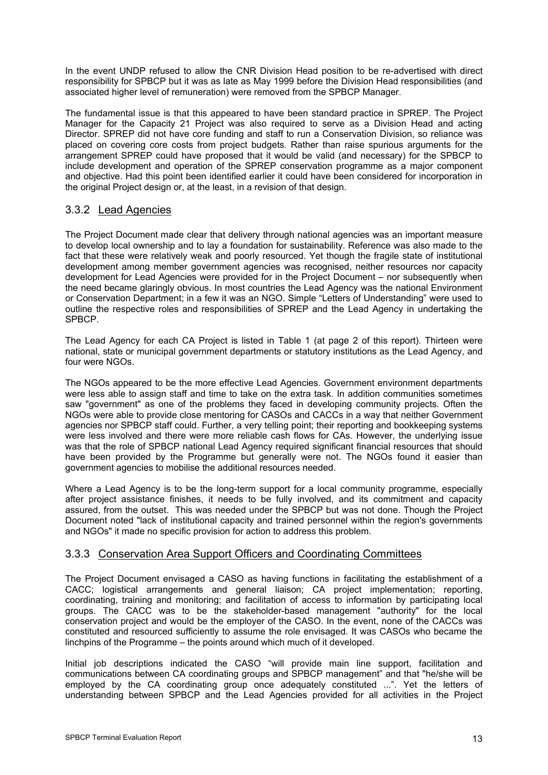In the event UNDP refused to allow the CNR Division Head position to be re-advertised with direct responsibility for SPBCP but it was as late as May 1999 before the Division Head responsibilities (and associated higher level of remuneration) were removed from the SPBCP Manager.

The fundamental issue is that this appeared to have been standard practice in SPREP. The Project Manager for the Capacity 21 Project was also required to serve as a Division Head and acting Director. SPREP did not have core funding and staff to run a Conservation Division, so reliance was placed on covering core costs from project budgets. Rather than raise spurious arguments for the arrangement SPREP could have proposed that it would be valid (and necessary) for the SPBCP to include development and operation of the SPREP conservation programme as a major component and objective. Had this point been identified earlier it could have been considered for incorporation in the original Project design or, at the least, in a revision of that design.

### 3.3.2 Lead Agencies

The Project Document made clear that delivery through national agencies was an important measure to develop local ownership and to lay a foundation for sustainability. Reference was also made to the fact that these were relatively weak and poorly resourced. Yet though the fragile state of institutional development among member government agencies was recognised, neither resources nor capacity development for Lead Agencies were provided for in the Project Document – nor subsequently when the need became glaringly obvious. In most countries the Lead Agency was the national Environment or Conservation Department; in a few it was an NGO. Simple "Letters of Understanding" were used to outline the respective roles and responsibilities of SPREP and the Lead Agency in undertaking the SPBCP.

The Lead Agency for each CA Project is listed in Table 1 (at page 2 of this report). Thirteen were national, state or municipal government departments or statutory institutions as the Lead Agency, and four were NGOs.

The NGOs appeared to be the more effective Lead Agencies. Government environment departments were less able to assign staff and time to take on the extra task. In addition communities sometimes saw "government" as one of the problems they faced in developing community projects. Often the NGOs were able to provide close mentoring for CASOs and CACCs in a way that neither Government agencies nor SPBCP staff could. Further, a very telling point; their reporting and bookkeeping systems were less involved and there were more reliable cash flows for CAs. However, the underlying issue was that the role of SPBCP national Lead Agency required significant financial resources that should have been provided by the Programme but generally were not. The NGOs found it easier than government agencies to mobilise the additional resources needed.

Where a Lead Agency is to be the long-term support for a local community programme, especially after project assistance finishes, it needs to be fully involved, and its commitment and capacity assured, from the outset. This was needed under the SPBCP but was not done. Though the Project Document noted "lack of institutional capacity and trained personnel within the region's governments and NGOs" it made no specific provision for action to address this problem.

### 3.3.3 Conservation Area Support Officers and Coordinating Committees

The Project Document envisaged a CASO as having functions in facilitating the establishment of a CACC; logistical arrangements and general liaison; CA project implementation; reporting, coordinating, training and monitoring; and facilitation of access to information by participating local groups. The CACC was to be the stakeholder-based management "authority" for the local conservation project and would be the employer of the CASO. In the event, none of the CACCs was constituted and resourced sufficiently to assume the role envisaged. It was CASOs who became the linchpins of the Programme – the points around which much of it developed.

Initial job descriptions indicated the CASO "will provide main line support, facilitation and communications between CA coordinating groups and SPBCP management" and that "he/she will be employed by the CA coordinating group once adequately constituted ...". Yet the letters of understanding between SPBCP and the Lead Agencies provided for all activities in the Project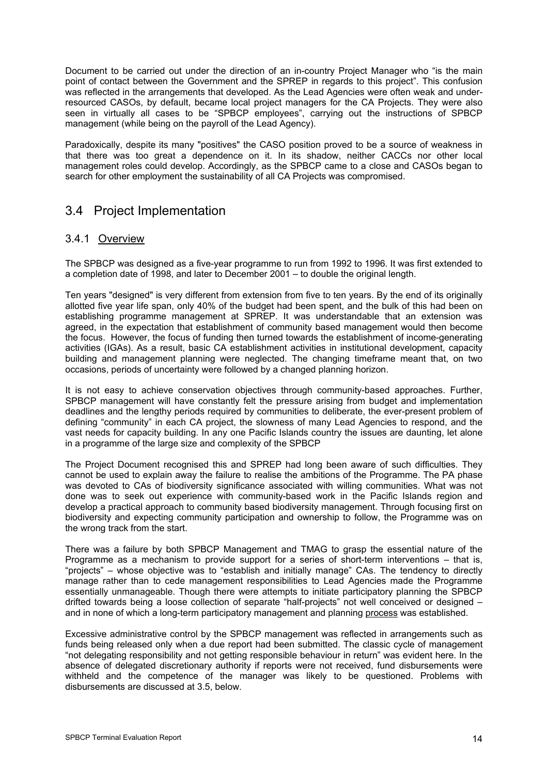Document to be carried out under the direction of an in-country Project Manager who "is the main point of contact between the Government and the SPREP in regards to this project". This confusion was reflected in the arrangements that developed. As the Lead Agencies were often weak and underresourced CASOs, by default, became local project managers for the CA Projects. They were also seen in virtually all cases to be "SPBCP employees", carrying out the instructions of SPBCP management (while being on the payroll of the Lead Agency).

Paradoxically, despite its many "positives" the CASO position proved to be a source of weakness in that there was too great a dependence on it. In its shadow, neither CACCs nor other local management roles could develop. Accordingly, as the SPBCP came to a close and CASOs began to search for other employment the sustainability of all CA Projects was compromised.

# 3.4 Project Implementation

## 3.4.1 Overview

The SPBCP was designed as a five-year programme to run from 1992 to 1996. It was first extended to a completion date of 1998, and later to December 2001 – to double the original length.

Ten years "designed" is very different from extension from five to ten years. By the end of its originally allotted five year life span, only 40% of the budget had been spent, and the bulk of this had been on establishing programme management at SPREP. It was understandable that an extension was agreed, in the expectation that establishment of community based management would then become the focus. However, the focus of funding then turned towards the establishment of income-generating activities (IGAs). As a result, basic CA establishment activities in institutional development, capacity building and management planning were neglected. The changing timeframe meant that, on two occasions, periods of uncertainty were followed by a changed planning horizon.

It is not easy to achieve conservation objectives through community-based approaches. Further, SPBCP management will have constantly felt the pressure arising from budget and implementation deadlines and the lengthy periods required by communities to deliberate, the ever-present problem of defining "community" in each CA project, the slowness of many Lead Agencies to respond, and the vast needs for capacity building. In any one Pacific Islands country the issues are daunting, let alone in a programme of the large size and complexity of the SPBCP

The Project Document recognised this and SPREP had long been aware of such difficulties. They cannot be used to explain away the failure to realise the ambitions of the Programme. The PA phase was devoted to CAs of biodiversity significance associated with willing communities. What was not done was to seek out experience with community-based work in the Pacific Islands region and develop a practical approach to community based biodiversity management. Through focusing first on biodiversity and expecting community participation and ownership to follow, the Programme was on the wrong track from the start.

There was a failure by both SPBCP Management and TMAG to grasp the essential nature of the Programme as a mechanism to provide support for a series of short-term interventions – that is, "projects" – whose objective was to "establish and initially manage" CAs. The tendency to directly manage rather than to cede management responsibilities to Lead Agencies made the Programme essentially unmanageable. Though there were attempts to initiate participatory planning the SPBCP drifted towards being a loose collection of separate "half-projects" not well conceived or designed – and in none of which a long-term participatory management and planning process was established.

Excessive administrative control by the SPBCP management was reflected in arrangements such as funds being released only when a due report had been submitted. The classic cycle of management "not delegating responsibility and not getting responsible behaviour in return" was evident here. In the absence of delegated discretionary authority if reports were not received, fund disbursements were withheld and the competence of the manager was likely to be questioned. Problems with disbursements are discussed at 3.5, below.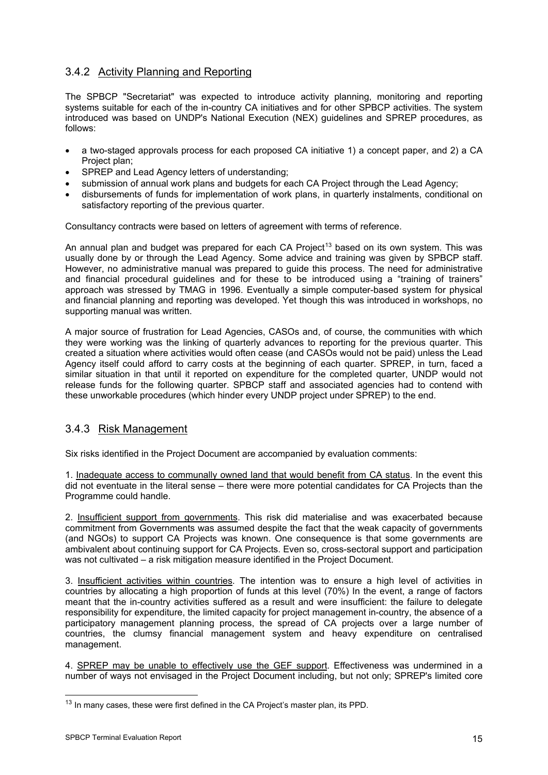## 3.4.2 Activity Planning and Reporting

The SPBCP "Secretariat" was expected to introduce activity planning, monitoring and reporting systems suitable for each of the in-country CA initiatives and for other SPBCP activities. The system introduced was based on UNDP's National Execution (NEX) guidelines and SPREP procedures, as follows:

- a two-staged approvals process for each proposed CA initiative 1) a concept paper, and 2) a CA Project plan;
- SPREP and Lead Agency letters of understanding;
- submission of annual work plans and budgets for each CA Project through the Lead Agency;
- disbursements of funds for implementation of work plans, in quarterly instalments, conditional on satisfactory reporting of the previous quarter.

Consultancy contracts were based on letters of agreement with terms of reference.

An annual plan and budget was prepared for each CA Project<sup>[13](#page-18-0)</sup> based on its own system. This was usually done by or through the Lead Agency. Some advice and training was given by SPBCP staff. However, no administrative manual was prepared to guide this process. The need for administrative and financial procedural guidelines and for these to be introduced using a "training of trainers" approach was stressed by TMAG in 1996. Eventually a simple computer-based system for physical and financial planning and reporting was developed. Yet though this was introduced in workshops, no supporting manual was written.

A major source of frustration for Lead Agencies, CASOs and, of course, the communities with which they were working was the linking of quarterly advances to reporting for the previous quarter. This created a situation where activities would often cease (and CASOs would not be paid) unless the Lead Agency itself could afford to carry costs at the beginning of each quarter. SPREP, in turn, faced a similar situation in that until it reported on expenditure for the completed quarter, UNDP would not release funds for the following quarter. SPBCP staff and associated agencies had to contend with these unworkable procedures (which hinder every UNDP project under SPREP) to the end.

## 3.4.3 Risk Management

Six risks identified in the Project Document are accompanied by evaluation comments:

1. Inadequate access to communally owned land that would benefit from CA status. In the event this did not eventuate in the literal sense – there were more potential candidates for CA Projects than the Programme could handle.

2. Insufficient support from governments. This risk did materialise and was exacerbated because commitment from Governments was assumed despite the fact that the weak capacity of governments (and NGOs) to support CA Projects was known. One consequence is that some governments are ambivalent about continuing support for CA Projects. Even so, cross-sectoral support and participation was not cultivated – a risk mitigation measure identified in the Project Document.

3. Insufficient activities within countries. The intention was to ensure a high level of activities in countries by allocating a high proportion of funds at this level (70%) In the event, a range of factors meant that the in-country activities suffered as a result and were insufficient: the failure to delegate responsibility for expenditure, the limited capacity for project management in-country, the absence of a participatory management planning process, the spread of CA projects over a large number of countries, the clumsy financial management system and heavy expenditure on centralised management.

4. SPREP may be unable to effectively use the GEF support. Effectiveness was undermined in a number of ways not envisaged in the Project Document including, but not only; SPREP's limited core

<span id="page-18-0"></span><sup>&</sup>lt;sup>13</sup> In many cases, these were first defined in the CA Project's master plan, its PPD.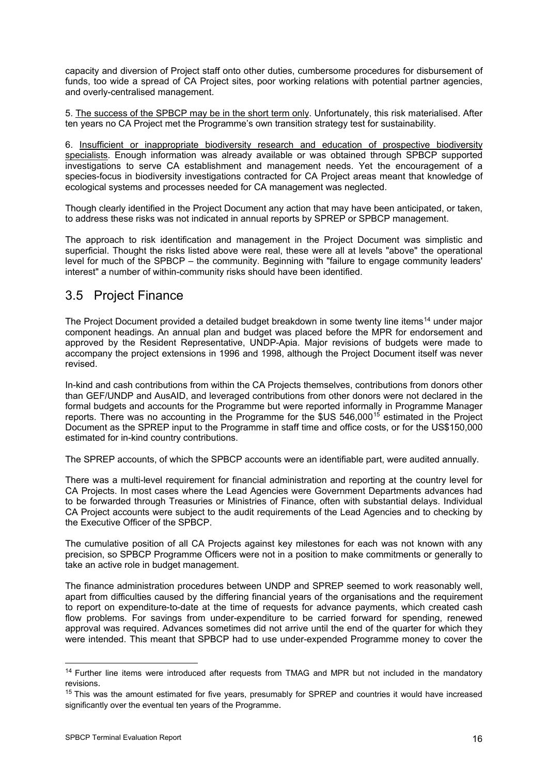capacity and diversion of Project staff onto other duties, cumbersome procedures for disbursement of funds, too wide a spread of CA Project sites, poor working relations with potential partner agencies, and overly-centralised management.

5. The success of the SPBCP may be in the short term only. Unfortunately, this risk materialised. After ten years no CA Project met the Programme's own transition strategy test for sustainability.

6. Insufficient or inappropriate biodiversity research and education of prospective biodiversity specialists. Enough information was already available or was obtained through SPBCP supported investigations to serve CA establishment and management needs. Yet the encouragement of a species-focus in biodiversity investigations contracted for CA Project areas meant that knowledge of ecological systems and processes needed for CA management was neglected.

Though clearly identified in the Project Document any action that may have been anticipated, or taken, to address these risks was not indicated in annual reports by SPREP or SPBCP management.

The approach to risk identification and management in the Project Document was simplistic and superficial. Thought the risks listed above were real, these were all at levels "above" the operational level for much of the SPBCP – the community. Beginning with "failure to engage community leaders' interest" a number of within-community risks should have been identified.

# 3.5 Project Finance

The Project Document provided a detailed budget breakdown in some twenty line items<sup>[1](#page-19-0)4</sup> under major component headings. An annual plan and budget was placed before the MPR for endorsement and approved by the Resident Representative, UNDP-Apia. Major revisions of budgets were made to accompany the project extensions in 1996 and 1998, although the Project Document itself was never revised.

In-kind and cash contributions from within the CA Projects themselves, contributions from donors other than GEF/UNDP and AusAID, and leveraged contributions from other donors were not declared in the formal budgets and accounts for the Programme but were reported informally in Programme Manager reports. There was no accounting in the Programme for the \$US 546,000<sup>[1](#page-19-1)5</sup> estimated in the Project Document as the SPREP input to the Programme in staff time and office costs, or for the US\$150,000 estimated for in-kind country contributions.

The SPREP accounts, of which the SPBCP accounts were an identifiable part, were audited annually.

There was a multi-level requirement for financial administration and reporting at the country level for CA Projects. In most cases where the Lead Agencies were Government Departments advances had to be forwarded through Treasuries or Ministries of Finance, often with substantial delays. Individual CA Project accounts were subject to the audit requirements of the Lead Agencies and to checking by the Executive Officer of the SPBCP.

The cumulative position of all CA Projects against key milestones for each was not known with any precision, so SPBCP Programme Officers were not in a position to make commitments or generally to take an active role in budget management.

The finance administration procedures between UNDP and SPREP seemed to work reasonably well, apart from difficulties caused by the differing financial years of the organisations and the requirement to report on expenditure-to-date at the time of requests for advance payments, which created cash flow problems. For savings from under-expenditure to be carried forward for spending, renewed approval was required. Advances sometimes did not arrive until the end of the quarter for which they were intended. This meant that SPBCP had to use under-expended Programme money to cover the

<span id="page-19-0"></span><sup>&</sup>lt;sup>14</sup> Further line items were introduced after requests from TMAG and MPR but not included in the mandatory revisions.

<span id="page-19-1"></span> $15$  This was the amount estimated for five years, presumably for SPREP and countries it would have increased significantly over the eventual ten years of the Programme.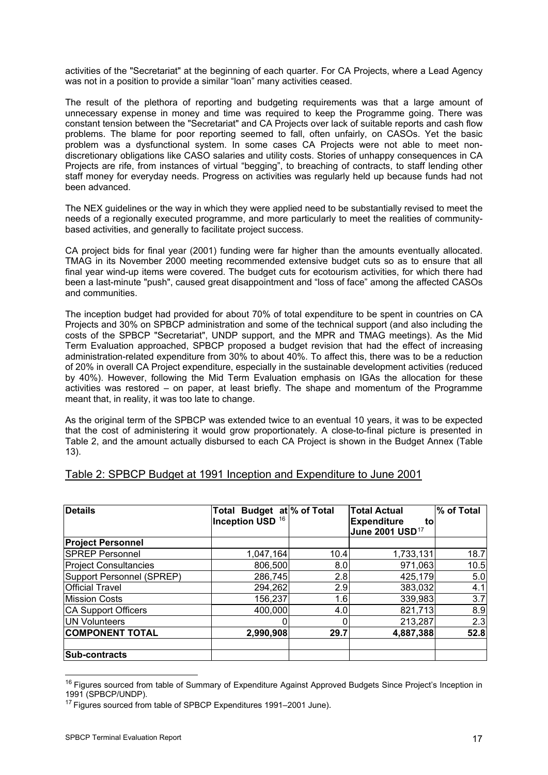activities of the "Secretariat" at the beginning of each quarter. For CA Projects, where a Lead Agency was not in a position to provide a similar "loan" many activities ceased.

The result of the plethora of reporting and budgeting requirements was that a large amount of unnecessary expense in money and time was required to keep the Programme going. There was constant tension between the "Secretariat" and CA Projects over lack of suitable reports and cash flow problems. The blame for poor reporting seemed to fall, often unfairly, on CASOs. Yet the basic problem was a dysfunctional system. In some cases CA Projects were not able to meet nondiscretionary obligations like CASO salaries and utility costs. Stories of unhappy consequences in CA Projects are rife, from instances of virtual "begging", to breaching of contracts, to staff lending other staff money for everyday needs. Progress on activities was regularly held up because funds had not been advanced.

The NEX guidelines or the way in which they were applied need to be substantially revised to meet the needs of a regionally executed programme, and more particularly to meet the realities of communitybased activities, and generally to facilitate project success.

CA project bids for final year (2001) funding were far higher than the amounts eventually allocated. TMAG in its November 2000 meeting recommended extensive budget cuts so as to ensure that all final year wind-up items were covered. The budget cuts for ecotourism activities, for which there had been a last-minute "push", caused great disappointment and "loss of face" among the affected CASOs and communities.

The inception budget had provided for about 70% of total expenditure to be spent in countries on CA Projects and 30% on SPBCP administration and some of the technical support (and also including the costs of the SPBCP "Secretariat", UNDP support, and the MPR and TMAG meetings). As the Mid Term Evaluation approached, SPBCP proposed a budget revision that had the effect of increasing administration-related expenditure from 30% to about 40%. To affect this, there was to be a reduction of 20% in overall CA Project expenditure, especially in the sustainable development activities (reduced by 40%). However, following the Mid Term Evaluation emphasis on IGAs the allocation for these activities was restored – on paper, at least briefly. The shape and momentum of the Programme meant that, in reality, it was too late to change.

As the original term of the SPBCP was extended twice to an eventual 10 years, it was to be expected that the cost of administering it would grow proportionately. A close-to-final picture is presented in Table 2, and the amount actually disbursed to each CA Project is shown in the Budget Annex (Table 13).

| <b>Details</b>               | Total Budget at % of Total<br>Inception USD <sup>16</sup> |      | <b>Total Actual</b><br><b>Expenditure</b><br>to<br>June 2001 USD <sup>17</sup> | % of Total |
|------------------------------|-----------------------------------------------------------|------|--------------------------------------------------------------------------------|------------|
| <b>Project Personnel</b>     |                                                           |      |                                                                                |            |
| <b>SPREP Personnel</b>       | 1,047,164                                                 | 10.4 | 1,733,131                                                                      | 18.7       |
| <b>Project Consultancies</b> | 806,500                                                   | 8.0  | 971,063                                                                        | 10.5       |
| Support Personnel (SPREP)    | 286,745                                                   | 2.8  | 425,179                                                                        | 5.0        |
| <b>Official Travel</b>       | 294,262                                                   | 2.9  | 383,032                                                                        | 4.1        |
| <b>Mission Costs</b>         | 156,237                                                   | 1.6  | 339,983                                                                        | 3.7        |
| <b>CA Support Officers</b>   | 400,000                                                   | 4.0  | 821,713                                                                        | 8.9        |
| UN Volunteers                |                                                           |      | 213,287                                                                        | 2.3        |
| <b>COMPONENT TOTAL</b>       | 2,990,908                                                 | 29.7 | 4,887,388                                                                      | 52.8       |
| Sub-contracts                |                                                           |      |                                                                                |            |

### Table 2: SPBCP Budget at 1991 Inception and Expenditure to June 2001

<span id="page-20-0"></span><sup>&</sup>lt;sup>16</sup> Figures sourced from table of Summary of Expenditure Against Approved Budgets Since Project's Inception in 1991 (SPBCP/UNDP).

<span id="page-20-1"></span><sup>&</sup>lt;sup>17</sup> Figures sourced from table of SPBCP Expenditures 1991-2001 June).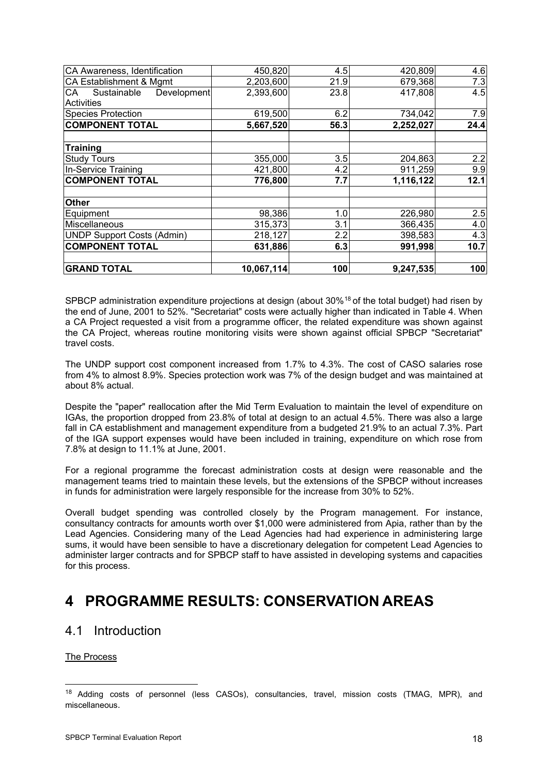| CA Awareness, Identification            | 450,820    | 4.5  | 420,809   | 4.6  |
|-----------------------------------------|------------|------|-----------|------|
| CA Establishment & Mgmt                 | 2,203,600  | 21.9 | 679,368   | 7.3  |
| CA<br>Sustainable<br><b>Development</b> | 2,393,600  | 23.8 | 417,808   | 4.5  |
| Activities                              |            |      |           |      |
| <b>Species Protection</b>               | 619,500    | 6.2  | 734,042   | 7.9  |
| <b>COMPONENT TOTAL</b>                  | 5,667,520  | 56.3 | 2,252,027 | 24.4 |
| <b>Training</b>                         |            |      |           |      |
| <b>Study Tours</b>                      | 355,000    | 3.5  | 204,863   | 2.2  |
| In-Service Training                     | 421,800    | 4.2  | 911,259   | 9.9  |
| <b>COMPONENT TOTAL</b>                  | 776,800    | 7.7  | 1,116,122 | 12.1 |
| <b>Other</b>                            |            |      |           |      |
| Equipment                               | 98,386     | 1.0  | 226,980   | 2.5  |
| Miscellaneous                           | 315,373    | 3.1  | 366,435   | 4.0  |
| <b>UNDP Support Costs (Admin)</b>       | 218,127    | 2.2  | 398,583   | 4.3  |
| <b>COMPONENT TOTAL</b>                  | 631,886    | 6.3  | 991,998   | 10.7 |
| <b>GRAND TOTAL</b>                      | 10,067,114 | 100  | 9,247,535 | 100  |

SPBCP administration expenditure projections at design (about 30%<sup>[18](#page-21-0)</sup> of the total budget) had risen by the end of June, 2001 to 52%. "Secretariat" costs were actually higher than indicated in Table 4. When a CA Project requested a visit from a programme officer, the related expenditure was shown against the CA Project, whereas routine monitoring visits were shown against official SPBCP "Secretariat" travel costs.

The UNDP support cost component increased from 1.7% to 4.3%. The cost of CASO salaries rose from 4% to almost 8.9%. Species protection work was 7% of the design budget and was maintained at about 8% actual.

Despite the "paper" reallocation after the Mid Term Evaluation to maintain the level of expenditure on IGAs, the proportion dropped from 23.8% of total at design to an actual 4.5%. There was also a large fall in CA establishment and management expenditure from a budgeted 21.9% to an actual 7.3%. Part of the IGA support expenses would have been included in training, expenditure on which rose from 7.8% at design to 11.1% at June, 2001.

For a regional programme the forecast administration costs at design were reasonable and the management teams tried to maintain these levels, but the extensions of the SPBCP without increases in funds for administration were largely responsible for the increase from 30% to 52%.

Overall budget spending was controlled closely by the Program management. For instance, consultancy contracts for amounts worth over \$1,000 were administered from Apia, rather than by the Lead Agencies. Considering many of the Lead Agencies had had experience in administering large sums, it would have been sensible to have a discretionary delegation for competent Lead Agencies to administer larger contracts and for SPBCP staff to have assisted in developing systems and capacities for this process.

# **4 PROGRAMME RESULTS: CONSERVATION AREAS**

# 4.1 Introduction

The Process

<span id="page-21-0"></span><sup>&</sup>lt;sup>18</sup> Adding costs of personnel (less CASOs), consultancies, travel, mission costs (TMAG, MPR), and miscellaneous.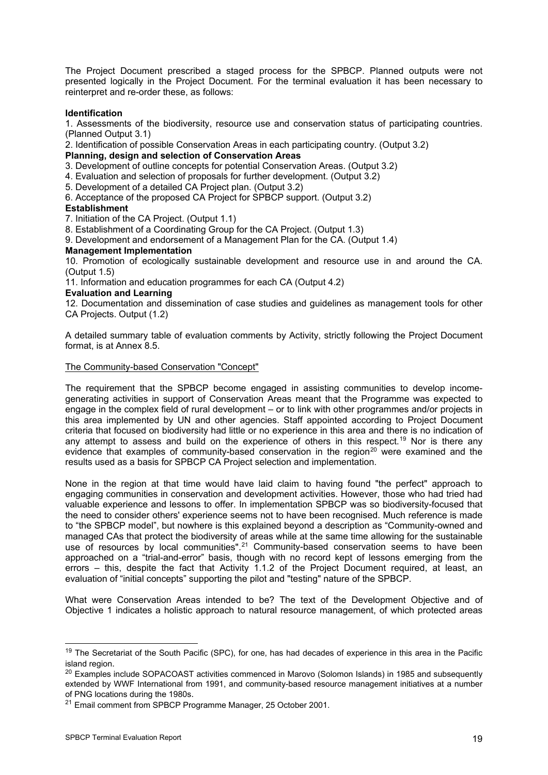The Project Document prescribed a staged process for the SPBCP. Planned outputs were not presented logically in the Project Document. For the terminal evaluation it has been necessary to reinterpret and re-order these, as follows:

#### **Identification**

1. Assessments of the biodiversity, resource use and conservation status of participating countries. (Planned Output 3.1)

2. Identification of possible Conservation Areas in each participating country. (Output 3.2)

#### **Planning, design and selection of Conservation Areas**

3. Development of outline concepts for potential Conservation Areas. (Output 3.2)

4. Evaluation and selection of proposals for further development. (Output 3.2)

- 5. Development of a detailed CA Project plan. (Output 3.2)
- 6. Acceptance of the proposed CA Project for SPBCP support. (Output 3.2)

#### **Establishment**

7. Initiation of the CA Project. (Output 1.1)

8. Establishment of a Coordinating Group for the CA Project. (Output 1.3)

9. Development and endorsement of a Management Plan for the CA. (Output 1.4)

#### **Management Implementation**

10. Promotion of ecologically sustainable development and resource use in and around the CA. (Output 1.5)

11. Information and education programmes for each CA (Output 4.2)

#### **Evaluation and Learning**

12. Documentation and dissemination of case studies and guidelines as management tools for other CA Projects. Output (1.2)

A detailed summary table of evaluation comments by Activity, strictly following the Project Document format, is at Annex 8.5.

#### The Community-based Conservation "Concept"

The requirement that the SPBCP become engaged in assisting communities to develop incomegenerating activities in support of Conservation Areas meant that the Programme was expected to engage in the complex field of rural development – or to link with other programmes and/or projects in this area implemented by UN and other agencies. Staff appointed according to Project Document criteria that focused on biodiversity had little or no experience in this area and there is no indication of any attempt to assess and build on the experience of others in this respect.<sup>[19](#page-22-0)</sup> Nor is there any evidence that examples of community-based conservation in the region<sup>20</sup> were examined and the results used as a basis for SPBCP CA Project selection and implementation.

None in the region at that time would have laid claim to having found "the perfect" approach to engaging communities in conservation and development activities. However, those who had tried had valuable experience and lessons to offer. In implementation SPBCP was so biodiversity-focused that the need to consider others' experience seems not to have been recognised. Much reference is made to "the SPBCP model", but nowhere is this explained beyond a description as "Community-owned and managed CAs that protect the biodiversity of areas while at the same time allowing for the sustainable use of resources by local communities".<sup>[2](#page-22-2)1</sup> Community-based conservation seems to have been approached on a "trial-and-error" basis, though with no record kept of lessons emerging from the errors – this, despite the fact that Activity 1.1.2 of the Project Document required, at least, an evaluation of "initial concepts" supporting the pilot and "testing" nature of the SPBCP.

What were Conservation Areas intended to be? The text of the Development Objective and of Objective 1 indicates a holistic approach to natural resource management, of which protected areas

<span id="page-22-0"></span><sup>&</sup>lt;sup>19</sup> The Secretariat of the South Pacific (SPC), for one, has had decades of experience in this area in the Pacific island region.<br><sup>20</sup> Examples include SOPACOAST activities commenced in Marovo (Solomon Islands) in 1985 and subsequently

<span id="page-22-1"></span>extended by WWF International from 1991, and community-based resource management initiatives at a number of PNG locations during the 1980s.

<span id="page-22-2"></span><sup>&</sup>lt;sup>21</sup> Email comment from SPBCP Programme Manager, 25 October 2001.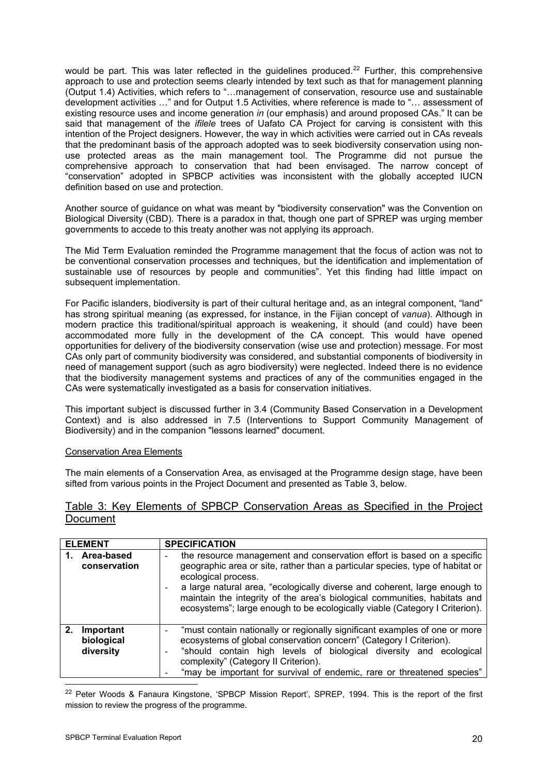would be part. This was later reflected in the quidelines produced.<sup>[22](#page-23-0)</sup> Further, this comprehensive approach to use and protection seems clearly intended by text such as that for management planning (Output 1.4) Activities, which refers to "…management of conservation, resource use and sustainable development activities …" and for Output 1.5 Activities, where reference is made to "… assessment of existing resource uses and income generation *in* (our emphasis) and around proposed CAs." It can be said that management of the *ifilele* trees of Uafato CA Project for carving is consistent with this intention of the Project designers. However, the way in which activities were carried out in CAs reveals that the predominant basis of the approach adopted was to seek biodiversity conservation using nonuse protected areas as the main management tool. The Programme did not pursue the comprehensive approach to conservation that had been envisaged. The narrow concept of "conservation" adopted in SPBCP activities was inconsistent with the globally accepted IUCN definition based on use and protection.

Another source of guidance on what was meant by "biodiversity conservation" was the Convention on Biological Diversity (CBD). There is a paradox in that, though one part of SPREP was urging member governments to accede to this treaty another was not applying its approach.

The Mid Term Evaluation reminded the Programme management that the focus of action was not to be conventional conservation processes and techniques, but the identification and implementation of sustainable use of resources by people and communities". Yet this finding had little impact on subsequent implementation.

For Pacific islanders, biodiversity is part of their cultural heritage and, as an integral component, "land" has strong spiritual meaning (as expressed, for instance, in the Fijian concept of *vanua*). Although in modern practice this traditional/spiritual approach is weakening, it should (and could) have been accommodated more fully in the development of the CA concept. This would have opened opportunities for delivery of the biodiversity conservation (wise use and protection) message. For most CAs only part of community biodiversity was considered, and substantial components of biodiversity in need of management support (such as agro biodiversity) were neglected. Indeed there is no evidence that the biodiversity management systems and practices of any of the communities engaged in the CAs were systematically investigated as a basis for conservation initiatives.

This important subject is discussed further in 3.4 (Community Based Conservation in a Development Context) and is also addressed in 7.5 (Interventions to Support Community Management of Biodiversity) and in the companion "lessons learned" document.

### Conservation Area Elements

The main elements of a Conservation Area, as envisaged at the Programme design stage, have been sifted from various points in the Project Document and presented as Table 3, below.

### Table 3: Key Elements of SPBCP Conservation Areas as Specified in the Project **Document**

|    | <b>ELEMENT</b>                       | <b>SPECIFICATION</b>                                                                                                                                                                                                                                                                                                                                                                                                         |
|----|--------------------------------------|------------------------------------------------------------------------------------------------------------------------------------------------------------------------------------------------------------------------------------------------------------------------------------------------------------------------------------------------------------------------------------------------------------------------------|
|    | 1. Area-based<br>conservation        | the resource management and conservation effort is based on a specific<br>-<br>geographic area or site, rather than a particular species, type of habitat or<br>ecological process.<br>a large natural area, "ecologically diverse and coherent, large enough to<br>maintain the integrity of the area's biological communities, habitats and<br>ecosystems"; large enough to be ecologically viable (Category I Criterion). |
| 2. | Important<br>biological<br>diversity | "must contain nationally or regionally significant examples of one or more<br>ecosystems of global conservation concern" (Category I Criterion).<br>"should contain high levels of biological diversity and ecological<br>$\qquad \qquad \blacksquare$<br>complexity" (Category II Criterion).<br>"may be important for survival of endemic, rare or threatened species"                                                     |

<span id="page-23-0"></span>-<sup>22</sup> Peter Woods & Fanaura Kingstone, 'SPBCP Mission Report', SPREP, 1994. This is the report of the first mission to review the progress of the programme.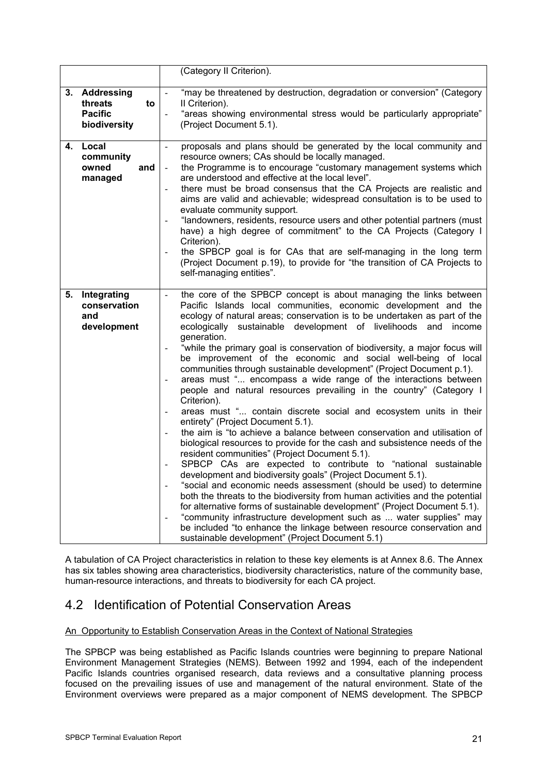|    |                                                                  | (Category II Criterion).                                                                                                                                                                                                                                                                                                                                                                                                                                                                                                                                                                                                                                                                                                                                                                                                                                                                                                                                                                                                                                                                                                                                                                                                                                                                                                                                                                                                                                                                                                                                                                        |
|----|------------------------------------------------------------------|-------------------------------------------------------------------------------------------------------------------------------------------------------------------------------------------------------------------------------------------------------------------------------------------------------------------------------------------------------------------------------------------------------------------------------------------------------------------------------------------------------------------------------------------------------------------------------------------------------------------------------------------------------------------------------------------------------------------------------------------------------------------------------------------------------------------------------------------------------------------------------------------------------------------------------------------------------------------------------------------------------------------------------------------------------------------------------------------------------------------------------------------------------------------------------------------------------------------------------------------------------------------------------------------------------------------------------------------------------------------------------------------------------------------------------------------------------------------------------------------------------------------------------------------------------------------------------------------------|
|    | 3. Addressing<br>threats<br>to<br><b>Pacific</b><br>biodiversity | "may be threatened by destruction, degradation or conversion" (Category<br>II Criterion).<br>"areas showing environmental stress would be particularly appropriate"<br>(Project Document 5.1).                                                                                                                                                                                                                                                                                                                                                                                                                                                                                                                                                                                                                                                                                                                                                                                                                                                                                                                                                                                                                                                                                                                                                                                                                                                                                                                                                                                                  |
| 4. | Local<br>community<br>owned<br>and<br>managed                    | proposals and plans should be generated by the local community and<br>resource owners; CAs should be locally managed.<br>the Programme is to encourage "customary management systems which<br>are understood and effective at the local level".<br>there must be broad consensus that the CA Projects are realistic and<br>aims are valid and achievable; widespread consultation is to be used to<br>evaluate community support.<br>"landowners, residents, resource users and other potential partners (must<br>have) a high degree of commitment" to the CA Projects (Category I<br>Criterion).<br>the SPBCP goal is for CAs that are self-managing in the long term<br>(Project Document p.19), to provide for "the transition of CA Projects to<br>self-managing entities".                                                                                                                                                                                                                                                                                                                                                                                                                                                                                                                                                                                                                                                                                                                                                                                                                |
| 5. | Integrating<br>conservation<br>and<br>development                | the core of the SPBCP concept is about managing the links between<br>$\overline{a}$<br>Pacific Islands local communities, economic development and the<br>ecology of natural areas; conservation is to be undertaken as part of the<br>ecologically sustainable development of livelihoods and income<br>generation.<br>"while the primary goal is conservation of biodiversity, a major focus will<br>be improvement of the economic and social well-being of local<br>communities through sustainable development" (Project Document p.1).<br>areas must " encompass a wide range of the interactions between<br>people and natural resources prevailing in the country" (Category I<br>Criterion).<br>areas must " contain discrete social and ecosystem units in their<br>entirety" (Project Document 5.1).<br>the aim is "to achieve a balance between conservation and utilisation of<br>biological resources to provide for the cash and subsistence needs of the<br>resident communities" (Project Document 5.1).<br>SPBCP CAs are expected to contribute to "national sustainable<br>development and biodiversity goals" (Project Document 5.1).<br>"social and economic needs assessment (should be used) to determine<br>both the threats to the biodiversity from human activities and the potential<br>for alternative forms of sustainable development" (Project Document 5.1).<br>"community infrastructure development such as  water supplies" may<br>be included "to enhance the linkage between resource conservation and<br>sustainable development" (Project Document 5.1) |

A tabulation of CA Project characteristics in relation to these key elements is at Annex 8.6. The Annex has six tables showing area characteristics, biodiversity characteristics, nature of the community base, human-resource interactions, and threats to biodiversity for each CA project.

# 4.2 Identification of Potential Conservation Areas

### An Opportunity to Establish Conservation Areas in the Context of National Strategies

The SPBCP was being established as Pacific Islands countries were beginning to prepare National Environment Management Strategies (NEMS). Between 1992 and 1994, each of the independent Pacific Islands countries organised research, data reviews and a consultative planning process focused on the prevailing issues of use and management of the natural environment. State of the Environment overviews were prepared as a major component of NEMS development. The SPBCP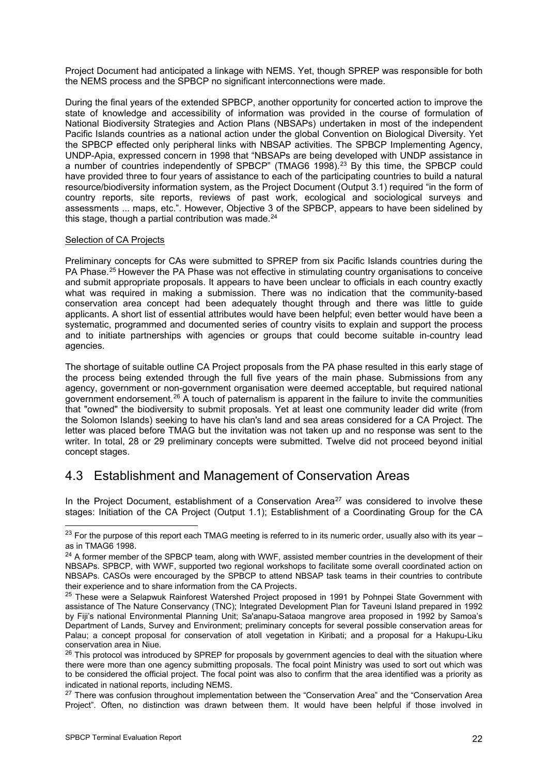Project Document had anticipated a linkage with NEMS. Yet, though SPREP was responsible for both the NEMS process and the SPBCP no significant interconnections were made.

During the final years of the extended SPBCP, another opportunity for concerted action to improve the state of knowledge and accessibility of information was provided in the course of formulation of National Biodiversity Strategies and Action Plans (NBSAPs) undertaken in most of the independent Pacific Islands countries as a national action under the global Convention on Biological Diversity. Yet the SPBCP effected only peripheral links with NBSAP activities. The SPBCP Implementing Agency, UNDP-Apia, expressed concern in 1998 that "NBSAPs are being developed with UNDP assistance in a number of countries independently of SPBCP" (TMAG6 1998).<sup>[2](#page-25-0)3</sup> By this time, the SPBCP could have provided three to four years of assistance to each of the participating countries to build a natural resource/biodiversity information system, as the Project Document (Output 3.1) required "in the form of country reports, site reports, reviews of past work, ecological and sociological surveys and assessments ... maps, etc.". However, Objective 3 of the SPBCP, appears to have been sidelined by this stage, though a partial contribution was made. $24$ 

#### Selection of CA Projects

Preliminary concepts for CAs were submitted to SPREP from six Pacific Islands countries during the PA Phase.<sup>[25](#page-25-2)</sup> However the PA Phase was not effective in stimulating country organisations to conceive and submit appropriate proposals. It appears to have been unclear to officials in each country exactly what was required in making a submission. There was no indication that the community-based conservation area concept had been adequately thought through and there was little to guide applicants. A short list of essential attributes would have been helpful; even better would have been a systematic, programmed and documented series of country visits to explain and support the process and to initiate partnerships with agencies or groups that could become suitable in-country lead agencies.

The shortage of suitable outline CA Project proposals from the PA phase resulted in this early stage of the process being extended through the full five years of the main phase. Submissions from any agency, government or non-government organisation were deemed acceptable, but required national government endorsement.<sup>[2](#page-25-3)6</sup> A touch of paternalism is apparent in the failure to invite the communities that "owned" the biodiversity to submit proposals. Yet at least one community leader did write (from the Solomon Islands) seeking to have his clan's land and sea areas considered for a CA Project. The letter was placed before TMAG but the invitation was not taken up and no response was sent to the writer. In total, 28 or 29 preliminary concepts were submitted. Twelve did not proceed beyond initial concept stages.

# 4.3 Establishment and Management of Conservation Areas

In the Project Document, establishment of a Conservation Area<sup>[27](#page-25-4)</sup> was considered to involve these stages: Initiation of the CA Project (Output 1.1); Establishment of a Coordinating Group for the CA

<span id="page-25-0"></span> $^{23}$  For the purpose of this report each TMAG meeting is referred to in its numeric order, usually also with its year – as in TMAG6 1998.

<span id="page-25-1"></span><sup>&</sup>lt;sup>24</sup> A former member of the SPBCP team, along with WWF, assisted member countries in the development of their NBSAPs. SPBCP, with WWF, supported two regional workshops to facilitate some overall coordinated action on NBSAPs. CASOs were encouraged by the SPBCP to attend NBSAP task teams in their countries to contribute their experience and to share information from the CA Projects.<br><sup>25</sup> These were a Selapwuk Rainforest Watershed Project proposed in 1991 by Pohnpei State Government with

<span id="page-25-2"></span>assistance of The Nature Conservancy (TNC); Integrated Development Plan for Taveuni Island prepared in 1992 by Fiji's national Environmental Planning Unit; Sa'anapu-Sataoa mangrove area proposed in 1992 by Samoa's Department of Lands, Survey and Environment; preliminary concepts for several possible conservation areas for Palau; a concept proposal for conservation of atoll vegetation in Kiribati; and a proposal for a Hakupu-Liku conservation area in Niue.

<span id="page-25-3"></span><sup>&</sup>lt;sup>26</sup> This protocol was introduced by SPREP for proposals by government agencies to deal with the situation where there were more than one agency submitting proposals. The focal point Ministry was used to sort out which was to be considered the official project. The focal point was also to confirm that the area identified was a priority as

<span id="page-25-4"></span>indicated in national reports, including NEMS.<br><sup>27</sup> There was confusion throughout implementation between the "Conservation Area" and the "Conservation Area Project". Often, no distinction was drawn between them. It would have been helpful if those involved in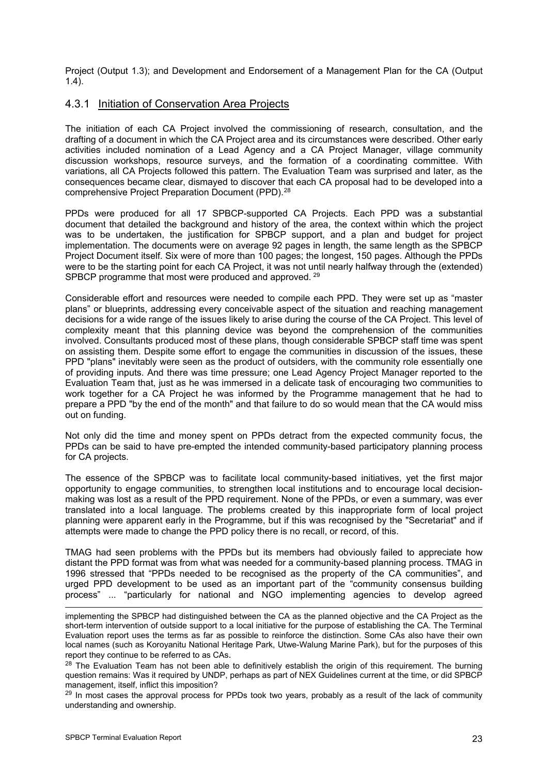Project (Output 1.3); and Development and Endorsement of a Management Plan for the CA (Output 1.4).

### 4.3.1 Initiation of Conservation Area Projects

The initiation of each CA Project involved the commissioning of research, consultation, and the drafting of a document in which the CA Project area and its circumstances were described. Other early activities included nomination of a Lead Agency and a CA Project Manager, village community discussion workshops, resource surveys, and the formation of a coordinating committee. With variations, all CA Projects followed this pattern. The Evaluation Team was surprised and later, as the consequences became clear, dismayed to discover that each CA proposal had to be developed into a comprehensive Project Preparation Document (PPD).<sup>[2](#page-26-0)8</sup>

PPDs were produced for all 17 SPBCP-supported CA Projects. Each PPD was a substantial document that detailed the background and history of the area, the context within which the project was to be undertaken, the justification for SPBCP support, and a plan and budget for project implementation. The documents were on average 92 pages in length, the same length as the SPBCP Project Document itself. Six were of more than 100 pages; the longest, 150 pages. Although the PPDs were to be the starting point for each CA Project, it was not until nearly halfway through the (extended) SPBCP programme that most were produced and approved. <sup>[2](#page-26-1)9</sup>

Considerable effort and resources were needed to compile each PPD. They were set up as "master plans" or blueprints, addressing every conceivable aspect of the situation and reaching management decisions for a wide range of the issues likely to arise during the course of the CA Project. This level of complexity meant that this planning device was beyond the comprehension of the communities involved. Consultants produced most of these plans, though considerable SPBCP staff time was spent on assisting them. Despite some effort to engage the communities in discussion of the issues, these PPD "plans" inevitably were seen as the product of outsiders, with the community role essentially one of providing inputs. And there was time pressure; one Lead Agency Project Manager reported to the Evaluation Team that, just as he was immersed in a delicate task of encouraging two communities to work together for a CA Project he was informed by the Programme management that he had to prepare a PPD "by the end of the month" and that failure to do so would mean that the CA would miss out on funding.

Not only did the time and money spent on PPDs detract from the expected community focus, the PPDs can be said to have pre-empted the intended community-based participatory planning process for CA projects.

The essence of the SPBCP was to facilitate local community-based initiatives, yet the first major opportunity to engage communities, to strengthen local institutions and to encourage local decisionmaking was lost as a result of the PPD requirement. None of the PPDs, or even a summary, was ever translated into a local language. The problems created by this inappropriate form of local project planning were apparent early in the Programme, but if this was recognised by the "Secretariat" and if attempts were made to change the PPD policy there is no recall, or record, of this.

TMAG had seen problems with the PPDs but its members had obviously failed to appreciate how distant the PPD format was from what was needed for a community-based planning process. TMAG in 1996 stressed that "PPDs needed to be recognised as the property of the CA communities", and urged PPD development to be used as an important part of the "community consensus building process" ... "particularly for national and NGO implementing agencies to develop agreed

implementing the SPBCP had distinguished between the CA as the planned objective and the CA Project as the short-term intervention of outside support to a local initiative for the purpose of establishing the CA. The Terminal Evaluation report uses the terms as far as possible to reinforce the distinction. Some CAs also have their own local names (such as Koroyanitu National Heritage Park, Utwe-Walung Marine Park), but for the purposes of this report they continue to be referred to as CAs.<br><sup>28</sup> The Evaluation Team has not been able to definitively establish the origin of this requirement. The burning

<span id="page-26-0"></span>question remains: Was it required by UNDP, perhaps as part of NEX Guidelines current at the time, or did SPBCP management, itself, inflict this imposition?

<span id="page-26-1"></span> $^{29}$  In most cases the approval process for PPDs took two years, probably as a result of the lack of community understanding and ownership.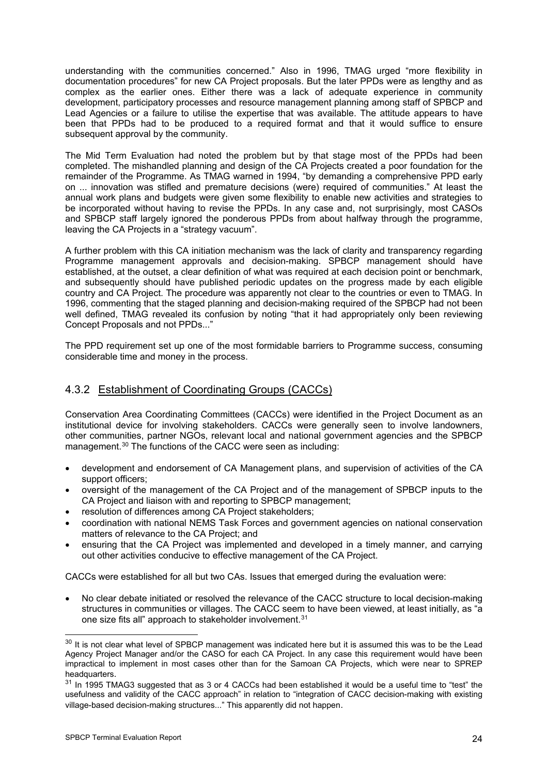understanding with the communities concerned." Also in 1996, TMAG urged "more flexibility in documentation procedures" for new CA Project proposals. But the later PPDs were as lengthy and as complex as the earlier ones. Either there was a lack of adequate experience in community development, participatory processes and resource management planning among staff of SPBCP and Lead Agencies or a failure to utilise the expertise that was available. The attitude appears to have been that PPDs had to be produced to a required format and that it would suffice to ensure subsequent approval by the community.

The Mid Term Evaluation had noted the problem but by that stage most of the PPDs had been completed. The mishandled planning and design of the CA Projects created a poor foundation for the remainder of the Programme. As TMAG warned in 1994, "by demanding a comprehensive PPD early on ... innovation was stifled and premature decisions (were) required of communities." At least the annual work plans and budgets were given some flexibility to enable new activities and strategies to be incorporated without having to revise the PPDs. In any case and, not surprisingly, most CASOs and SPBCP staff largely ignored the ponderous PPDs from about halfway through the programme, leaving the CA Projects in a "strategy vacuum".

A further problem with this CA initiation mechanism was the lack of clarity and transparency regarding Programme management approvals and decision-making. SPBCP management should have established, at the outset, a clear definition of what was required at each decision point or benchmark, and subsequently should have published periodic updates on the progress made by each eligible country and CA Project. The procedure was apparently not clear to the countries or even to TMAG. In 1996, commenting that the staged planning and decision-making required of the SPBCP had not been well defined, TMAG revealed its confusion by noting "that it had appropriately only been reviewing Concept Proposals and not PPDs..."

The PPD requirement set up one of the most formidable barriers to Programme success, consuming considerable time and money in the process.

## 4.3.2 Establishment of Coordinating Groups (CACCs)

Conservation Area Coordinating Committees (CACCs) were identified in the Project Document as an institutional device for involving stakeholders. CACCs were generally seen to involve landowners, other communities, partner NGOs, relevant local and national government agencies and the SPBCP management.<sup>[3](#page-27-0)0</sup> The functions of the CACC were seen as including:

- development and endorsement of CA Management plans, and supervision of activities of the CA support officers;
- oversight of the management of the CA Project and of the management of SPBCP inputs to the CA Project and liaison with and reporting to SPBCP management;
- resolution of differences among CA Project stakeholders;
- coordination with national NEMS Task Forces and government agencies on national conservation matters of relevance to the CA Project; and
- ensuring that the CA Project was implemented and developed in a timely manner, and carrying out other activities conducive to effective management of the CA Project.

CACCs were established for all but two CAs. Issues that emerged during the evaluation were:

• No clear debate initiated or resolved the relevance of the CACC structure to local decision-making structures in communities or villages. The CACC seem to have been viewed, at least initially, as "a one size fits all" approach to stakeholder involvement.<sup>[31](#page-27-1)</sup>

<span id="page-27-0"></span><sup>-</sup><sup>30</sup> It is not clear what level of SPBCP management was indicated here but it is assumed this was to be the Lead Agency Project Manager and/or the CASO for each CA Project. In any case this requirement would have been impractical to implement in most cases other than for the Samoan CA Projects, which were near to SPREP headquarters.<br><sup>31</sup> In 1995 TMAG3 suggested that as 3 or 4 CACCs had been established it would be a useful time to "test" the

<span id="page-27-1"></span>usefulness and validity of the CACC approach" in relation to "integration of CACC decision-making with existing village-based decision-making structures..." This apparently did not happen.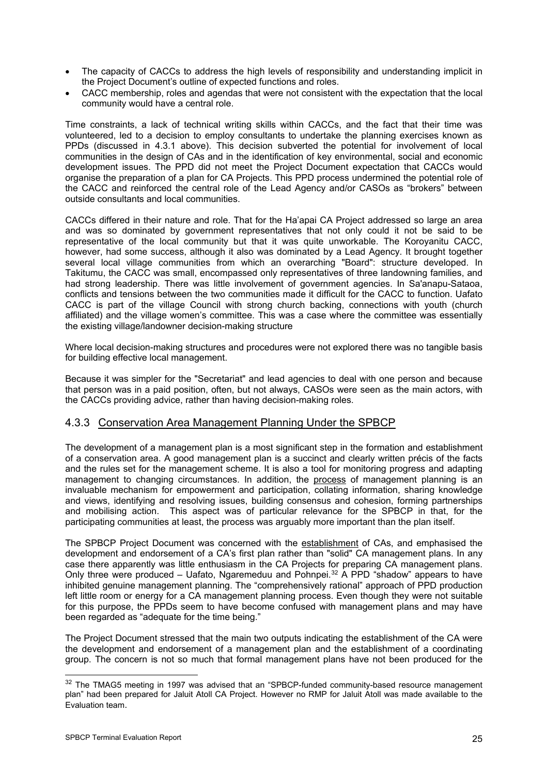- The capacity of CACCs to address the high levels of responsibility and understanding implicit in the Project Document's outline of expected functions and roles.
- CACC membership, roles and agendas that were not consistent with the expectation that the local community would have a central role.

Time constraints, a lack of technical writing skills within CACCs, and the fact that their time was volunteered, led to a decision to employ consultants to undertake the planning exercises known as PPDs (discussed in 4.3.1 above). This decision subverted the potential for involvement of local communities in the design of CAs and in the identification of key environmental, social and economic development issues. The PPD did not meet the Project Document expectation that CACCs would organise the preparation of a plan for CA Projects. This PPD process undermined the potential role of the CACC and reinforced the central role of the Lead Agency and/or CASOs as "brokers" between outside consultants and local communities.

CACCs differed in their nature and role. That for the Ha'apai CA Project addressed so large an area and was so dominated by government representatives that not only could it not be said to be representative of the local community but that it was quite unworkable. The Koroyanitu CACC, however, had some success, although it also was dominated by a Lead Agency. It brought together several local village communities from which an overarching "Board": structure developed. In Takitumu, the CACC was small, encompassed only representatives of three landowning families, and had strong leadership. There was little involvement of government agencies. In Sa'anapu-Sataoa, conflicts and tensions between the two communities made it difficult for the CACC to function. Uafato CACC is part of the village Council with strong church backing, connections with youth (church affiliated) and the village women's committee. This was a case where the committee was essentially the existing village/landowner decision-making structure

Where local decision-making structures and procedures were not explored there was no tangible basis for building effective local management.

Because it was simpler for the "Secretariat" and lead agencies to deal with one person and because that person was in a paid position, often, but not always, CASOs were seen as the main actors, with the CACCs providing advice, rather than having decision-making roles.

### 4.3.3 Conservation Area Management Planning Under the SPBCP

The development of a management plan is a most significant step in the formation and establishment of a conservation area. A good management plan is a succinct and clearly written précis of the facts and the rules set for the management scheme. It is also a tool for monitoring progress and adapting management to changing circumstances. In addition, the process of management planning is an invaluable mechanism for empowerment and participation, collating information, sharing knowledge and views, identifying and resolving issues, building consensus and cohesion, forming partnerships and mobilising action. This aspect was of particular relevance for the SPBCP in that, for the participating communities at least, the process was arguably more important than the plan itself.

The SPBCP Project Document was concerned with the establishment of CAs, and emphasised the development and endorsement of a CA's first plan rather than "solid" CA management plans. In any case there apparently was little enthusiasm in the CA Projects for preparing CA management plans. Only three were produced – Uafato, Ngaremeduu and Pohnpei.<sup>[32](#page-28-0)</sup> A PPD "shadow" appears to have inhibited genuine management planning. The "comprehensively rational" approach of PPD production left little room or energy for a CA management planning process. Even though they were not suitable for this purpose, the PPDs seem to have become confused with management plans and may have been regarded as "adequate for the time being."

The Project Document stressed that the main two outputs indicating the establishment of the CA were the development and endorsement of a management plan and the establishment of a coordinating group. The concern is not so much that formal management plans have not been produced for the

<span id="page-28-0"></span> $32$  The TMAG5 meeting in 1997 was advised that an "SPBCP-funded community-based resource management plan" had been prepared for Jaluit Atoll CA Project. However no RMP for Jaluit Atoll was made available to the Evaluation team.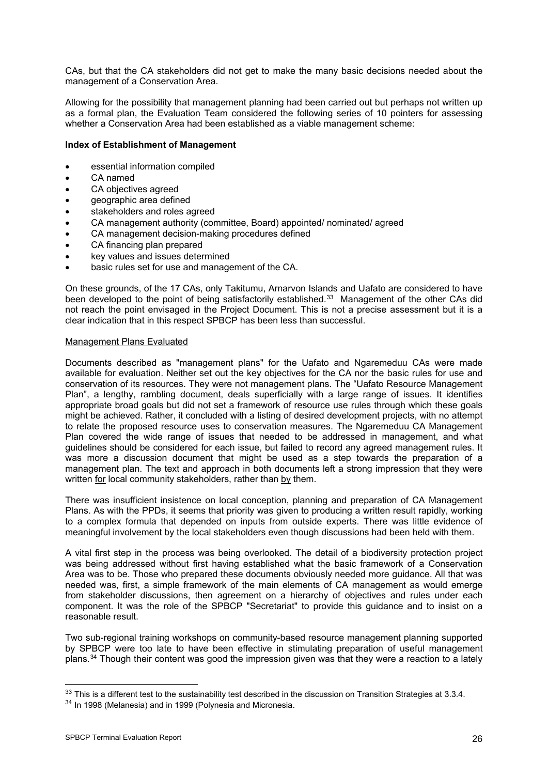CAs, but that the CA stakeholders did not get to make the many basic decisions needed about the management of a Conservation Area.

Allowing for the possibility that management planning had been carried out but perhaps not written up as a formal plan, the Evaluation Team considered the following series of 10 pointers for assessing whether a Conservation Area had been established as a viable management scheme:

#### **Index of Establishment of Management**

- essential information compiled
- CA named
- CA objectives agreed
- geographic area defined
- stakeholders and roles agreed
- CA management authority (committee, Board) appointed/ nominated/ agreed
- CA management decision-making procedures defined
- CA financing plan prepared
- key values and issues determined
- basic rules set for use and management of the CA.

On these grounds, of the 17 CAs, only Takitumu, Arnarvon Islands and Uafato are considered to have been developed to the point of being satisfactorily established.[33](#page-29-0) Management of the other CAs did not reach the point envisaged in the Project Document. This is not a precise assessment but it is a clear indication that in this respect SPBCP has been less than successful.

### Management Plans Evaluated

Documents described as "management plans" for the Uafato and Ngaremeduu CAs were made available for evaluation. Neither set out the key objectives for the CA nor the basic rules for use and conservation of its resources. They were not management plans. The "Uafato Resource Management Plan", a lengthy, rambling document, deals superficially with a large range of issues. It identifies appropriate broad goals but did not set a framework of resource use rules through which these goals might be achieved. Rather, it concluded with a listing of desired development projects, with no attempt to relate the proposed resource uses to conservation measures. The Ngaremeduu CA Management Plan covered the wide range of issues that needed to be addressed in management, and what guidelines should be considered for each issue, but failed to record any agreed management rules. It was more a discussion document that might be used as a step towards the preparation of a management plan. The text and approach in both documents left a strong impression that they were written for local community stakeholders, rather than by them.

There was insufficient insistence on local conception, planning and preparation of CA Management Plans. As with the PPDs, it seems that priority was given to producing a written result rapidly, working to a complex formula that depended on inputs from outside experts. There was little evidence of meaningful involvement by the local stakeholders even though discussions had been held with them.

A vital first step in the process was being overlooked. The detail of a biodiversity protection project was being addressed without first having established what the basic framework of a Conservation Area was to be. Those who prepared these documents obviously needed more guidance. All that was needed was, first, a simple framework of the main elements of CA management as would emerge from stakeholder discussions, then agreement on a hierarchy of objectives and rules under each component. It was the role of the SPBCP "Secretariat" to provide this guidance and to insist on a reasonable result.

Two sub-regional training workshops on community-based resource management planning supported by SPBCP were too late to have been effective in stimulating preparation of useful management plans.[34](#page-29-1) Though their content was good the impression given was that they were a reaction to a lately

<span id="page-29-0"></span> $33$  This is a different test to the sustainability test described in the discussion on Transition Strategies at  $3.3.4$ .

<span id="page-29-1"></span><sup>&</sup>lt;sup>34</sup> In 1998 (Melanesia) and in 1999 (Polynesia and Micronesia.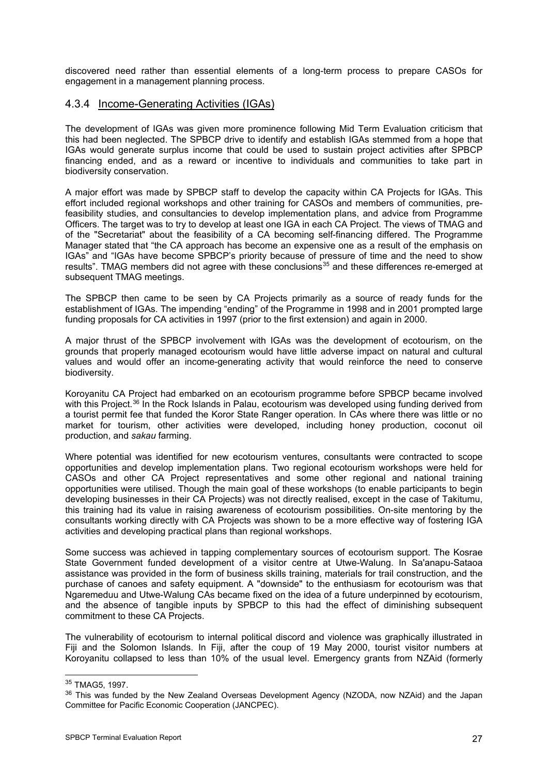discovered need rather than essential elements of a long-term process to prepare CASOs for engagement in a management planning process.

## 4.3.4 Income-Generating Activities (IGAs)

The development of IGAs was given more prominence following Mid Term Evaluation criticism that this had been neglected. The SPBCP drive to identify and establish IGAs stemmed from a hope that IGAs would generate surplus income that could be used to sustain project activities after SPBCP financing ended, and as a reward or incentive to individuals and communities to take part in biodiversity conservation.

A major effort was made by SPBCP staff to develop the capacity within CA Projects for IGAs. This effort included regional workshops and other training for CASOs and members of communities, prefeasibility studies, and consultancies to develop implementation plans, and advice from Programme Officers. The target was to try to develop at least one IGA in each CA Project. The views of TMAG and of the "Secretariat" about the feasibility of a CA becoming self-financing differed. The Programme Manager stated that "the CA approach has become an expensive one as a result of the emphasis on IGAs" and "IGAs have become SPBCP's priority because of pressure of time and the need to show results". TMAG members did not agree with these conclusions<sup>[35](#page-30-0)</sup> and these differences re-emerged at subsequent TMAG meetings.

The SPBCP then came to be seen by CA Projects primarily as a source of ready funds for the establishment of IGAs. The impending "ending" of the Programme in 1998 and in 2001 prompted large funding proposals for CA activities in 1997 (prior to the first extension) and again in 2000.

A major thrust of the SPBCP involvement with IGAs was the development of ecotourism, on the grounds that properly managed ecotourism would have little adverse impact on natural and cultural values and would offer an income-generating activity that would reinforce the need to conserve biodiversity.

Koroyanitu CA Project had embarked on an ecotourism programme before SPBCP became involved with this Project.<sup>[3](#page-30-1)6</sup> In the Rock Islands in Palau, ecotourism was developed using funding derived from a tourist permit fee that funded the Koror State Ranger operation. In CAs where there was little or no market for tourism, other activities were developed, including honey production, coconut oil production, and *sakau* farming.

Where potential was identified for new ecotourism ventures, consultants were contracted to scope opportunities and develop implementation plans. Two regional ecotourism workshops were held for CASOs and other CA Project representatives and some other regional and national training opportunities were utilised. Though the main goal of these workshops (to enable participants to begin developing businesses in their CA Projects) was not directly realised, except in the case of Takitumu, this training had its value in raising awareness of ecotourism possibilities. On-site mentoring by the consultants working directly with CA Projects was shown to be a more effective way of fostering IGA activities and developing practical plans than regional workshops.

Some success was achieved in tapping complementary sources of ecotourism support. The Kosrae State Government funded development of a visitor centre at Utwe-Walung. In Sa'anapu-Sataoa assistance was provided in the form of business skills training, materials for trail construction, and the purchase of canoes and safety equipment. A "downside" to the enthusiasm for ecotourism was that Ngaremeduu and Utwe-Walung CAs became fixed on the idea of a future underpinned by ecotourism, and the absence of tangible inputs by SPBCP to this had the effect of diminishing subsequent commitment to these CA Projects.

The vulnerability of ecotourism to internal political discord and violence was graphically illustrated in Fiji and the Solomon Islands. In Fiji, after the coup of 19 May 2000, tourist visitor numbers at Koroyanitu collapsed to less than 10% of the usual level. Emergency grants from NZAid (formerly

<span id="page-30-1"></span><span id="page-30-0"></span> $35$  TMAG5, 1997.<br> $35$  This was funded by the New Zealand Overseas Development Agency (NZODA, now NZAid) and the Japan Committee for Pacific Economic Cooperation (JANCPEC).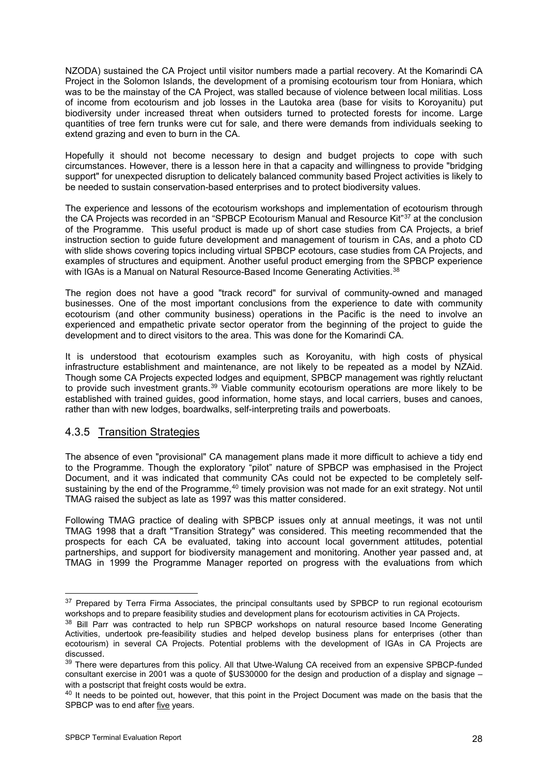NZODA) sustained the CA Project until visitor numbers made a partial recovery. At the Komarindi CA Project in the Solomon Islands, the development of a promising ecotourism tour from Honiara, which was to be the mainstay of the CA Project, was stalled because of violence between local militias. Loss of income from ecotourism and job losses in the Lautoka area (base for visits to Koroyanitu) put biodiversity under increased threat when outsiders turned to protected forests for income. Large quantities of tree fern trunks were cut for sale, and there were demands from individuals seeking to extend grazing and even to burn in the CA.

Hopefully it should not become necessary to design and budget projects to cope with such circumstances. However, there is a lesson here in that a capacity and willingness to provide "bridging support" for unexpected disruption to delicately balanced community based Project activities is likely to be needed to sustain conservation-based enterprises and to protect biodiversity values.

The experience and lessons of the ecotourism workshops and implementation of ecotourism through the CA Projects was recorded in an "SPBCP Ecotourism Manual and Resource Kit"[37](#page-31-0) at the conclusion of the Programme. This useful product is made up of short case studies from CA Projects, a brief instruction section to guide future development and management of tourism in CAs, and a photo CD with slide shows covering topics including virtual SPBCP ecotours, case studies from CA Projects, and examples of structures and equipment. Another useful product emerging from the SPBCP experience with IGAs is a Manual on Natural Resource-Based Income Generating Activities.<sup>[38](#page-31-1)</sup>

The region does not have a good "track record" for survival of community-owned and managed businesses. One of the most important conclusions from the experience to date with community ecotourism (and other community business) operations in the Pacific is the need to involve an experienced and empathetic private sector operator from the beginning of the project to guide the development and to direct visitors to the area. This was done for the Komarindi CA.

It is understood that ecotourism examples such as Koroyanitu, with high costs of physical infrastructure establishment and maintenance, are not likely to be repeated as a model by NZAid. Though some CA Projects expected lodges and equipment, SPBCP management was rightly reluctant to provide such investment grants.<sup>[39](#page-31-2)</sup> Viable community ecotourism operations are more likely to be established with trained guides, good information, home stays, and local carriers, buses and canoes, rather than with new lodges, boardwalks, self-interpreting trails and powerboats.

### 4.3.5 Transition Strategies

The absence of even "provisional" CA management plans made it more difficult to achieve a tidy end to the Programme. Though the exploratory "pilot" nature of SPBCP was emphasised in the Project Document, and it was indicated that community CAs could not be expected to be completely self-sustaining by the end of the Programme,<sup>[40](#page-31-3)</sup> timely provision was not made for an exit strategy. Not until TMAG raised the subject as late as 1997 was this matter considered.

Following TMAG practice of dealing with SPBCP issues only at annual meetings, it was not until TMAG 1998 that a draft "Transition Strategy" was considered. This meeting recommended that the prospects for each CA be evaluated, taking into account local government attitudes, potential partnerships, and support for biodiversity management and monitoring. Another year passed and, at TMAG in 1999 the Programme Manager reported on progress with the evaluations from which

<span id="page-31-0"></span><sup>&</sup>lt;sup>37</sup> Prepared by Terra Firma Associates, the principal consultants used by SPBCP to run regional ecotourism workshops and to prepare feasibility studies and development plans for ecotourism activities in CA Projects.<br><sup>38</sup> Bill Parr was contracted to help run SPBCP workshops on natural resource based Income Generating

<span id="page-31-1"></span>Activities, undertook pre-feasibility studies and helped develop business plans for enterprises (other than ecotourism) in several CA Projects. Potential problems with the development of IGAs in CA Projects are discussed.<br><sup>39</sup> There were departures from this policy. All that Utwe-Walung CA received from an expensive SPBCP-funded

<span id="page-31-2"></span>consultant exercise in 2001 was a quote of \$US30000 for the design and production of a display and signage – with a postscript that freight costs would be extra.<br><sup>40</sup> It needs to be pointed out, however, that this point in the Project Document was made on the basis that the

<span id="page-31-3"></span>SPBCP was to end after five years.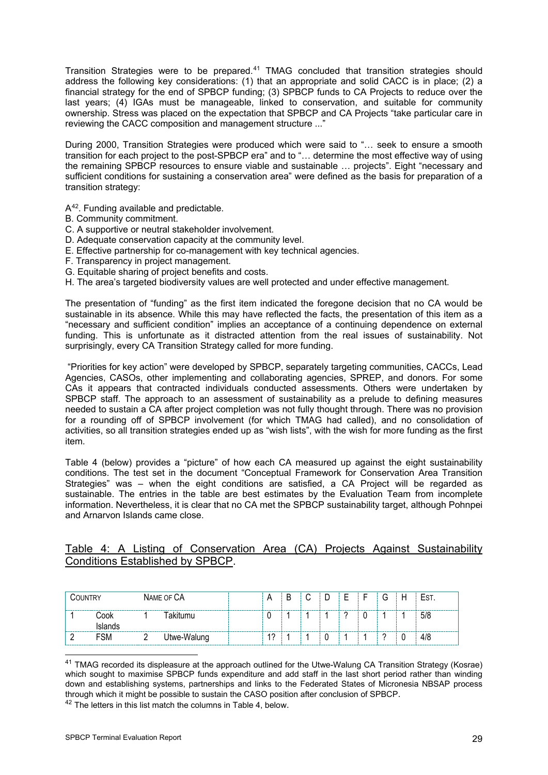Transition Strategies were to be prepared.[4](#page-32-0)1 TMAG concluded that transition strategies should address the following key considerations: (1) that an appropriate and solid CACC is in place; (2) a financial strategy for the end of SPBCP funding; (3) SPBCP funds to CA Projects to reduce over the last years; (4) IGAs must be manageable, linked to conservation, and suitable for community ownership. Stress was placed on the expectation that SPBCP and CA Projects "take particular care in reviewing the CACC composition and management structure ..."

During 2000, Transition Strategies were produced which were said to "… seek to ensure a smooth transition for each project to the post-SPBCP era" and to "… determine the most effective way of using the remaining SPBCP resources to ensure viable and sustainable … projects". Eight "necessary and sufficient conditions for sustaining a conservation area" were defined as the basis for preparation of a transition strategy:

A[42](#page-32-1). Funding available and predictable.

- B. Community commitment.
- C. A supportive or neutral stakeholder involvement.
- D. Adequate conservation capacity at the community level.
- E. Effective partnership for co-management with key technical agencies.
- F. Transparency in project management.
- G. Equitable sharing of project benefits and costs.
- H. The area's targeted biodiversity values are well protected and under effective management.

The presentation of "funding" as the first item indicated the foregone decision that no CA would be sustainable in its absence. While this may have reflected the facts, the presentation of this item as a "necessary and sufficient condition" implies an acceptance of a continuing dependence on external funding. This is unfortunate as it distracted attention from the real issues of sustainability. Not surprisingly, every CA Transition Strategy called for more funding.

"Priorities for key action" were developed by SPBCP, separately targeting communities, CACCs, Lead Agencies, CASOs, other implementing and collaborating agencies, SPREP, and donors. For some CAs it appears that contracted individuals conducted assessments. Others were undertaken by SPBCP staff. The approach to an assessment of sustainability as a prelude to defining measures needed to sustain a CA after project completion was not fully thought through. There was no provision for a rounding off of SPBCP involvement (for which TMAG had called), and no consolidation of activities, so all transition strategies ended up as "wish lists", with the wish for more funding as the first item.

Table 4 (below) provides a "picture" of how each CA measured up against the eight sustainability conditions. The test set in the document "Conceptual Framework for Conservation Area Transition Strategies" was – when the eight conditions are satisfied, a CA Project will be regarded as sustainable. The entries in the table are best estimates by the Evaluation Team from incomplete information. Nevertheless, it is clear that no CA met the SPBCP sustainability target, although Pohnpei and Arnarvon Islands came close.

### Table 4: A Listing of Conservation Area (CA) Projects Against Sustainability Conditions Established by SPBCP.

| COUNTRY |                 | NAME OF CA  | A          | B | ⌒<br>ັ | ◡ |   |   | ⌒<br>U | H               | EST. |
|---------|-----------------|-------------|------------|---|--------|---|---|---|--------|-----------------|------|
|         | Cook<br>Islands | Takitumu    | U          |   |        |   | ◠ | 0 |        |                 | 5/8  |
|         | <b>FSM</b>      | Utwe-Walung | $\sqrt{2}$ |   |        | υ |   |   | $\sim$ | $\sqrt{2}$<br>ν | 4/8  |

<span id="page-32-0"></span><sup>-</sup><sup>41</sup> TMAG recorded its displeasure at the approach outlined for the Utwe-Walung CA Transition Strategy (Kosrae) which sought to maximise SPBCP funds expenditure and add staff in the last short period rather than winding down and establishing systems, partnerships and links to the Federated States of Micronesia NBSAP process through which it might be possible to sustain the CASO position after conclusion of SPBCP.<br><sup>42</sup> The letters in this list match the columns in Table 4, below.

<span id="page-32-1"></span>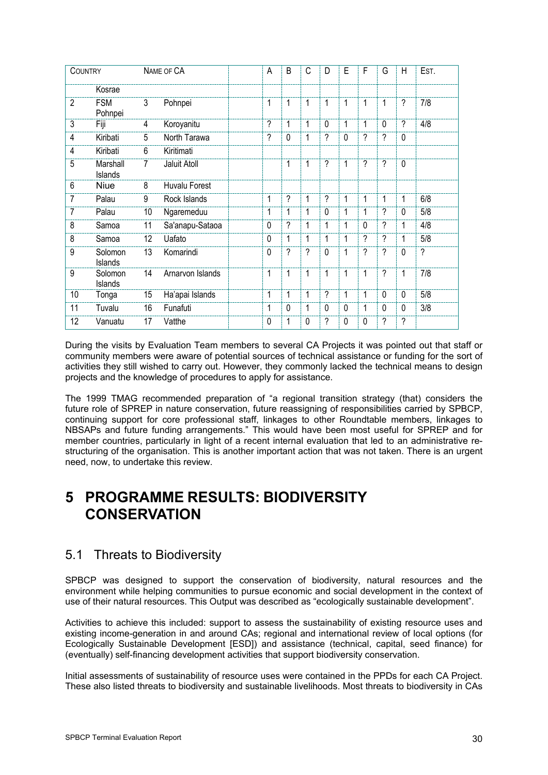| <b>COUNTRY</b> |                       |                | NAME OF CA           | A              | B            | C                        | D            | E            | F                        | G              | H                        | EST.                     |
|----------------|-----------------------|----------------|----------------------|----------------|--------------|--------------------------|--------------|--------------|--------------------------|----------------|--------------------------|--------------------------|
|                | Kosrae                |                |                      |                |              |                          |              |              |                          |                |                          |                          |
| $\overline{2}$ | <b>FSM</b><br>Pohnpei | 3              | Pohnpei              | 1              | 1            | 1                        | $\mathbf{1}$ | 1            | 1                        | 1              | $\overline{\phantom{a}}$ | 7/8                      |
| 3              | Fiji                  | 4              | Koroyanitu           | $\overline{?}$ | 1            | 1                        | $\Omega$     | 1            | 1                        | $\Omega$       | $\overline{?}$           | 4/8                      |
| 4              | Kiribati              | 5              | North Tarawa         | ?              | $\mathbf{0}$ | 1                        | $\gamma$     | $\Omega$     | ?                        | ?              | $\Omega$                 |                          |
| 4              | Kiribati              | 6              | Kiritimati           |                |              |                          |              |              |                          |                |                          |                          |
| 5              | Marshall<br>Islands   | $\overline{7}$ | Jaluit Atoll         |                | 1            | 1                        | ?            | 1            | $\overline{\phantom{a}}$ | ?              | $\mathbf 0$              |                          |
| 6              | Niue                  | 8              | <b>Huvalu Forest</b> |                |              |                          |              |              |                          |                |                          |                          |
| 7              | Palau                 | 9              | Rock Islands         | $\mathbf{1}$   | ?            | 1                        | $\gamma$     | 1            | 1                        | 1              | 1                        | 6/8                      |
| 7              | Palau                 | 10             | Ngaremeduu           | 1              | 1            | 1                        | $\Omega$     | 1            | 1                        | ?              | 0                        | 5/8                      |
| 8              | Samoa                 | 11             | Sa'anapu-Sataoa      | $\Omega$       | ?            | 1                        | 1            | 1            | $\Omega$                 | ?              | 1                        | 4/8                      |
| 8              | Samoa                 | 12             | Uafato               | $\Omega$       | 1            | 1                        | 1            | 1            | $\overline{2}$           | ?              | 1                        | 5/8                      |
| 9              | Solomon<br>Islands    | 13             | Komarindi            | $\mathbf{0}$   | ?            | $\overline{\phantom{a}}$ | $\mathbf{0}$ | 1            | ?                        | ?              | $\mathbf{0}$             | $\overline{\phantom{0}}$ |
| 9              | Solomon<br>Islands    | 14             | Arnarvon Islands     | 1              | 1            | 1                        | 1            | $\mathbf{1}$ | 1                        | ?              | 1                        | 7/8                      |
| 10             | Tonga                 | 15             | Ha'apai Islands      | 1              | 1            | 1                        | $\gamma$     | 1            | 1                        | $\Omega$       | $\Omega$                 | 5/8                      |
| 11             | Tuvalu                | 16             | Funafuti             | 1              | $\mathbf{0}$ | 1                        | $\Omega$     | $\Omega$     | 1                        | $\Omega$       | $\Omega$                 | 3/8                      |
| 12             | Vanuatu               | 17             | Vatthe               | 0              | 1            | 0                        | ?            | $\Omega$     | $\Omega$                 | $\overline{?}$ | ?                        |                          |

During the visits by Evaluation Team members to several CA Projects it was pointed out that staff or community members were aware of potential sources of technical assistance or funding for the sort of activities they still wished to carry out. However, they commonly lacked the technical means to design projects and the knowledge of procedures to apply for assistance.

The 1999 TMAG recommended preparation of "a regional transition strategy (that) considers the future role of SPREP in nature conservation, future reassigning of responsibilities carried by SPBCP, continuing support for core professional staff, linkages to other Roundtable members, linkages to NBSAPs and future funding arrangements." This would have been most useful for SPREP and for member countries, particularly in light of a recent internal evaluation that led to an administrative restructuring of the organisation. This is another important action that was not taken. There is an urgent need, now, to undertake this review.

# **5 PROGRAMME RESULTS: BIODIVERSITY CONSERVATION**

# 5.1 Threats to Biodiversity

SPBCP was designed to support the conservation of biodiversity, natural resources and the environment while helping communities to pursue economic and social development in the context of use of their natural resources. This Output was described as "ecologically sustainable development".

Activities to achieve this included: support to assess the sustainability of existing resource uses and existing income-generation in and around CAs; regional and international review of local options (for Ecologically Sustainable Development [ESD]) and assistance (technical, capital, seed finance) for (eventually) self-financing development activities that support biodiversity conservation.

Initial assessments of sustainability of resource uses were contained in the PPDs for each CA Project. These also listed threats to biodiversity and sustainable livelihoods. Most threats to biodiversity in CAs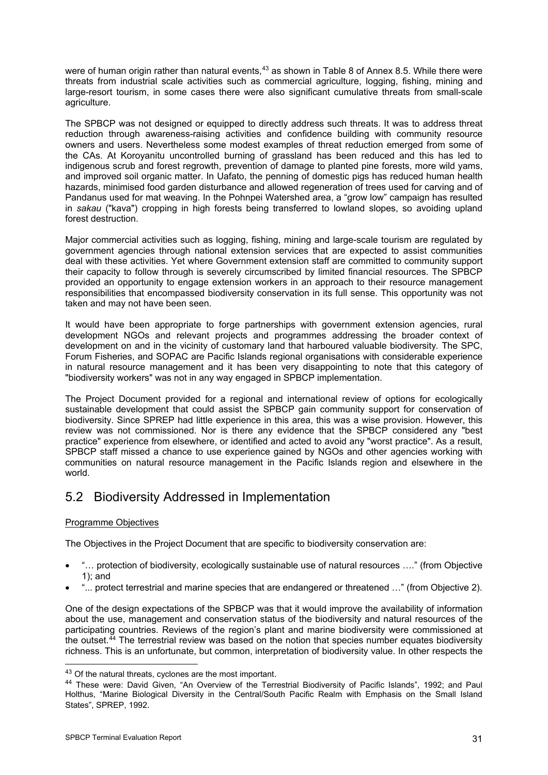were of human origin rather than natural events,<sup>[43](#page-34-0)</sup> as shown in Table 8 of Annex 8.5. While there were threats from industrial scale activities such as commercial agriculture, logging, fishing, mining and large-resort tourism, in some cases there were also significant cumulative threats from small-scale agriculture.

The SPBCP was not designed or equipped to directly address such threats. It was to address threat reduction through awareness-raising activities and confidence building with community resource owners and users. Nevertheless some modest examples of threat reduction emerged from some of the CAs. At Koroyanitu uncontrolled burning of grassland has been reduced and this has led to indigenous scrub and forest regrowth, prevention of damage to planted pine forests, more wild yams, and improved soil organic matter. In Uafato, the penning of domestic pigs has reduced human health hazards, minimised food garden disturbance and allowed regeneration of trees used for carving and of Pandanus used for mat weaving. In the Pohnpei Watershed area, a "grow low" campaign has resulted in *sakau* ("kava") cropping in high forests being transferred to lowland slopes, so avoiding upland forest destruction.

Major commercial activities such as logging, fishing, mining and large-scale tourism are regulated by government agencies through national extension services that are expected to assist communities deal with these activities. Yet where Government extension staff are committed to community support their capacity to follow through is severely circumscribed by limited financial resources. The SPBCP provided an opportunity to engage extension workers in an approach to their resource management responsibilities that encompassed biodiversity conservation in its full sense. This opportunity was not taken and may not have been seen.

It would have been appropriate to forge partnerships with government extension agencies, rural development NGOs and relevant projects and programmes addressing the broader context of development on and in the vicinity of customary land that harboured valuable biodiversity*.* The SPC, Forum Fisheries, and SOPAC are Pacific Islands regional organisations with considerable experience in natural resource management and it has been very disappointing to note that this category of "biodiversity workers" was not in any way engaged in SPBCP implementation.

The Project Document provided for a regional and international review of options for ecologically sustainable development that could assist the SPBCP gain community support for conservation of biodiversity. Since SPREP had little experience in this area, this was a wise provision. However, this review was not commissioned. Nor is there any evidence that the SPBCP considered any "best practice" experience from elsewhere, or identified and acted to avoid any "worst practice". As a result, SPBCP staff missed a chance to use experience gained by NGOs and other agencies working with communities on natural resource management in the Pacific Islands region and elsewhere in the world.

# 5.2 Biodiversity Addressed in Implementation

### Programme Objectives

The Objectives in the Project Document that are specific to biodiversity conservation are:

- "… protection of biodiversity, ecologically sustainable use of natural resources …." (from Objective 1); and
- "... protect terrestrial and marine species that are endangered or threatened …" (from Objective 2).

One of the design expectations of the SPBCP was that it would improve the availability of information about the use, management and conservation status of the biodiversity and natural resources of the participating countries. Reviews of the region's plant and marine biodiversity were commissioned at the outset.<sup>[4](#page-34-1)4</sup> The terrestrial review was based on the notion that species number equates biodiversity richness. This is an unfortunate, but common, interpretation of biodiversity value. In other respects the

<span id="page-34-1"></span><span id="page-34-0"></span><sup>&</sup>lt;sup>43</sup> Of the natural threats, cyclones are the most important.<br><sup>44</sup> These were: David Given, "An Overview of the Terrestrial Biodiversity of Pacific Islands", 1992; and Paul Holthus, "Marine Biological Diversity in the Central/South Pacific Realm with Emphasis on the Small Island States", SPREP, 1992.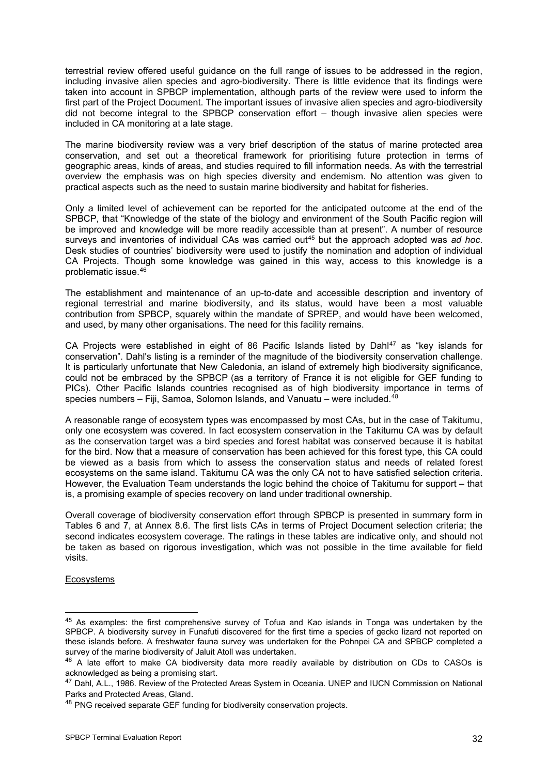terrestrial review offered useful guidance on the full range of issues to be addressed in the region, including invasive alien species and agro-biodiversity. There is little evidence that its findings were taken into account in SPBCP implementation, although parts of the review were used to inform the first part of the Project Document. The important issues of invasive alien species and agro-biodiversity did not become integral to the SPBCP conservation effort – though invasive alien species were included in CA monitoring at a late stage.

The marine biodiversity review was a very brief description of the status of marine protected area conservation, and set out a theoretical framework for prioritising future protection in terms of geographic areas, kinds of areas, and studies required to fill information needs. As with the terrestrial overview the emphasis was on high species diversity and endemism. No attention was given to practical aspects such as the need to sustain marine biodiversity and habitat for fisheries.

Only a limited level of achievement can be reported for the anticipated outcome at the end of the SPBCP, that "Knowledge of the state of the biology and environment of the South Pacific region will be improved and knowledge will be more readily accessible than at present". A number of resource surveys and inventories of individual CAs was carried out[45](#page-35-0) but the approach adopted was *ad hoc*. Desk studies of countries' biodiversity were used to justify the nomination and adoption of individual CA Projects. Though some knowledge was gained in this way, access to this knowledge is a problematic issue.[46](#page-35-1)

The establishment and maintenance of an up-to-date and accessible description and inventory of regional terrestrial and marine biodiversity, and its status, would have been a most valuable contribution from SPBCP, squarely within the mandate of SPREP, and would have been welcomed, and used, by many other organisations. The need for this facility remains.

CA Projects were established in eight of 86 Pacific Islands listed by Dahl<sup>[47](#page-35-2)</sup> as "key islands for conservation". Dahl's listing is a reminder of the magnitude of the biodiversity conservation challenge. It is particularly unfortunate that New Caledonia, an island of extremely high biodiversity significance, could not be embraced by the SPBCP (as a territory of France it is not eligible for GEF funding to PICs). Other Pacific Islands countries recognised as of high biodiversity importance in terms of species numbers – Fiji, Samoa, Solomon Islands, and Vanuatu – were included.<sup>[4](#page-35-3)8</sup>

A reasonable range of ecosystem types was encompassed by most CAs, but in the case of Takitumu, only one ecosystem was covered. In fact ecosystem conservation in the Takitumu CA was by default as the conservation target was a bird species and forest habitat was conserved because it is habitat for the bird. Now that a measure of conservation has been achieved for this forest type, this CA could be viewed as a basis from which to assess the conservation status and needs of related forest ecosystems on the same island. Takitumu CA was the only CA not to have satisfied selection criteria. However, the Evaluation Team understands the logic behind the choice of Takitumu for support – that is, a promising example of species recovery on land under traditional ownership.

Overall coverage of biodiversity conservation effort through SPBCP is presented in summary form in Tables 6 and 7, at Annex 8.6. The first lists CAs in terms of Project Document selection criteria; the second indicates ecosystem coverage. The ratings in these tables are indicative only, and should not be taken as based on rigorous investigation, which was not possible in the time available for field visits.

Ecosystems

<span id="page-35-0"></span><sup>&</sup>lt;sup>45</sup> As examples: the first comprehensive survey of Tofua and Kao islands in Tonga was undertaken by the SPBCP. A biodiversity survey in Funafuti discovered for the first time a species of gecko lizard not reported on these islands before. A freshwater fauna survey was undertaken for the Pohnpei CA and SPBCP completed a survey of the marine biodiversity of Jaluit Atoll was undertaken.<br><sup>46</sup> A late effort to make CA biodiversity data more readily available by distribution on CDs to CASOs is

<span id="page-35-1"></span>acknowledged as being a promising start.<br><sup>47</sup> Dahl, A.L., 1986. Review of the Protected Areas System in Oceania. UNEP and IUCN Commission on National

<span id="page-35-2"></span>Parks and Protected Areas, Gland.<br><sup>48</sup> PNG received separate GEF funding for biodiversity conservation projects.

<span id="page-35-3"></span>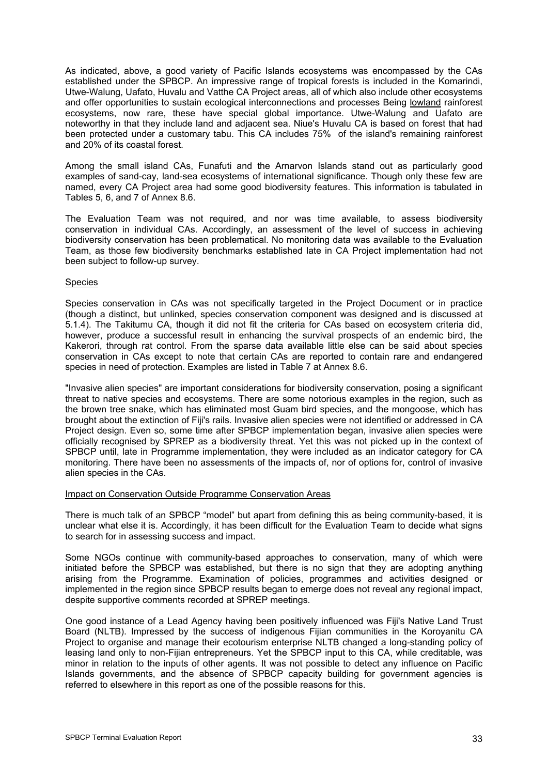As indicated, above, a good variety of Pacific Islands ecosystems was encompassed by the CAs established under the SPBCP. An impressive range of tropical forests is included in the Komarindi, Utwe-Walung, Uafato, Huvalu and Vatthe CA Project areas, all of which also include other ecosystems and offer opportunities to sustain ecological interconnections and processes Being lowland rainforest ecosystems, now rare, these have special global importance. Utwe-Walung and Uafato are noteworthy in that they include land and adjacent sea. Niue's Huvalu CA is based on forest that had been protected under a customary tabu. This CA includes 75% of the island's remaining rainforest and 20% of its coastal forest.

Among the small island CAs, Funafuti and the Arnarvon Islands stand out as particularly good examples of sand-cay, land-sea ecosystems of international significance. Though only these few are named, every CA Project area had some good biodiversity features. This information is tabulated in Tables 5, 6, and 7 of Annex 8.6.

The Evaluation Team was not required, and nor was time available, to assess biodiversity conservation in individual CAs. Accordingly, an assessment of the level of success in achieving biodiversity conservation has been problematical. No monitoring data was available to the Evaluation Team, as those few biodiversity benchmarks established late in CA Project implementation had not been subject to follow-up survey.

#### Species

Species conservation in CAs was not specifically targeted in the Project Document or in practice (though a distinct, but unlinked, species conservation component was designed and is discussed at 5.1.4). The Takitumu CA, though it did not fit the criteria for CAs based on ecosystem criteria did, however, produce a successful result in enhancing the survival prospects of an endemic bird, the Kakerori, through rat control. From the sparse data available little else can be said about species conservation in CAs except to note that certain CAs are reported to contain rare and endangered species in need of protection. Examples are listed in Table 7 at Annex 8.6.

"Invasive alien species" are important considerations for biodiversity conservation, posing a significant threat to native species and ecosystems. There are some notorious examples in the region, such as the brown tree snake, which has eliminated most Guam bird species, and the mongoose, which has brought about the extinction of Fiji's rails. Invasive alien species were not identified or addressed in CA Project design. Even so, some time after SPBCP implementation began, invasive alien species were officially recognised by SPREP as a biodiversity threat. Yet this was not picked up in the context of SPBCP until, late in Programme implementation, they were included as an indicator category for CA monitoring. There have been no assessments of the impacts of, nor of options for, control of invasive alien species in the CAs.

#### Impact on Conservation Outside Programme Conservation Areas

There is much talk of an SPBCP "model" but apart from defining this as being community-based, it is unclear what else it is. Accordingly, it has been difficult for the Evaluation Team to decide what signs to search for in assessing success and impact.

Some NGOs continue with community-based approaches to conservation, many of which were initiated before the SPBCP was established, but there is no sign that they are adopting anything arising from the Programme. Examination of policies, programmes and activities designed or implemented in the region since SPBCP results began to emerge does not reveal any regional impact, despite supportive comments recorded at SPREP meetings.

One good instance of a Lead Agency having been positively influenced was Fiji's Native Land Trust Board (NLTB). Impressed by the success of indigenous Fijian communities in the Koroyanitu CA Project to organise and manage their ecotourism enterprise NLTB changed a long-standing policy of leasing land only to non-Fijian entrepreneurs. Yet the SPBCP input to this CA, while creditable, was minor in relation to the inputs of other agents. It was not possible to detect any influence on Pacific Islands governments, and the absence of SPBCP capacity building for government agencies is referred to elsewhere in this report as one of the possible reasons for this.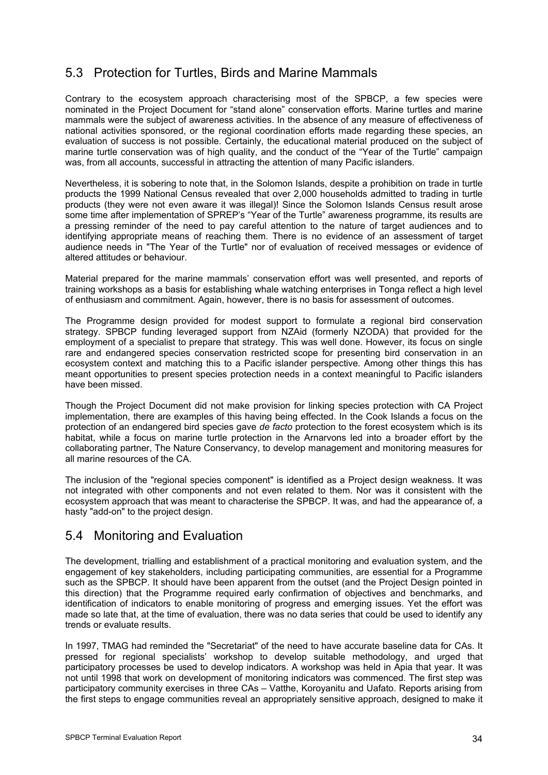# 5.3 Protection for Turtles, Birds and Marine Mammals

Contrary to the ecosystem approach characterising most of the SPBCP, a few species were nominated in the Project Document for "stand alone" conservation efforts. Marine turtles and marine mammals were the subject of awareness activities. In the absence of any measure of effectiveness of national activities sponsored, or the regional coordination efforts made regarding these species, an evaluation of success is not possible. Certainly, the educational material produced on the subject of marine turtle conservation was of high quality, and the conduct of the "Year of the Turtle" campaign was, from all accounts, successful in attracting the attention of many Pacific islanders.

Nevertheless, it is sobering to note that, in the Solomon Islands, despite a prohibition on trade in turtle products the 1999 National Census revealed that over 2,000 households admitted to trading in turtle products (they were not even aware it was illegal)! Since the Solomon Islands Census result arose some time after implementation of SPREP's "Year of the Turtle" awareness programme, its results are a pressing reminder of the need to pay careful attention to the nature of target audiences and to identifying appropriate means of reaching them. There is no evidence of an assessment of target audience needs in "The Year of the Turtle" nor of evaluation of received messages or evidence of altered attitudes or behaviour.

Material prepared for the marine mammals' conservation effort was well presented, and reports of training workshops as a basis for establishing whale watching enterprises in Tonga reflect a high level of enthusiasm and commitment. Again, however, there is no basis for assessment of outcomes.

The Programme design provided for modest support to formulate a regional bird conservation strategy. SPBCP funding leveraged support from NZAid (formerly NZODA) that provided for the employment of a specialist to prepare that strategy. This was well done. However, its focus on single rare and endangered species conservation restricted scope for presenting bird conservation in an ecosystem context and matching this to a Pacific islander perspective. Among other things this has meant opportunities to present species protection needs in a context meaningful to Pacific islanders have been missed.

Though the Project Document did not make provision for linking species protection with CA Project implementation, there are examples of this having being effected. In the Cook Islands a focus on the protection of an endangered bird species gave *de facto* protection to the forest ecosystem which is its habitat, while a focus on marine turtle protection in the Arnarvons led into a broader effort by the collaborating partner, The Nature Conservancy, to develop management and monitoring measures for all marine resources of the CA.

The inclusion of the "regional species component" is identified as a Project design weakness. It was not integrated with other components and not even related to them. Nor was it consistent with the ecosystem approach that was meant to characterise the SPBCP. It was, and had the appearance of, a hasty "add-on" to the project design.

## 5.4 Monitoring and Evaluation

The development, trialling and establishment of a practical monitoring and evaluation system, and the engagement of key stakeholders, including participating communities, are essential for a Programme such as the SPBCP. It should have been apparent from the outset (and the Project Design pointed in this direction) that the Programme required early confirmation of objectives and benchmarks, and identification of indicators to enable monitoring of progress and emerging issues. Yet the effort was made so late that, at the time of evaluation, there was no data series that could be used to identify any trends or evaluate results.

In 1997, TMAG had reminded the "Secretariat" of the need to have accurate baseline data for CAs. It pressed for regional specialists' workshop to develop suitable methodology, and urged that participatory processes be used to develop indicators. A workshop was held in Apia that year. It was not until 1998 that work on development of monitoring indicators was commenced. The first step was participatory community exercises in three CAs – Vatthe, Koroyanitu and Uafato. Reports arising from the first steps to engage communities reveal an appropriately sensitive approach, designed to make it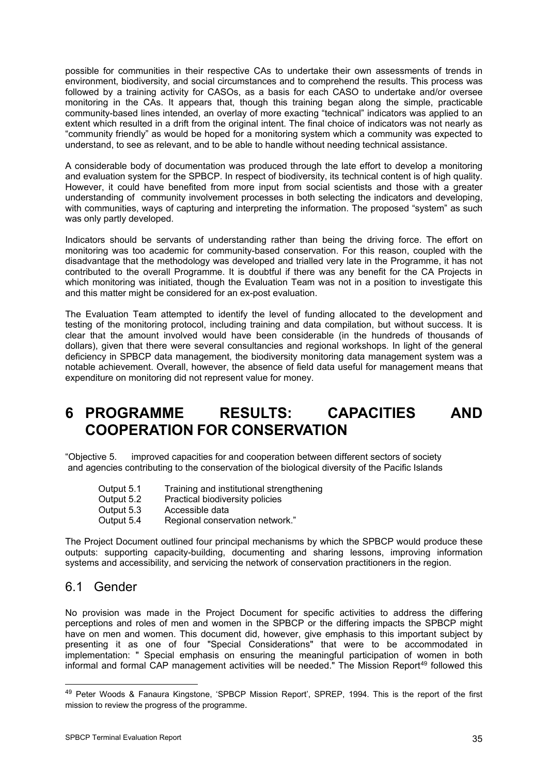possible for communities in their respective CAs to undertake their own assessments of trends in environment, biodiversity, and social circumstances and to comprehend the results. This process was followed by a training activity for CASOs, as a basis for each CASO to undertake and/or oversee monitoring in the CAs. It appears that, though this training began along the simple, practicable community-based lines intended, an overlay of more exacting "technical" indicators was applied to an extent which resulted in a drift from the original intent. The final choice of indicators was not nearly as "community friendly" as would be hoped for a monitoring system which a community was expected to understand, to see as relevant, and to be able to handle without needing technical assistance.

A considerable body of documentation was produced through the late effort to develop a monitoring and evaluation system for the SPBCP. In respect of biodiversity, its technical content is of high quality. However, it could have benefited from more input from social scientists and those with a greater understanding of community involvement processes in both selecting the indicators and developing, with communities, ways of capturing and interpreting the information. The proposed "system" as such was only partly developed.

Indicators should be servants of understanding rather than being the driving force. The effort on monitoring was too academic for community-based conservation. For this reason, coupled with the disadvantage that the methodology was developed and trialled very late in the Programme, it has not contributed to the overall Programme. It is doubtful if there was any benefit for the CA Projects in which monitoring was initiated, though the Evaluation Team was not in a position to investigate this and this matter might be considered for an ex-post evaluation.

The Evaluation Team attempted to identify the level of funding allocated to the development and testing of the monitoring protocol, including training and data compilation, but without success. It is clear that the amount involved would have been considerable (in the hundreds of thousands of dollars), given that there were several consultancies and regional workshops. In light of the general deficiency in SPBCP data management, the biodiversity monitoring data management system was a notable achievement. Overall, however, the absence of field data useful for management means that expenditure on monitoring did not represent value for money.

# **6 PROGRAMME RESULTS: CAPACITIES AND COOPERATION FOR CONSERVATION**

"Objective 5. improved capacities for and cooperation between different sectors of society and agencies contributing to the conservation of the biological diversity of the Pacific Islands

| Output 5.1 | Training and institutional strengthening |
|------------|------------------------------------------|
| Output 5.2 | Practical biodiversity policies          |
| Output 5.3 | Accessible data                          |
| Output 5.4 | Regional conservation network."          |

The Project Document outlined four principal mechanisms by which the SPBCP would produce these outputs: supporting capacity-building, documenting and sharing lessons, improving information systems and accessibility, and servicing the network of conservation practitioners in the region.

## 6.1 Gender

-

No provision was made in the Project Document for specific activities to address the differing perceptions and roles of men and women in the SPBCP or the differing impacts the SPBCP might have on men and women. This document did, however, give emphasis to this important subject by presenting it as one of four "Special Considerations" that were to be accommodated in implementation: " Special emphasis on ensuring the meaningful participation of women in both informal and formal CAP management activities will be needed." The Mission Report<sup>[49](#page-38-0)</sup> followed this

<span id="page-38-0"></span><sup>&</sup>lt;sup>49</sup> Peter Woods & Fanaura Kingstone, 'SPBCP Mission Report', SPREP, 1994. This is the report of the first mission to review the progress of the programme.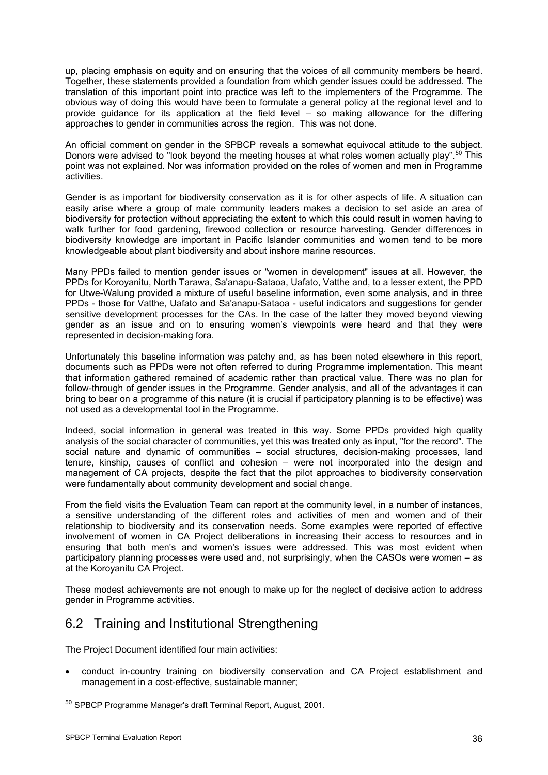up, placing emphasis on equity and on ensuring that the voices of all community members be heard. Together, these statements provided a foundation from which gender issues could be addressed. The translation of this important point into practice was left to the implementers of the Programme. The obvious way of doing this would have been to formulate a general policy at the regional level and to provide guidance for its application at the field level – so making allowance for the differing approaches to gender in communities across the region. This was not done.

An official comment on gender in the SPBCP reveals a somewhat equivocal attitude to the subject. Donors were advised to "look beyond the meeting houses at what roles women actually play".<sup>[5](#page-39-0)0</sup> This point was not explained. Nor was information provided on the roles of women and men in Programme activities.

Gender is as important for biodiversity conservation as it is for other aspects of life. A situation can easily arise where a group of male community leaders makes a decision to set aside an area of biodiversity for protection without appreciating the extent to which this could result in women having to walk further for food gardening, firewood collection or resource harvesting. Gender differences in biodiversity knowledge are important in Pacific Islander communities and women tend to be more knowledgeable about plant biodiversity and about inshore marine resources.

Many PPDs failed to mention gender issues or "women in development" issues at all. However, the PPDs for Koroyanitu, North Tarawa, Sa'anapu-Sataoa, Uafato, Vatthe and, to a lesser extent, the PPD for Utwe-Walung provided a mixture of useful baseline information, even some analysis, and in three PPDs - those for Vatthe, Uafato and Sa'anapu-Sataoa - useful indicators and suggestions for gender sensitive development processes for the CAs. In the case of the latter they moved beyond viewing gender as an issue and on to ensuring women's viewpoints were heard and that they were represented in decision-making fora.

Unfortunately this baseline information was patchy and, as has been noted elsewhere in this report, documents such as PPDs were not often referred to during Programme implementation. This meant that information gathered remained of academic rather than practical value. There was no plan for follow-through of gender issues in the Programme. Gender analysis, and all of the advantages it can bring to bear on a programme of this nature (it is crucial if participatory planning is to be effective) was not used as a developmental tool in the Programme.

Indeed, social information in general was treated in this way. Some PPDs provided high quality analysis of the social character of communities, yet this was treated only as input, "for the record". The social nature and dynamic of communities – social structures, decision-making processes, land tenure, kinship, causes of conflict and cohesion – were not incorporated into the design and management of CA projects, despite the fact that the pilot approaches to biodiversity conservation were fundamentally about community development and social change.

From the field visits the Evaluation Team can report at the community level, in a number of instances, a sensitive understanding of the different roles and activities of men and women and of their relationship to biodiversity and its conservation needs. Some examples were reported of effective involvement of women in CA Project deliberations in increasing their access to resources and in ensuring that both men's and women's issues were addressed. This was most evident when participatory planning processes were used and, not surprisingly, when the CASOs were women – as at the Koroyanitu CA Project.

These modest achievements are not enough to make up for the neglect of decisive action to address gender in Programme activities.

# 6.2 Training and Institutional Strengthening

The Project Document identified four main activities:

• conduct in-country training on biodiversity conservation and CA Project establishment and management in a cost-effective, sustainable manner;

<span id="page-39-0"></span><sup>50</sup> SPBCP Programme Manager's draft Terminal Report, August, 2001.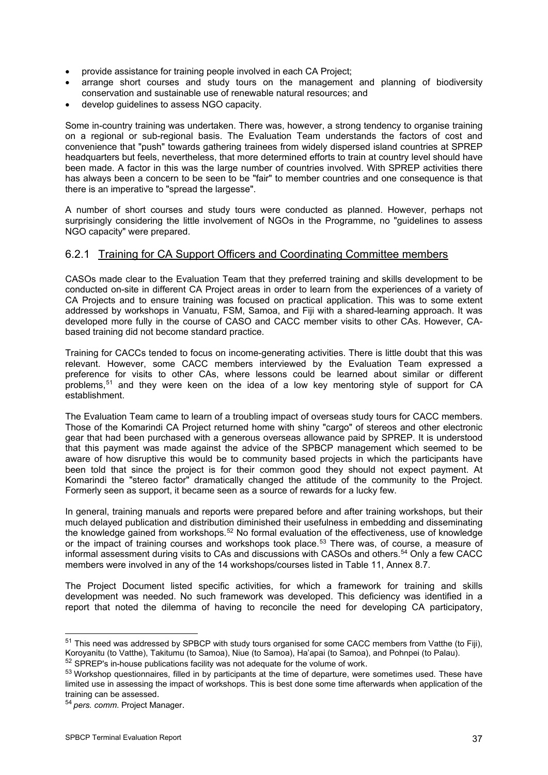- provide assistance for training people involved in each CA Project;
- arrange short courses and study tours on the management and planning of biodiversity conservation and sustainable use of renewable natural resources; and
- develop guidelines to assess NGO capacity.

Some in-country training was undertaken. There was, however, a strong tendency to organise training on a regional or sub-regional basis. The Evaluation Team understands the factors of cost and convenience that "push" towards gathering trainees from widely dispersed island countries at SPREP headquarters but feels, nevertheless, that more determined efforts to train at country level should have been made. A factor in this was the large number of countries involved. With SPREP activities there has always been a concern to be seen to be "fair" to member countries and one consequence is that there is an imperative to "spread the largesse".

A number of short courses and study tours were conducted as planned. However, perhaps not surprisingly considering the little involvement of NGOs in the Programme, no "guidelines to assess NGO capacity" were prepared.

### 6.2.1 Training for CA Support Officers and Coordinating Committee members

CASOs made clear to the Evaluation Team that they preferred training and skills development to be conducted on-site in different CA Project areas in order to learn from the experiences of a variety of CA Projects and to ensure training was focused on practical application. This was to some extent addressed by workshops in Vanuatu, FSM, Samoa, and Fiji with a shared-learning approach. It was developed more fully in the course of CASO and CACC member visits to other CAs. However, CAbased training did not become standard practice.

Training for CACCs tended to focus on income-generating activities. There is little doubt that this was relevant. However, some CACC members interviewed by the Evaluation Team expressed a preference for visits to other CAs, where lessons could be learned about similar or different problems,[51](#page-40-0) and they were keen on the idea of a low key mentoring style of support for CA establishment.

The Evaluation Team came to learn of a troubling impact of overseas study tours for CACC members. Those of the Komarindi CA Project returned home with shiny "cargo" of stereos and other electronic gear that had been purchased with a generous overseas allowance paid by SPREP. It is understood that this payment was made against the advice of the SPBCP management which seemed to be aware of how disruptive this would be to community based projects in which the participants have been told that since the project is for their common good they should not expect payment. At Komarindi the "stereo factor" dramatically changed the attitude of the community to the Project. Formerly seen as support, it became seen as a source of rewards for a lucky few.

In general, training manuals and reports were prepared before and after training workshops, but their much delayed publication and distribution diminished their usefulness in embedding and disseminating the knowledge gained from workshops.<sup>[5](#page-40-1)2</sup> No formal evaluation of the effectiveness, use of knowledge or the impact of training courses and workshops took place.<sup>[5](#page-40-2)3</sup> There was, of course, a measure of informal assessment during visits to CAs and discussions with CASOs and others.<sup>[5](#page-40-3)4</sup> Only a few CACC members were involved in any of the 14 workshops/courses listed in Table 11, Annex 8.7.

The Project Document listed specific activities, for which a framework for training and skills development was needed. No such framework was developed. This deficiency was identified in a report that noted the dilemma of having to reconcile the need for developing CA participatory,

<span id="page-40-0"></span><sup>&</sup>lt;sup>51</sup> This need was addressed by SPBCP with study tours organised for some CACC members from Vatthe (to Fiji), Koroyanitu (to Vatthe), Takitumu (to Samoa), Niue (to Samoa), Ha'apai (to Samoa), and Pohnpei (to Palau).<br><sup>52</sup> SPREP's in-house publications facility was not adequate for the volume of work.

<span id="page-40-1"></span>

<span id="page-40-2"></span><sup>&</sup>lt;sup>53</sup> Workshop questionnaires, filled in by participants at the time of departure, were sometimes used. These have limited use in assessing the impact of workshops. This is best done some time afterwards when application of the training can be assessed.

<span id="page-40-3"></span><sup>54</sup> *pers. comm*. Project Manager.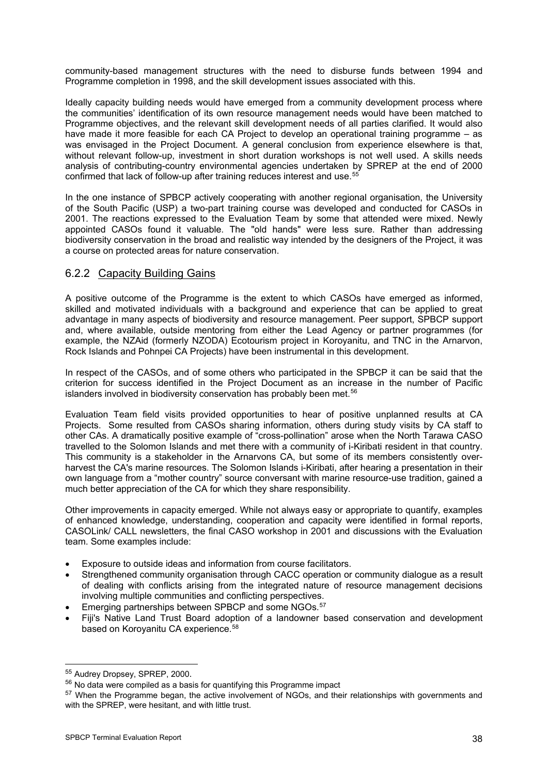community-based management structures with the need to disburse funds between 1994 and Programme completion in 1998, and the skill development issues associated with this.

Ideally capacity building needs would have emerged from a community development process where the communities' identification of its own resource management needs would have been matched to Programme objectives, and the relevant skill development needs of all parties clarified. It would also have made it more feasible for each CA Project to develop an operational training programme – as was envisaged in the Project Document. A general conclusion from experience elsewhere is that, without relevant follow-up, investment in short duration workshops is not well used. A skills needs analysis of contributing-country environmental agencies undertaken by SPREP at the end of 2000 confirmed that lack of follow-up after training reduces interest and use.<sup>[5](#page-41-0)5</sup>

In the one instance of SPBCP actively cooperating with another regional organisation, the University of the South Pacific (USP) a two-part training course was developed and conducted for CASOs in 2001. The reactions expressed to the Evaluation Team by some that attended were mixed. Newly appointed CASOs found it valuable. The "old hands" were less sure. Rather than addressing biodiversity conservation in the broad and realistic way intended by the designers of the Project, it was a course on protected areas for nature conservation.

### 6.2.2 Capacity Building Gains

A positive outcome of the Programme is the extent to which CASOs have emerged as informed, skilled and motivated individuals with a background and experience that can be applied to great advantage in many aspects of biodiversity and resource management. Peer support, SPBCP support and, where available, outside mentoring from either the Lead Agency or partner programmes (for example, the NZAid (formerly NZODA) Ecotourism project in Koroyanitu, and TNC in the Arnarvon, Rock Islands and Pohnpei CA Projects) have been instrumental in this development.

In respect of the CASOs, and of some others who participated in the SPBCP it can be said that the criterion for success identified in the Project Document as an increase in the number of Pacific islanders involved in biodiversity conservation has probably been met.<sup>[56](#page-41-1)</sup>

Evaluation Team field visits provided opportunities to hear of positive unplanned results at CA Projects. Some resulted from CASOs sharing information, others during study visits by CA staff to other CAs. A dramatically positive example of "cross-pollination" arose when the North Tarawa CASO travelled to the Solomon Islands and met there with a community of i-Kiribati resident in that country. This community is a stakeholder in the Arnarvons CA, but some of its members consistently overharvest the CA's marine resources. The Solomon Islands i-Kiribati, after hearing a presentation in their own language from a "mother country" source conversant with marine resource-use tradition, gained a much better appreciation of the CA for which they share responsibility.

Other improvements in capacity emerged. While not always easy or appropriate to quantify, examples of enhanced knowledge, understanding, cooperation and capacity were identified in formal reports, CASOLink/ CALL newsletters, the final CASO workshop in 2001 and discussions with the Evaluation team. Some examples include:

- Exposure to outside ideas and information from course facilitators.
- Strengthened community organisation through CACC operation or community dialogue as a result of dealing with conflicts arising from the integrated nature of resource management decisions involving multiple communities and conflicting perspectives.
- Emerging partnerships between SPBCP and some NGOs.<sup>[57](#page-41-2)</sup>
- Fiji's Native Land Trust Board adoption of a landowner based conservation and development based on Koroyanitu CA experience.<sup>[58](#page-41-1)</sup>

<sup>-</sup>

<span id="page-41-1"></span><span id="page-41-0"></span> $55$  Audrey Dropsey, SPREP, 2000.<br> $56$  No data were compiled as a basis for quantifying this Programme impact

<span id="page-41-2"></span><sup>&</sup>lt;sup>57</sup> When the Programme began, the active involvement of NGOs, and their relationships with governments and with the SPREP, were hesitant, and with little trust.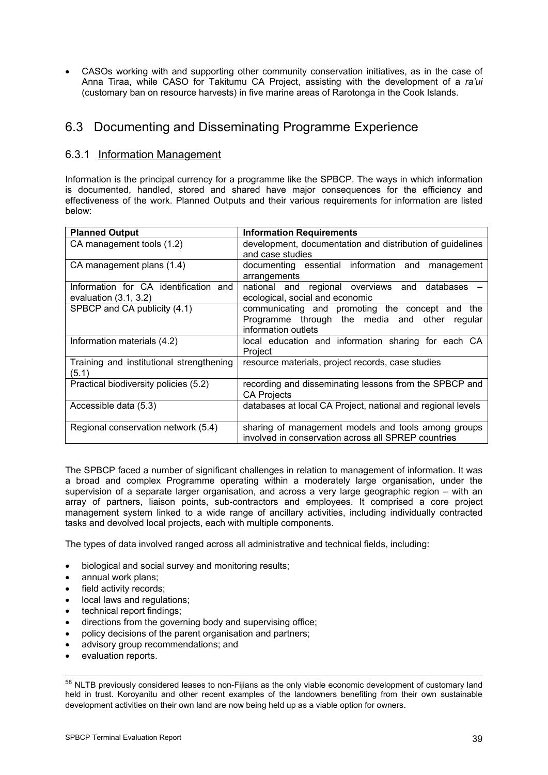• CASOs working with and supporting other community conservation initiatives, as in the case of Anna Tiraa, while CASO for Takitumu CA Project, assisting with the development of a *ra'ui*  (customary ban on resource harvests) in five marine areas of Rarotonga in the Cook Islands.

## 6.3 Documenting and Disseminating Programme Experience

### 6.3.1 Information Management

Information is the principal currency for a programme like the SPBCP. The ways in which information is documented, handled, stored and shared have major consequences for the efficiency and effectiveness of the work. Planned Outputs and their various requirements for information are listed below:

| <b>Planned Output</b>                                            | <b>Information Requirements</b>                                                                                            |
|------------------------------------------------------------------|----------------------------------------------------------------------------------------------------------------------------|
| CA management tools (1.2)                                        | development, documentation and distribution of guidelines<br>and case studies                                              |
| CA management plans (1.4)                                        | documenting essential information and<br>management<br>arrangements                                                        |
| Information for CA identification and<br>evaluation $(3.1, 3.2)$ | national and regional overviews and databases<br>ecological, social and economic                                           |
| SPBCP and CA publicity (4.1)                                     | communicating and promoting the concept and the<br>Programme through the media and other<br>regular<br>information outlets |
| Information materials (4.2)                                      | local education and information sharing for each CA<br>Project                                                             |
| Training and institutional strengthening<br>(5.1)                | resource materials, project records, case studies                                                                          |
| Practical biodiversity policies (5.2)                            | recording and disseminating lessons from the SPBCP and<br><b>CA Projects</b>                                               |
| Accessible data (5.3)                                            | databases at local CA Project, national and regional levels                                                                |
| Regional conservation network (5.4)                              | sharing of management models and tools among groups<br>involved in conservation across all SPREP countries                 |

The SPBCP faced a number of significant challenges in relation to management of information. It was a broad and complex Programme operating within a moderately large organisation, under the supervision of a separate larger organisation, and across a very large geographic region – with an array of partners, liaison points, sub-contractors and employees. It comprised a core project management system linked to a wide range of ancillary activities, including individually contracted tasks and devolved local projects, each with multiple components.

The types of data involved ranged across all administrative and technical fields, including:

- biological and social survey and monitoring results;
- annual work plans;
- field activity records;
- local laws and regulations;
- technical report findings;
- directions from the governing body and supervising office;
- policy decisions of the parent organisation and partners;
- advisory group recommendations; and
- evaluation reports.

-

58 NLTB previously considered leases to non-Fijians as the only viable economic development of customary land held in trust. Koroyanitu and other recent examples of the landowners benefiting from their own sustainable development activities on their own land are now being held up as a viable option for owners.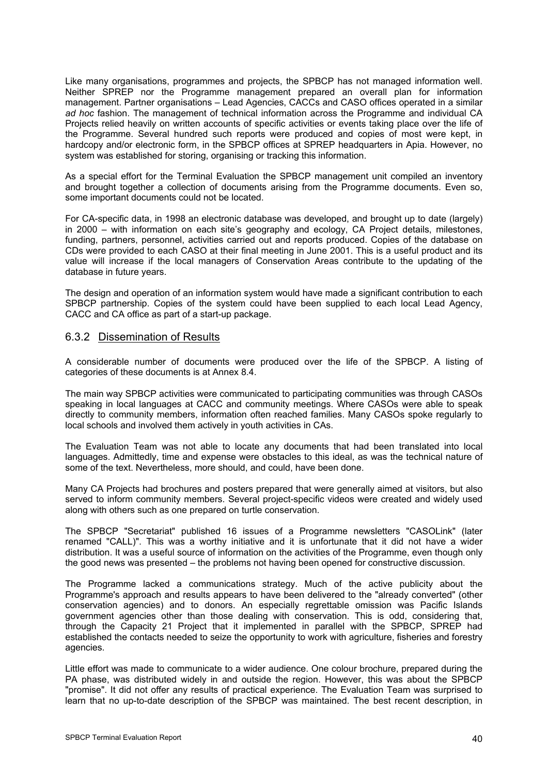Like many organisations, programmes and projects, the SPBCP has not managed information well. Neither SPREP nor the Programme management prepared an overall plan for information management. Partner organisations – Lead Agencies, CACCs and CASO offices operated in a similar *ad hoc* fashion. The management of technical information across the Programme and individual CA Projects relied heavily on written accounts of specific activities or events taking place over the life of the Programme. Several hundred such reports were produced and copies of most were kept, in hardcopy and/or electronic form, in the SPBCP offices at SPREP headquarters in Apia. However, no system was established for storing, organising or tracking this information.

As a special effort for the Terminal Evaluation the SPBCP management unit compiled an inventory and brought together a collection of documents arising from the Programme documents. Even so, some important documents could not be located.

For CA-specific data, in 1998 an electronic database was developed, and brought up to date (largely) in 2000 – with information on each site's geography and ecology, CA Project details, milestones, funding, partners, personnel, activities carried out and reports produced. Copies of the database on CDs were provided to each CASO at their final meeting in June 2001. This is a useful product and its value will increase if the local managers of Conservation Areas contribute to the updating of the database in future years.

The design and operation of an information system would have made a significant contribution to each SPBCP partnership. Copies of the system could have been supplied to each local Lead Agency, CACC and CA office as part of a start-up package.

### 6.3.2 Dissemination of Results

A considerable number of documents were produced over the life of the SPBCP. A listing of categories of these documents is at Annex 8.4.

The main way SPBCP activities were communicated to participating communities was through CASOs speaking in local languages at CACC and community meetings. Where CASOs were able to speak directly to community members, information often reached families. Many CASOs spoke regularly to local schools and involved them actively in youth activities in CAs.

The Evaluation Team was not able to locate any documents that had been translated into local languages. Admittedly, time and expense were obstacles to this ideal, as was the technical nature of some of the text. Nevertheless, more should, and could, have been done.

Many CA Projects had brochures and posters prepared that were generally aimed at visitors, but also served to inform community members. Several project-specific videos were created and widely used along with others such as one prepared on turtle conservation.

The SPBCP "Secretariat" published 16 issues of a Programme newsletters "CASOLink" (later renamed "CALL)". This was a worthy initiative and it is unfortunate that it did not have a wider distribution. It was a useful source of information on the activities of the Programme, even though only the good news was presented – the problems not having been opened for constructive discussion.

The Programme lacked a communications strategy. Much of the active publicity about the Programme's approach and results appears to have been delivered to the "already converted" (other conservation agencies) and to donors. An especially regrettable omission was Pacific Islands government agencies other than those dealing with conservation. This is odd, considering that, through the Capacity 21 Project that it implemented in parallel with the SPBCP, SPREP had established the contacts needed to seize the opportunity to work with agriculture, fisheries and forestry agencies.

Little effort was made to communicate to a wider audience. One colour brochure, prepared during the PA phase, was distributed widely in and outside the region. However, this was about the SPBCP "promise". It did not offer any results of practical experience. The Evaluation Team was surprised to learn that no up-to-date description of the SPBCP was maintained. The best recent description, in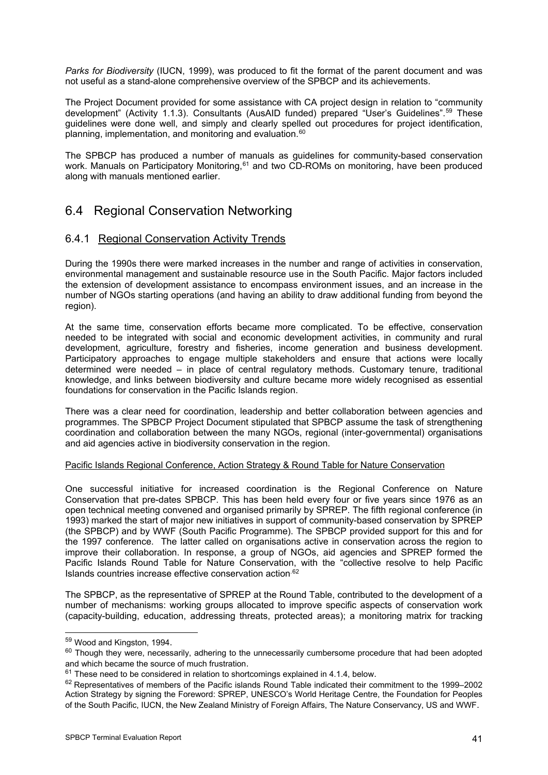*Parks for Biodiversity* (IUCN, 1999), was produced to fit the format of the parent document and was not useful as a stand-alone comprehensive overview of the SPBCP and its achievements.

The Project Document provided for some assistance with CA project design in relation to "community development" (Activity 1.1.3). Consultants (AusAID funded) prepared "User's Guidelines"[.5](#page-44-0)9 These guidelines were done well, and simply and clearly spelled out procedures for project identification, planning, implementation, and monitoring and evaluation.<sup>[6](#page-44-1)0</sup>

The SPBCP has produced a number of manuals as guidelines for community-based conservation work. Manuals on Participatory Monitoring,<sup>[6](#page-44-2)1</sup> and two CD-ROMs on monitoring, have been produced along with manuals mentioned earlier.

## 6.4 Regional Conservation Networking

### 6.4.1 Regional Conservation Activity Trends

During the 1990s there were marked increases in the number and range of activities in conservation, environmental management and sustainable resource use in the South Pacific. Major factors included the extension of development assistance to encompass environment issues, and an increase in the number of NGOs starting operations (and having an ability to draw additional funding from beyond the region).

At the same time, conservation efforts became more complicated. To be effective, conservation needed to be integrated with social and economic development activities, in community and rural development, agriculture, forestry and fisheries, income generation and business development. Participatory approaches to engage multiple stakeholders and ensure that actions were locally determined were needed – in place of central regulatory methods. Customary tenure, traditional knowledge, and links between biodiversity and culture became more widely recognised as essential foundations for conservation in the Pacific Islands region.

There was a clear need for coordination, leadership and better collaboration between agencies and programmes. The SPBCP Project Document stipulated that SPBCP assume the task of strengthening coordination and collaboration between the many NGOs, regional (inter-governmental) organisations and aid agencies active in biodiversity conservation in the region.

### Pacific Islands Regional Conference, Action Strategy & Round Table for Nature Conservation

One successful initiative for increased coordination is the Regional Conference on Nature Conservation that pre-dates SPBCP. This has been held every four or five years since 1976 as an open technical meeting convened and organised primarily by SPREP. The fifth regional conference (in 1993) marked the start of major new initiatives in support of community-based conservation by SPREP (the SPBCP) and by WWF (South Pacific Programme). The SPBCP provided support for this and for the 1997 conference. The latter called on organisations active in conservation across the region to improve their collaboration. In response, a group of NGOs, aid agencies and SPREP formed the Pacific Islands Round Table for Nature Conservation, with the "collective resolve to help Pacific Islands countries increase effective conservation action.<sup>[6](#page-44-3)2</sup>

The SPBCP, as the representative of SPREP at the Round Table, contributed to the development of a number of mechanisms: working groups allocated to improve specific aspects of conservation work (capacity-building, education, addressing threats, protected areas); a monitoring matrix for tracking

<span id="page-44-1"></span><span id="page-44-0"></span><sup>&</sup>lt;sup>59</sup> Wood and Kingston, 1994.<br><sup>60</sup> Though they were, necessarily, adhering to the unnecessarily cumbersome procedure that had been adopted and which became the source of much frustration.<br>  $61$  These need to be considered in relation to shortcomings explained in 4.1.4, below.<br>  $62$  Representatives of members of the Pacific islands Round Table indicated their

<span id="page-44-2"></span>

<span id="page-44-3"></span>Action Strategy by signing the Foreword: SPREP, UNESCO's World Heritage Centre, the Foundation for Peoples of the South Pacific, IUCN, the New Zealand Ministry of Foreign Affairs, The Nature Conservancy, US and WWF.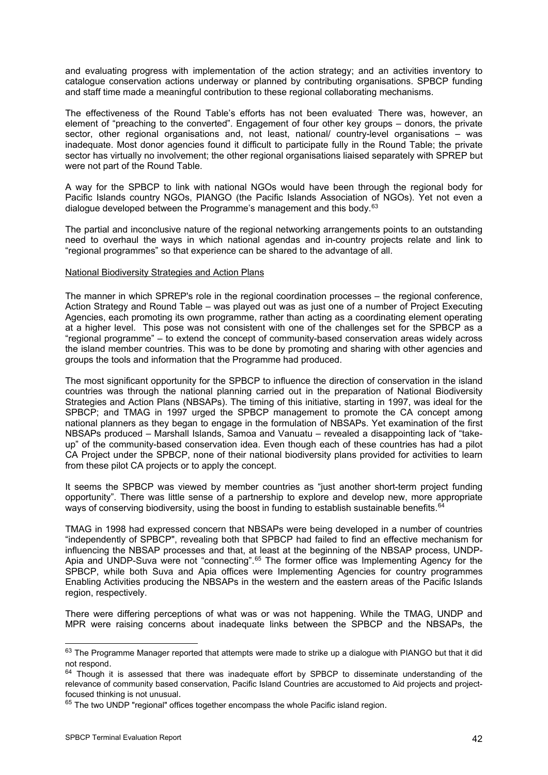and evaluating progress with implementation of the action strategy; and an activities inventory to catalogue conservation actions underway or planned by contributing organisations. SPBCP funding and staff time made a meaningful contribution to these regional collaborating mechanisms.

The effectiveness of the Round Table's efforts has not been evaluated. There was, however, an element of "preaching to the converted". Engagement of four other key groups – donors, the private sector, other regional organisations and, not least, national/ country-level organisations – was inadequate. Most donor agencies found it difficult to participate fully in the Round Table; the private sector has virtually no involvement; the other regional organisations liaised separately with SPREP but were not part of the Round Table.

A way for the SPBCP to link with national NGOs would have been through the regional body for Pacific Islands country NGOs, PIANGO (the Pacific Islands Association of NGOs). Yet not even a dialogue developed between the Programme's management and this body.<sup>[6](#page-45-0)3</sup>

The partial and inconclusive nature of the regional networking arrangements points to an outstanding need to overhaul the ways in which national agendas and in-country projects relate and link to "regional programmes" so that experience can be shared to the advantage of all.

### National Biodiversity Strategies and Action Plans

The manner in which SPREP's role in the regional coordination processes – the regional conference, Action Strategy and Round Table – was played out was as just one of a number of Project Executing Agencies, each promoting its own programme, rather than acting as a coordinating element operating at a higher level. This pose was not consistent with one of the challenges set for the SPBCP as a "regional programme" – to extend the concept of community-based conservation areas widely across the island member countries. This was to be done by promoting and sharing with other agencies and groups the tools and information that the Programme had produced.

The most significant opportunity for the SPBCP to influence the direction of conservation in the island countries was through the national planning carried out in the preparation of National Biodiversity Strategies and Action Plans (NBSAPs). The timing of this initiative, starting in 1997, was ideal for the SPBCP; and TMAG in 1997 urged the SPBCP management to promote the CA concept among national planners as they began to engage in the formulation of NBSAPs. Yet examination of the first NBSAPs produced – Marshall Islands, Samoa and Vanuatu – revealed a disappointing lack of "takeup" of the community-based conservation idea. Even though each of these countries has had a pilot CA Project under the SPBCP, none of their national biodiversity plans provided for activities to learn from these pilot CA projects or to apply the concept.

It seems the SPBCP was viewed by member countries as "just another short-term project funding opportunity". There was little sense of a partnership to explore and develop new, more appropriate ways of conserving biodiversity, using the boost in funding to establish sustainable benefits.<sup>[64](#page-45-1)</sup>

TMAG in 1998 had expressed concern that NBSAPs were being developed in a number of countries "independently of SPBCP", revealing both that SPBCP had failed to find an effective mechanism for influencing the NBSAP processes and that, at least at the beginning of the NBSAP process, UNDP-Apia and UNDP-Suva were not "connecting".[6](#page-45-2)5 The former office was Implementing Agency for the SPBCP, while both Suva and Apia offices were Implementing Agencies for country programmes Enabling Activities producing the NBSAPs in the western and the eastern areas of the Pacific Islands region, respectively.

There were differing perceptions of what was or was not happening. While the TMAG, UNDP and MPR were raising concerns about inadequate links between the SPBCP and the NBSAPs, the

<span id="page-45-0"></span><sup>63</sup> The Programme Manager reported that attempts were made to strike up a dialogue with PIANGO but that it did not respond.<br><sup>64</sup> Though it is assessed that there was inadequate effort by SPBCP to disseminate understanding of the

<span id="page-45-1"></span>relevance of community based conservation, Pacific Island Countries are accustomed to Aid projects and projectfocused thinking is not unusual.<br><sup>65</sup> The two UNDP "regional" offices together encompass the whole Pacific island region.

<span id="page-45-2"></span>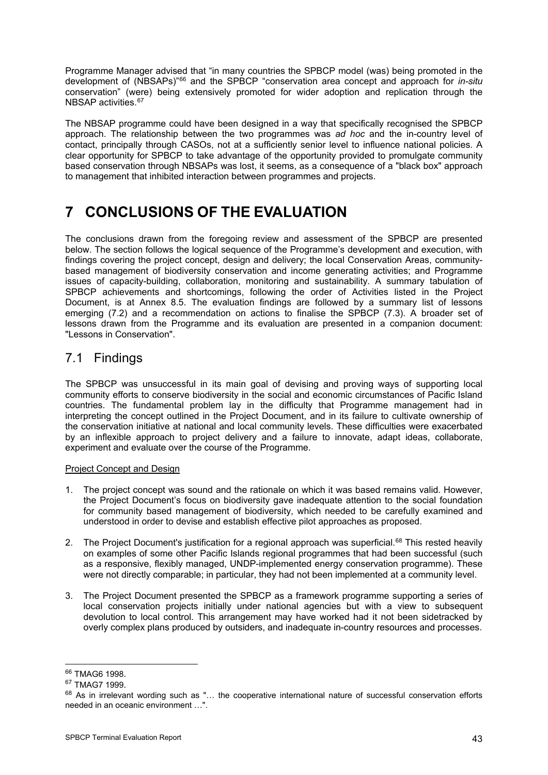Programme Manager advised that "in many countries the SPBCP model (was) being promoted in the development of (NBSAPs)"[66](#page-46-0) and the SPBCP "conservation area concept and approach for *in-situ* conservation" (were) being extensively promoted for wider adoption and replication through the NBSAP activities.<sup>[67](#page-46-1)</sup>

The NBSAP programme could have been designed in a way that specifically recognised the SPBCP approach. The relationship between the two programmes was *ad hoc* and the in-country level of contact, principally through CASOs, not at a sufficiently senior level to influence national policies. A clear opportunity for SPBCP to take advantage of the opportunity provided to promulgate community based conservation through NBSAPs was lost, it seems, as a consequence of a "black box" approach to management that inhibited interaction between programmes and projects.

# **7 CONCLUSIONS OF THE EVALUATION**

The conclusions drawn from the foregoing review and assessment of the SPBCP are presented below. The section follows the logical sequence of the Programme's development and execution, with findings covering the project concept, design and delivery; the local Conservation Areas, communitybased management of biodiversity conservation and income generating activities; and Programme issues of capacity-building, collaboration, monitoring and sustainability. A summary tabulation of SPBCP achievements and shortcomings, following the order of Activities listed in the Project Document, is at Annex 8.5. The evaluation findings are followed by a summary list of lessons emerging (7.2) and a recommendation on actions to finalise the SPBCP (7.3). A broader set of lessons drawn from the Programme and its evaluation are presented in a companion document: "Lessons in Conservation".

# 7.1 Findings

The SPBCP was unsuccessful in its main goal of devising and proving ways of supporting local community efforts to conserve biodiversity in the social and economic circumstances of Pacific Island countries. The fundamental problem lay in the difficulty that Programme management had in interpreting the concept outlined in the Project Document, and in its failure to cultivate ownership of the conservation initiative at national and local community levels. These difficulties were exacerbated by an inflexible approach to project delivery and a failure to innovate, adapt ideas, collaborate, experiment and evaluate over the course of the Programme.

### Project Concept and Design

- 1. The project concept was sound and the rationale on which it was based remains valid. However, the Project Document's focus on biodiversity gave inadequate attention to the social foundation for community based management of biodiversity, which needed to be carefully examined and understood in order to devise and establish effective pilot approaches as proposed.
- 2. The Project Document's justification for a regional approach was superficial.<sup>[68](#page-46-2)</sup> This rested heavily on examples of some other Pacific Islands regional programmes that had been successful (such as a responsive, flexibly managed, UNDP-implemented energy conservation programme). These were not directly comparable; in particular, they had not been implemented at a community level.
- 3. The Project Document presented the SPBCP as a framework programme supporting a series of local conservation projects initially under national agencies but with a view to subsequent devolution to local control. This arrangement may have worked had it not been sidetracked by overly complex plans produced by outsiders, and inadequate in-country resources and processes.

<sup>-</sup>

<span id="page-46-2"></span>

<span id="page-46-1"></span><span id="page-46-0"></span> $^{66}$  TMAG6 1998.<br> $^{67}$  TMAG7 1999.<br> $^{67}$  As in irrelevant wording such as "… the cooperative international nature of successful conservation efforts needed in an oceanic environment …".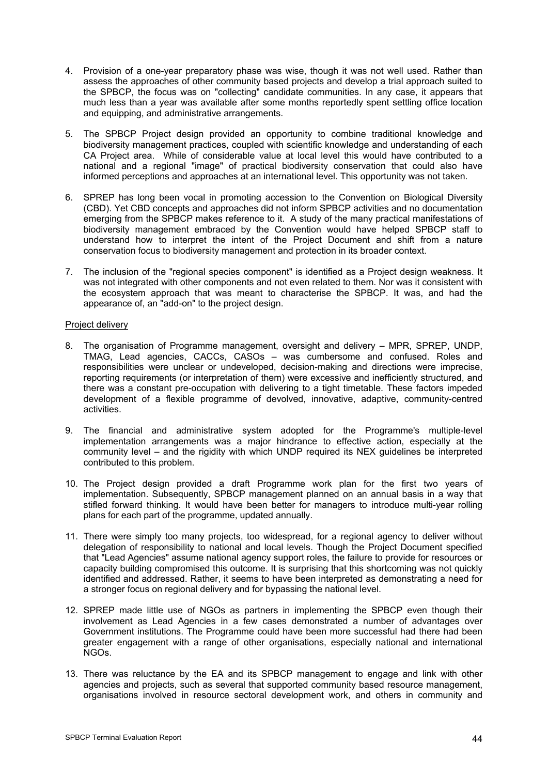- 4. Provision of a one-year preparatory phase was wise, though it was not well used. Rather than assess the approaches of other community based projects and develop a trial approach suited to the SPBCP, the focus was on "collecting" candidate communities. In any case, it appears that much less than a year was available after some months reportedly spent settling office location and equipping, and administrative arrangements.
- 5. The SPBCP Project design provided an opportunity to combine traditional knowledge and biodiversity management practices, coupled with scientific knowledge and understanding of each CA Project area. While of considerable value at local level this would have contributed to a national and a regional "image" of practical biodiversity conservation that could also have informed perceptions and approaches at an international level. This opportunity was not taken.
- 6. SPREP has long been vocal in promoting accession to the Convention on Biological Diversity (CBD). Yet CBD concepts and approaches did not inform SPBCP activities and no documentation emerging from the SPBCP makes reference to it. A study of the many practical manifestations of biodiversity management embraced by the Convention would have helped SPBCP staff to understand how to interpret the intent of the Project Document and shift from a nature conservation focus to biodiversity management and protection in its broader context.
- 7. The inclusion of the "regional species component" is identified as a Project design weakness. It was not integrated with other components and not even related to them. Nor was it consistent with the ecosystem approach that was meant to characterise the SPBCP. It was, and had the appearance of, an "add-on" to the project design.

#### Project delivery

- 8. The organisation of Programme management, oversight and delivery MPR, SPREP, UNDP, TMAG, Lead agencies, CACCs, CASOs – was cumbersome and confused. Roles and responsibilities were unclear or undeveloped, decision-making and directions were imprecise, reporting requirements (or interpretation of them) were excessive and inefficiently structured, and there was a constant pre-occupation with delivering to a tight timetable. These factors impeded development of a flexible programme of devolved, innovative, adaptive, community-centred activities.
- 9. The financial and administrative system adopted for the Programme's multiple-level implementation arrangements was a major hindrance to effective action, especially at the community level – and the rigidity with which UNDP required its NEX guidelines be interpreted contributed to this problem.
- 10. The Project design provided a draft Programme work plan for the first two years of implementation. Subsequently, SPBCP management planned on an annual basis in a way that stifled forward thinking. It would have been better for managers to introduce multi-year rolling plans for each part of the programme, updated annually.
- 11. There were simply too many projects, too widespread, for a regional agency to deliver without delegation of responsibility to national and local levels. Though the Project Document specified that "Lead Agencies" assume national agency support roles, the failure to provide for resources or capacity building compromised this outcome. It is surprising that this shortcoming was not quickly identified and addressed. Rather, it seems to have been interpreted as demonstrating a need for a stronger focus on regional delivery and for bypassing the national level.
- 12. SPREP made little use of NGOs as partners in implementing the SPBCP even though their involvement as Lead Agencies in a few cases demonstrated a number of advantages over Government institutions. The Programme could have been more successful had there had been greater engagement with a range of other organisations, especially national and international NGOs.
- 13. There was reluctance by the EA and its SPBCP management to engage and link with other agencies and projects, such as several that supported community based resource management, organisations involved in resource sectoral development work, and others in community and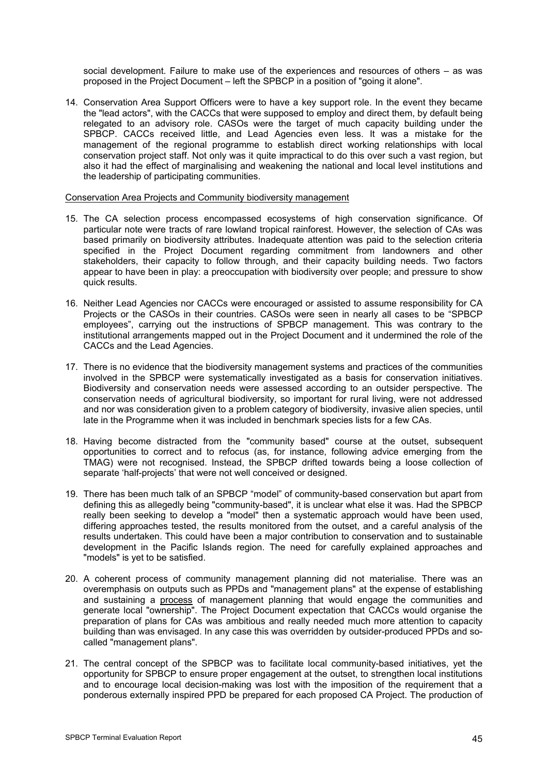social development. Failure to make use of the experiences and resources of others – as was proposed in the Project Document – left the SPBCP in a position of "going it alone".

14. Conservation Area Support Officers were to have a key support role. In the event they became the "lead actors", with the CACCs that were supposed to employ and direct them, by default being relegated to an advisory role. CASOs were the target of much capacity building under the SPBCP. CACCs received little, and Lead Agencies even less. It was a mistake for the management of the regional programme to establish direct working relationships with local conservation project staff. Not only was it quite impractical to do this over such a vast region, but also it had the effect of marginalising and weakening the national and local level institutions and the leadership of participating communities.

#### Conservation Area Projects and Community biodiversity management

- 15. The CA selection process encompassed ecosystems of high conservation significance. Of particular note were tracts of rare lowland tropical rainforest. However, the selection of CAs was based primarily on biodiversity attributes. Inadequate attention was paid to the selection criteria specified in the Project Document regarding commitment from landowners and other stakeholders, their capacity to follow through, and their capacity building needs. Two factors appear to have been in play: a preoccupation with biodiversity over people; and pressure to show quick results.
- 16. Neither Lead Agencies nor CACCs were encouraged or assisted to assume responsibility for CA Projects or the CASOs in their countries. CASOs were seen in nearly all cases to be "SPBCP employees", carrying out the instructions of SPBCP management. This was contrary to the institutional arrangements mapped out in the Project Document and it undermined the role of the CACCs and the Lead Agencies.
- 17. There is no evidence that the biodiversity management systems and practices of the communities involved in the SPBCP were systematically investigated as a basis for conservation initiatives. Biodiversity and conservation needs were assessed according to an outsider perspective. The conservation needs of agricultural biodiversity, so important for rural living, were not addressed and nor was consideration given to a problem category of biodiversity, invasive alien species, until late in the Programme when it was included in benchmark species lists for a few CAs.
- 18. Having become distracted from the "community based" course at the outset, subsequent opportunities to correct and to refocus (as, for instance, following advice emerging from the TMAG) were not recognised. Instead, the SPBCP drifted towards being a loose collection of separate 'half-projects' that were not well conceived or designed.
- 19. There has been much talk of an SPBCP "model" of community-based conservation but apart from defining this as allegedly being "community-based", it is unclear what else it was. Had the SPBCP really been seeking to develop a "model" then a systematic approach would have been used, differing approaches tested, the results monitored from the outset, and a careful analysis of the results undertaken. This could have been a major contribution to conservation and to sustainable development in the Pacific Islands region. The need for carefully explained approaches and "models" is yet to be satisfied.
- 20. A coherent process of community management planning did not materialise. There was an overemphasis on outputs such as PPDs and "management plans" at the expense of establishing and sustaining a process of management planning that would engage the communities and generate local "ownership". The Project Document expectation that CACCs would organise the preparation of plans for CAs was ambitious and really needed much more attention to capacity building than was envisaged. In any case this was overridden by outsider-produced PPDs and socalled "management plans".
- 21. The central concept of the SPBCP was to facilitate local community-based initiatives, yet the opportunity for SPBCP to ensure proper engagement at the outset, to strengthen local institutions and to encourage local decision-making was lost with the imposition of the requirement that a ponderous externally inspired PPD be prepared for each proposed CA Project. The production of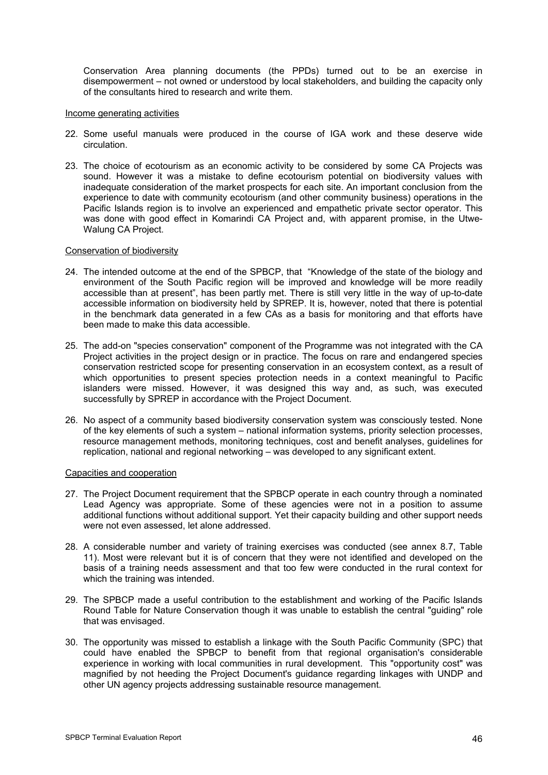Conservation Area planning documents (the PPDs) turned out to be an exercise in disempowerment – not owned or understood by local stakeholders, and building the capacity only of the consultants hired to research and write them.

#### Income generating activities

- 22. Some useful manuals were produced in the course of IGA work and these deserve wide circulation.
- 23. The choice of ecotourism as an economic activity to be considered by some CA Projects was sound. However it was a mistake to define ecotourism potential on biodiversity values with inadequate consideration of the market prospects for each site. An important conclusion from the experience to date with community ecotourism (and other community business) operations in the Pacific Islands region is to involve an experienced and empathetic private sector operator. This was done with good effect in Komarindi CA Project and, with apparent promise, in the Utwe-Walung CA Project.

#### Conservation of biodiversity

- 24. The intended outcome at the end of the SPBCP, that "Knowledge of the state of the biology and environment of the South Pacific region will be improved and knowledge will be more readily accessible than at present", has been partly met. There is still very little in the way of up-to-date accessible information on biodiversity held by SPREP. It is, however, noted that there is potential in the benchmark data generated in a few CAs as a basis for monitoring and that efforts have been made to make this data accessible.
- 25. The add-on "species conservation" component of the Programme was not integrated with the CA Project activities in the project design or in practice. The focus on rare and endangered species conservation restricted scope for presenting conservation in an ecosystem context, as a result of which opportunities to present species protection needs in a context meaningful to Pacific islanders were missed. However, it was designed this way and, as such, was executed successfully by SPREP in accordance with the Project Document.
- 26. No aspect of a community based biodiversity conservation system was consciously tested. None of the key elements of such a system – national information systems, priority selection processes, resource management methods, monitoring techniques, cost and benefit analyses, guidelines for replication, national and regional networking – was developed to any significant extent.

#### Capacities and cooperation

- 27. The Project Document requirement that the SPBCP operate in each country through a nominated Lead Agency was appropriate. Some of these agencies were not in a position to assume additional functions without additional support. Yet their capacity building and other support needs were not even assessed, let alone addressed.
- 28. A considerable number and variety of training exercises was conducted (see annex 8.7, Table 11). Most were relevant but it is of concern that they were not identified and developed on the basis of a training needs assessment and that too few were conducted in the rural context for which the training was intended.
- 29. The SPBCP made a useful contribution to the establishment and working of the Pacific Islands Round Table for Nature Conservation though it was unable to establish the central "guiding" role that was envisaged.
- 30. The opportunity was missed to establish a linkage with the South Pacific Community (SPC) that could have enabled the SPBCP to benefit from that regional organisation's considerable experience in working with local communities in rural development. This "opportunity cost" was magnified by not heeding the Project Document's guidance regarding linkages with UNDP and other UN agency projects addressing sustainable resource management.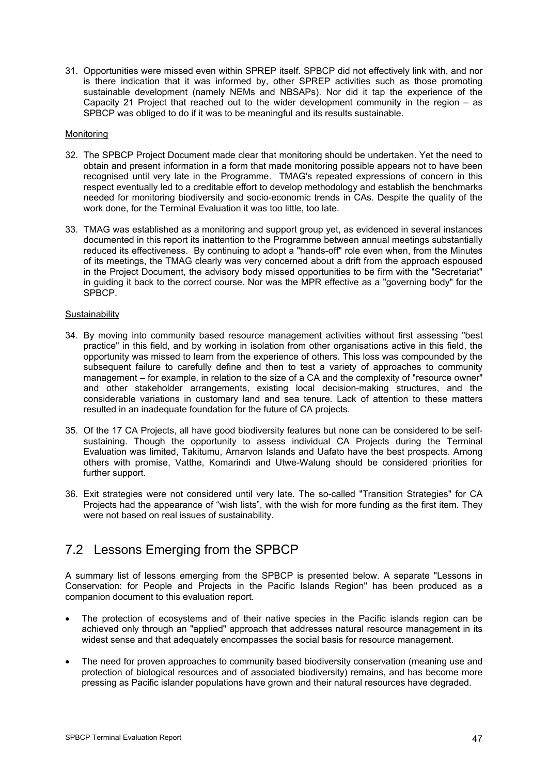31. Opportunities were missed even within SPREP itself. SPBCP did not effectively link with, and nor is there indication that it was informed by, other SPREP activities such as those promoting sustainable development (namely NEMs and NBSAPs). Nor did it tap the experience of the Capacity 21 Project that reached out to the wider development community in the region – as SPBCP was obliged to do if it was to be meaningful and its results sustainable.

### Monitoring

- 32. The SPBCP Project Document made clear that monitoring should be undertaken. Yet the need to obtain and present information in a form that made monitoring possible appears not to have been recognised until very late in the Programme. TMAG's repeated expressions of concern in this respect eventually led to a creditable effort to develop methodology and establish the benchmarks needed for monitoring biodiversity and socio-economic trends in CAs. Despite the quality of the work done, for the Terminal Evaluation it was too little, too late.
- 33. TMAG was established as a monitoring and support group yet, as evidenced in several instances documented in this report its inattention to the Programme between annual meetings substantially reduced its effectiveness. By continuing to adopt a "hands-off" role even when, from the Minutes of its meetings, the TMAG clearly was very concerned about a drift from the approach espoused in the Project Document, the advisory body missed opportunities to be firm with the "Secretariat" in guiding it back to the correct course. Nor was the MPR effective as a "governing body" for the SPBCP.

#### **Sustainability**

- 34. By moving into community based resource management activities without first assessing "best practice" in this field, and by working in isolation from other organisations active in this field, the opportunity was missed to learn from the experience of others. This loss was compounded by the subsequent failure to carefully define and then to test a variety of approaches to community management – for example, in relation to the size of a CA and the complexity of "resource owner" and other stakeholder arrangements, existing local decision-making structures, and the considerable variations in customary land and sea tenure. Lack of attention to these matters resulted in an inadequate foundation for the future of CA projects.
- 35. Of the 17 CA Projects, all have good biodiversity features but none can be considered to be selfsustaining. Though the opportunity to assess individual CA Projects during the Terminal Evaluation was limited, Takitumu, Arnarvon Islands and Uafato have the best prospects. Among others with promise, Vatthe, Komarindi and Utwe-Walung should be considered priorities for further support.
- 36. Exit strategies were not considered until very late. The so-called "Transition Strategies" for CA Projects had the appearance of "wish lists", with the wish for more funding as the first item. They were not based on real issues of sustainability.

# 7.2 Lessons Emerging from the SPBCP

A summary list of lessons emerging from the SPBCP is presented below. A separate "Lessons in Conservation: for People and Projects in the Pacific Islands Region" has been produced as a companion document to this evaluation report.

- The protection of ecosystems and of their native species in the Pacific islands region can be achieved only through an "applied" approach that addresses natural resource management in its widest sense and that adequately encompasses the social basis for resource management.
- The need for proven approaches to community based biodiversity conservation (meaning use and protection of biological resources and of associated biodiversity) remains, and has become more pressing as Pacific islander populations have grown and their natural resources have degraded.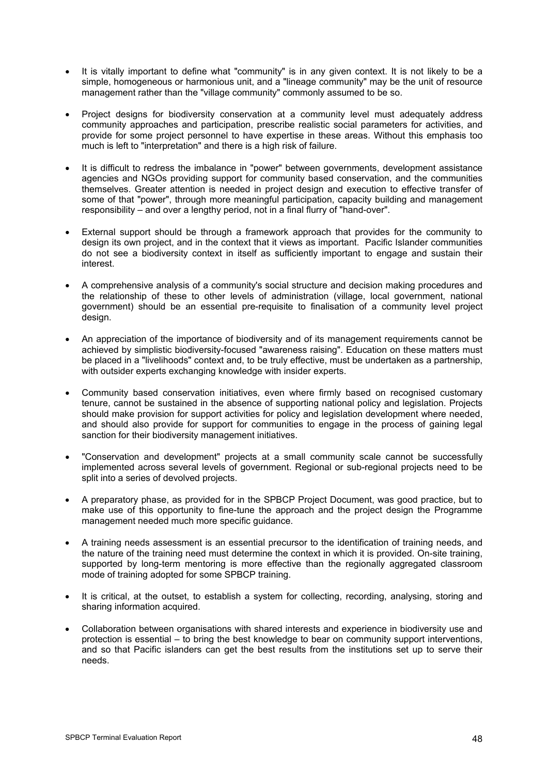- It is vitally important to define what "community" is in any given context. It is not likely to be a simple, homogeneous or harmonious unit, and a "lineage community" may be the unit of resource management rather than the "village community" commonly assumed to be so.
- Project designs for biodiversity conservation at a community level must adequately address community approaches and participation, prescribe realistic social parameters for activities, and provide for some project personnel to have expertise in these areas. Without this emphasis too much is left to "interpretation" and there is a high risk of failure.
- It is difficult to redress the imbalance in "power" between governments, development assistance agencies and NGOs providing support for community based conservation, and the communities themselves. Greater attention is needed in project design and execution to effective transfer of some of that "power", through more meaningful participation, capacity building and management responsibility – and over a lengthy period, not in a final flurry of "hand-over".
- External support should be through a framework approach that provides for the community to design its own project, and in the context that it views as important. Pacific Islander communities do not see a biodiversity context in itself as sufficiently important to engage and sustain their interest.
- A comprehensive analysis of a community's social structure and decision making procedures and the relationship of these to other levels of administration (village, local government, national government) should be an essential pre-requisite to finalisation of a community level project design.
- An appreciation of the importance of biodiversity and of its management requirements cannot be achieved by simplistic biodiversity-focused "awareness raising". Education on these matters must be placed in a "livelihoods" context and, to be truly effective, must be undertaken as a partnership, with outsider experts exchanging knowledge with insider experts.
- Community based conservation initiatives, even where firmly based on recognised customary tenure, cannot be sustained in the absence of supporting national policy and legislation. Projects should make provision for support activities for policy and legislation development where needed, and should also provide for support for communities to engage in the process of gaining legal sanction for their biodiversity management initiatives.
- "Conservation and development" projects at a small community scale cannot be successfully implemented across several levels of government. Regional or sub-regional projects need to be split into a series of devolved projects.
- A preparatory phase, as provided for in the SPBCP Project Document, was good practice, but to make use of this opportunity to fine-tune the approach and the project design the Programme management needed much more specific guidance.
- A training needs assessment is an essential precursor to the identification of training needs, and the nature of the training need must determine the context in which it is provided. On-site training, supported by long-term mentoring is more effective than the regionally aggregated classroom mode of training adopted for some SPBCP training.
- It is critical, at the outset, to establish a system for collecting, recording, analysing, storing and sharing information acquired.
- Collaboration between organisations with shared interests and experience in biodiversity use and protection is essential – to bring the best knowledge to bear on community support interventions, and so that Pacific islanders can get the best results from the institutions set up to serve their needs.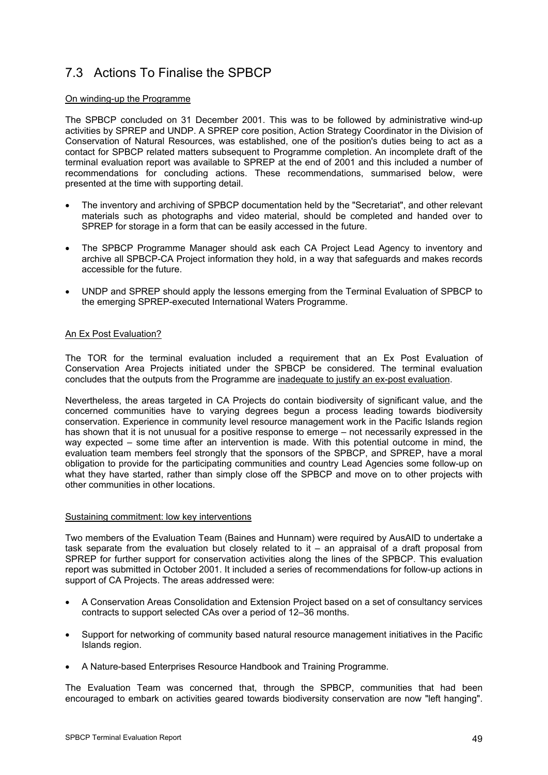# 7.3 Actions To Finalise the SPBCP

### On winding-up the Programme

The SPBCP concluded on 31 December 2001. This was to be followed by administrative wind-up activities by SPREP and UNDP. A SPREP core position, Action Strategy Coordinator in the Division of Conservation of Natural Resources, was established, one of the position's duties being to act as a contact for SPBCP related matters subsequent to Programme completion. An incomplete draft of the terminal evaluation report was available to SPREP at the end of 2001 and this included a number of recommendations for concluding actions. These recommendations, summarised below, were presented at the time with supporting detail.

- The inventory and archiving of SPBCP documentation held by the "Secretariat", and other relevant materials such as photographs and video material, should be completed and handed over to SPREP for storage in a form that can be easily accessed in the future.
- The SPBCP Programme Manager should ask each CA Project Lead Agency to inventory and archive all SPBCP-CA Project information they hold, in a way that safeguards and makes records accessible for the future.
- UNDP and SPREP should apply the lessons emerging from the Terminal Evaluation of SPBCP to the emerging SPREP-executed International Waters Programme.

### An Ex Post Evaluation?

The TOR for the terminal evaluation included a requirement that an Ex Post Evaluation of Conservation Area Projects initiated under the SPBCP be considered. The terminal evaluation concludes that the outputs from the Programme are inadequate to justify an ex-post evaluation.

Nevertheless, the areas targeted in CA Projects do contain biodiversity of significant value, and the concerned communities have to varying degrees begun a process leading towards biodiversity conservation. Experience in community level resource management work in the Pacific Islands region has shown that it is not unusual for a positive response to emerge – not necessarily expressed in the way expected – some time after an intervention is made. With this potential outcome in mind, the evaluation team members feel strongly that the sponsors of the SPBCP, and SPREP, have a moral obligation to provide for the participating communities and country Lead Agencies some follow-up on what they have started, rather than simply close off the SPBCP and move on to other projects with other communities in other locations.

#### Sustaining commitment: low key interventions

Two members of the Evaluation Team (Baines and Hunnam) were required by AusAID to undertake a task separate from the evaluation but closely related to it – an appraisal of a draft proposal from SPREP for further support for conservation activities along the lines of the SPBCP. This evaluation report was submitted in October 2001. It included a series of recommendations for follow-up actions in support of CA Projects. The areas addressed were:

- A Conservation Areas Consolidation and Extension Project based on a set of consultancy services contracts to support selected CAs over a period of 12–36 months.
- Support for networking of community based natural resource management initiatives in the Pacific Islands region.
- A Nature-based Enterprises Resource Handbook and Training Programme.

The Evaluation Team was concerned that, through the SPBCP, communities that had been encouraged to embark on activities geared towards biodiversity conservation are now "left hanging".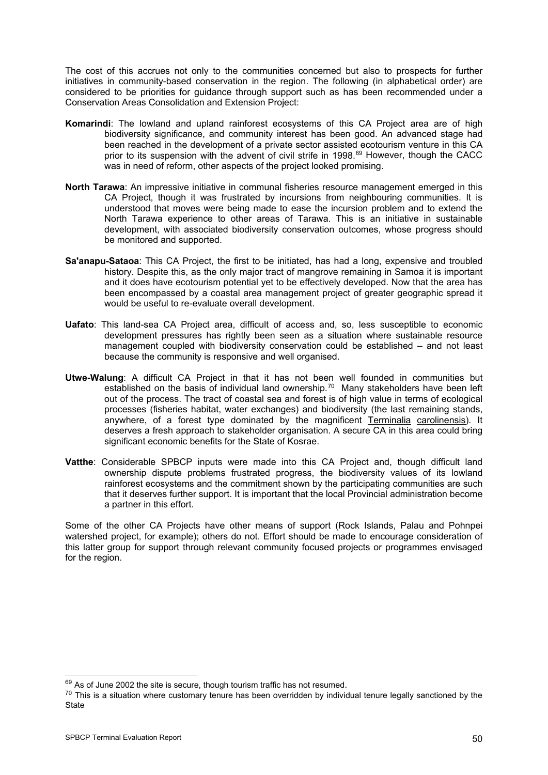The cost of this accrues not only to the communities concerned but also to prospects for further initiatives in community-based conservation in the region. The following (in alphabetical order) are considered to be priorities for guidance through support such as has been recommended under a Conservation Areas Consolidation and Extension Project:

- **Komarindi**: The lowland and upland rainforest ecosystems of this CA Project area are of high biodiversity significance, and community interest has been good. An advanced stage had been reached in the development of a private sector assisted ecotourism venture in this CA prior to its suspension with the advent of civil strife in 1998.<sup>[6](#page-53-0)9</sup> However, though the CACC was in need of reform, other aspects of the project looked promising.
- **North Tarawa**: An impressive initiative in communal fisheries resource management emerged in this CA Project, though it was frustrated by incursions from neighbouring communities. It is understood that moves were being made to ease the incursion problem and to extend the North Tarawa experience to other areas of Tarawa. This is an initiative in sustainable development, with associated biodiversity conservation outcomes, whose progress should be monitored and supported.
- **Sa'anapu-Sataoa**: This CA Project, the first to be initiated, has had a long, expensive and troubled history. Despite this, as the only major tract of mangrove remaining in Samoa it is important and it does have ecotourism potential yet to be effectively developed. Now that the area has been encompassed by a coastal area management project of greater geographic spread it would be useful to re-evaluate overall development.
- **Uafato**: This land-sea CA Project area, difficult of access and, so, less susceptible to economic development pressures has rightly been seen as a situation where sustainable resource management coupled with biodiversity conservation could be established – and not least because the community is responsive and well organised.
- **Utwe-Walung**: A difficult CA Project in that it has not been well founded in communities but established on the basis of individual land ownership.<sup>[70](#page-53-1)</sup> Many stakeholders have been left out of the process. The tract of coastal sea and forest is of high value in terms of ecological processes (fisheries habitat, water exchanges) and biodiversity (the last remaining stands, anywhere, of a forest type dominated by the magnificent Terminalia carolinensis). It deserves a fresh approach to stakeholder organisation. A secure CA in this area could bring significant economic benefits for the State of Kosrae.
- **Vatthe**: Considerable SPBCP inputs were made into this CA Project and, though difficult land ownership dispute problems frustrated progress, the biodiversity values of its lowland rainforest ecosystems and the commitment shown by the participating communities are such that it deserves further support. It is important that the local Provincial administration become a partner in this effort.

Some of the other CA Projects have other means of support (Rock Islands, Palau and Pohnpei watershed project, for example); others do not. Effort should be made to encourage consideration of this latter group for support through relevant community focused projects or programmes envisaged for the region.

<span id="page-53-1"></span><span id="page-53-0"></span> $69$  As of June 2002 the site is secure, though tourism traffic has not resumed.<br><sup>70</sup> This is a situation where customary tenure has been overridden by individual tenure legally sanctioned by the **State**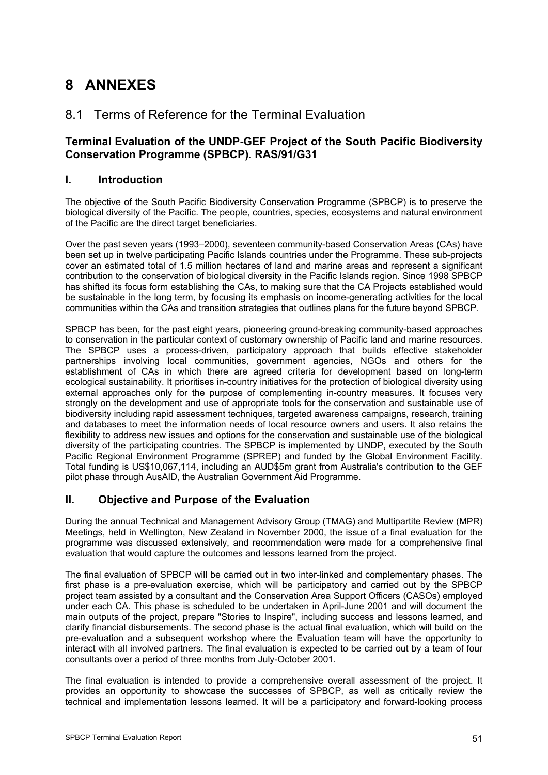# **8 ANNEXES**

## 8.1 Terms of Reference for the Terminal Evaluation

### **Terminal Evaluation of the UNDP-GEF Project of the South Pacific Biodiversity Conservation Programme (SPBCP). RAS/91/G31**

### **I. Introduction**

The objective of the South Pacific Biodiversity Conservation Programme (SPBCP) is to preserve the biological diversity of the Pacific. The people, countries, species, ecosystems and natural environment of the Pacific are the direct target beneficiaries.

Over the past seven years (1993–2000), seventeen community-based Conservation Areas (CAs) have been set up in twelve participating Pacific Islands countries under the Programme. These sub-projects cover an estimated total of 1.5 million hectares of land and marine areas and represent a significant contribution to the conservation of biological diversity in the Pacific Islands region. Since 1998 SPBCP has shifted its focus form establishing the CAs, to making sure that the CA Projects established would be sustainable in the long term, by focusing its emphasis on income-generating activities for the local communities within the CAs and transition strategies that outlines plans for the future beyond SPBCP.

SPBCP has been, for the past eight years, pioneering ground-breaking community-based approaches to conservation in the particular context of customary ownership of Pacific land and marine resources. The SPBCP uses a process-driven, participatory approach that builds effective stakeholder partnerships involving local communities, government agencies, NGOs and others for the establishment of CAs in which there are agreed criteria for development based on long-term ecological sustainability. It prioritises in-country initiatives for the protection of biological diversity using external approaches only for the purpose of complementing in-country measures. It focuses very strongly on the development and use of appropriate tools for the conservation and sustainable use of biodiversity including rapid assessment techniques, targeted awareness campaigns, research, training and databases to meet the information needs of local resource owners and users. It also retains the flexibility to address new issues and options for the conservation and sustainable use of the biological diversity of the participating countries. The SPBCP is implemented by UNDP, executed by the South Pacific Regional Environment Programme (SPREP) and funded by the Global Environment Facility. Total funding is US\$10,067,114, including an AUD\$5m grant from Australia's contribution to the GEF pilot phase through AusAID, the Australian Government Aid Programme.

### **II. Objective and Purpose of the Evaluation**

During the annual Technical and Management Advisory Group (TMAG) and Multipartite Review (MPR) Meetings, held in Wellington, New Zealand in November 2000, the issue of a final evaluation for the programme was discussed extensively, and recommendation were made for a comprehensive final evaluation that would capture the outcomes and lessons learned from the project.

The final evaluation of SPBCP will be carried out in two inter-linked and complementary phases. The first phase is a pre-evaluation exercise, which will be participatory and carried out by the SPBCP project team assisted by a consultant and the Conservation Area Support Officers (CASOs) employed under each CA. This phase is scheduled to be undertaken in April-June 2001 and will document the main outputs of the project, prepare "Stories to Inspire", including success and lessons learned, and clarify financial disbursements. The second phase is the actual final evaluation, which will build on the pre-evaluation and a subsequent workshop where the Evaluation team will have the opportunity to interact with all involved partners. The final evaluation is expected to be carried out by a team of four consultants over a period of three months from July-October 2001.

The final evaluation is intended to provide a comprehensive overall assessment of the project. It provides an opportunity to showcase the successes of SPBCP, as well as critically review the technical and implementation lessons learned. It will be a participatory and forward-looking process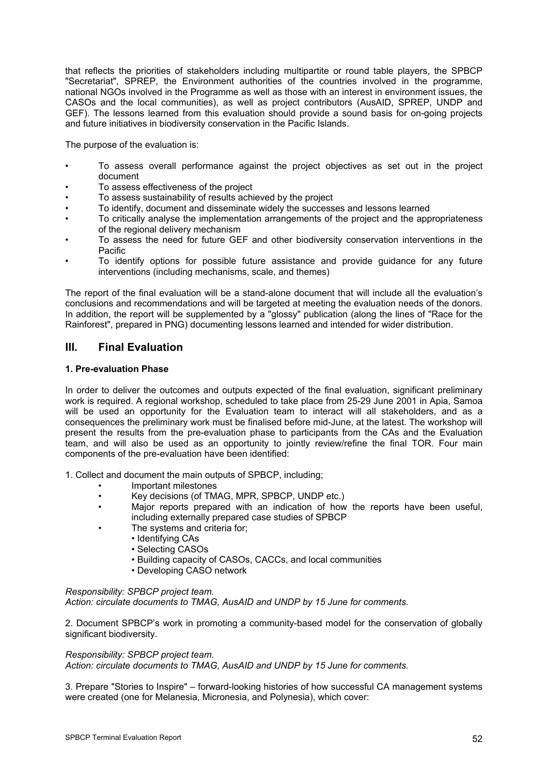that reflects the priorities of stakeholders including multipartite or round table players, the SPBCP "Secretariat", SPREP, the Environment authorities of the countries involved in the programme, national NGOs involved in the Programme as well as those with an interest in environment issues, the CASOs and the local communities), as well as project contributors (AusAID, SPREP, UNDP and GEF). The lessons learned from this evaluation should provide a sound basis for on-going projects and future initiatives in biodiversity conservation in the Pacific Islands.

The purpose of the evaluation is:

- To assess overall performance against the project objectives as set out in the project document
- To assess effectiveness of the project
- To assess sustainability of results achieved by the project
- To identify, document and disseminate widely the successes and lessons learned
- To critically analyse the implementation arrangements of the project and the appropriateness of the regional delivery mechanism
- To assess the need for future GEF and other biodiversity conservation interventions in the Pacific
- To identify options for possible future assistance and provide guidance for any future interventions (including mechanisms, scale, and themes)

The report of the final evaluation will be a stand-alone document that will include all the evaluation's conclusions and recommendations and will be targeted at meeting the evaluation needs of the donors. In addition, the report will be supplemented by a "glossy" publication (along the lines of "Race for the Rainforest", prepared in PNG) documenting lessons learned and intended for wider distribution.

### **III. Final Evaluation**

### **1. Pre-evaluation Phase**

In order to deliver the outcomes and outputs expected of the final evaluation, significant preliminary work is required. A regional workshop, scheduled to take place from 25-29 June 2001 in Apia, Samoa will be used an opportunity for the Evaluation team to interact will all stakeholders, and as a consequences the preliminary work must be finalised before mid-June, at the latest. The workshop will present the results from the pre-evaluation phase to participants from the CAs and the Evaluation team, and will also be used as an opportunity to jointly review/refine the final TOR. Four main components of the pre-evaluation have been identified:

1. Collect and document the main outputs of SPBCP, including;

- Important milestones
- Key decisions (of TMAG, MPR, SPBCP, UNDP etc.)
- Major reports prepared with an indication of how the reports have been useful, including externally prepared case studies of SPBCP
- The systems and criteria for;
	- Identifying CAs
		- Selecting CASOs
		- Building capacity of CASOs, CACCs, and local communities
		- Developing CASO network

#### *Responsibility: SPBCP project team.*

*Action: circulate documents to TMAG, AusAID and UNDP by 15 June for comments.*

2. Document SPBCP's work in promoting a community-based model for the conservation of globally significant biodiversity.

### *Responsibility: SPBCP project team.*

*Action: circulate documents to TMAG, AusAID and UNDP by 15 June for comments.*

3. Prepare "Stories to Inspire" – forward-looking histories of how successful CA management systems were created (one for Melanesia, Micronesia, and Polynesia), which cover: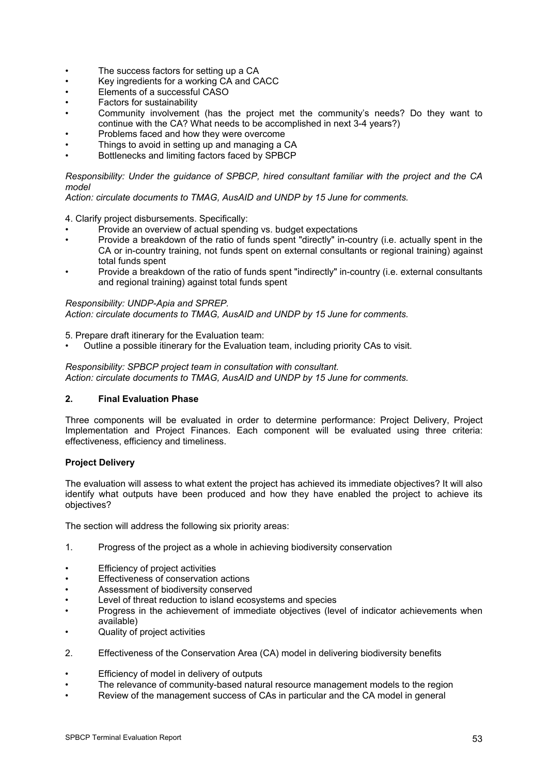- The success factors for setting up a CA
- Key ingredients for a working CA and CACC
- Elements of a successful CASO
- Factors for sustainability
- Community involvement (has the project met the community's needs? Do they want to continue with the CA? What needs to be accomplished in next 3-4 years?)
- Problems faced and how they were overcome
- Things to avoid in setting up and managing a CA
- Bottlenecks and limiting factors faced by SPBCP

*Responsibility: Under the guidance of SPBCP, hired consultant familiar with the project and the CA model*

*Action: circulate documents to TMAG, AusAID and UNDP by 15 June for comments.*

4. Clarify project disbursements. Specifically:

- Provide an overview of actual spending vs. budget expectations
- Provide a breakdown of the ratio of funds spent "directly" in-country (i.e. actually spent in the CA or in-country training, not funds spent on external consultants or regional training) against total funds spent
- Provide a breakdown of the ratio of funds spent "indirectly" in-country (i.e. external consultants and regional training) against total funds spent

*Responsibility: UNDP-Apia and SPREP. Action: circulate documents to TMAG, AusAID and UNDP by 15 June for comments.*

5. Prepare draft itinerary for the Evaluation team:

• Outline a possible itinerary for the Evaluation team, including priority CAs to visit.

*Responsibility: SPBCP project team in consultation with consultant. Action: circulate documents to TMAG, AusAID and UNDP by 15 June for comments.*

### **2. Final Evaluation Phase**

Three components will be evaluated in order to determine performance: Project Delivery, Project Implementation and Project Finances. Each component will be evaluated using three criteria: effectiveness, efficiency and timeliness.

### **Project Delivery**

The evaluation will assess to what extent the project has achieved its immediate objectives? It will also identify what outputs have been produced and how they have enabled the project to achieve its objectives?

The section will address the following six priority areas:

- 1. Progress of the project as a whole in achieving biodiversity conservation
- Efficiency of project activities
- Effectiveness of conservation actions
- Assessment of biodiversity conserved
- Level of threat reduction to island ecosystems and species
- Progress in the achievement of immediate objectives (level of indicator achievements when available)
- Quality of project activities
- 2. Effectiveness of the Conservation Area (CA) model in delivering biodiversity benefits
- Efficiency of model in delivery of outputs
- The relevance of community-based natural resource management models to the region
- Review of the management success of CAs in particular and the CA model in general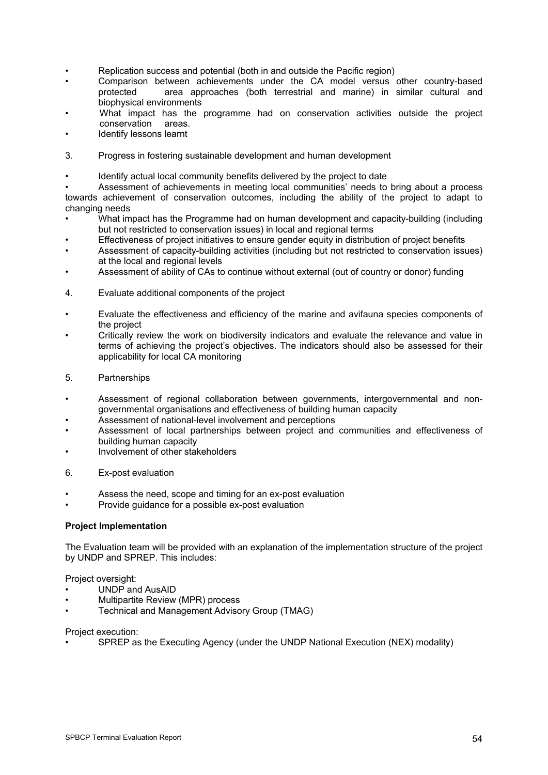- Replication success and potential (both in and outside the Pacific region)
- Comparison between achievements under the CA model versus other country-based<br>protected area approaches (both terrestrial and marine) in similar cultural and area approaches (both terrestrial and marine) in similar cultural and biophysical environments
- What impact has the programme had on conservation activities outside the project conservation areas.
- Identify lessons learnt
- 3. Progress in fostering sustainable development and human development
- Identify actual local community benefits delivered by the project to date

• Assessment of achievements in meeting local communities' needs to bring about a process towards achievement of conservation outcomes, including the ability of the project to adapt to changing needs

- What impact has the Programme had on human development and capacity-building (including but not restricted to conservation issues) in local and regional terms
- Effectiveness of project initiatives to ensure gender equity in distribution of project benefits
- Assessment of capacity-building activities (including but not restricted to conservation issues) at the local and regional levels
- Assessment of ability of CAs to continue without external (out of country or donor) funding
- 4. Evaluate additional components of the project
- Evaluate the effectiveness and efficiency of the marine and avifauna species components of the project
- Critically review the work on biodiversity indicators and evaluate the relevance and value in terms of achieving the project's objectives. The indicators should also be assessed for their applicability for local CA monitoring
- 5. Partnerships
- Assessment of regional collaboration between governments, intergovernmental and nongovernmental organisations and effectiveness of building human capacity
- Assessment of national-level involvement and perceptions
- Assessment of local partnerships between project and communities and effectiveness of building human capacity
- Involvement of other stakeholders
- 6. Ex-post evaluation
- Assess the need, scope and timing for an ex-post evaluation
- Provide guidance for a possible ex-post evaluation

#### **Project Implementation**

The Evaluation team will be provided with an explanation of the implementation structure of the project by UNDP and SPREP. This includes:

Project oversight:

- UNDP and AusAID
- Multipartite Review (MPR) process
- Technical and Management Advisory Group (TMAG)

Project execution:

• SPREP as the Executing Agency (under the UNDP National Execution (NEX) modality)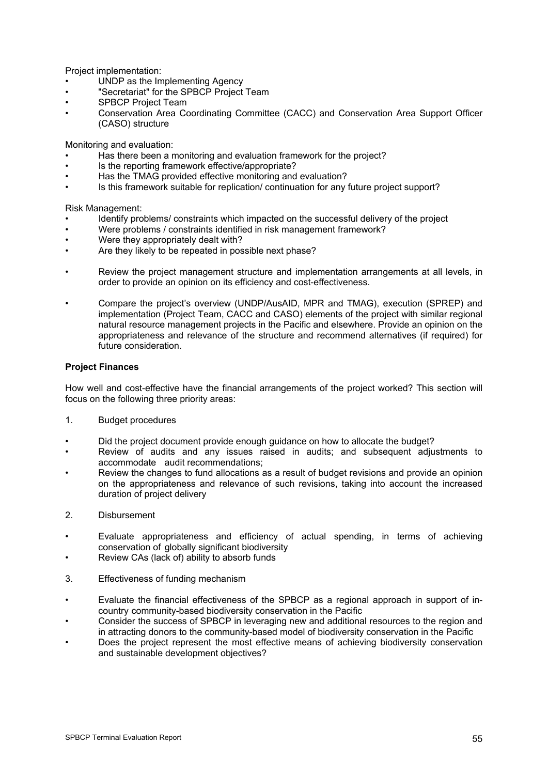Project implementation:

- UNDP as the Implementing Agency
- "Secretariat" for the SPBCP Project Team
- SPBCP Project Team
- Conservation Area Coordinating Committee (CACC) and Conservation Area Support Officer (CASO) structure

Monitoring and evaluation:

- Has there been a monitoring and evaluation framework for the project?
- Is the reporting framework effective/appropriate?
- Has the TMAG provided effective monitoring and evaluation?
- Is this framework suitable for replication/ continuation for any future project support?

Risk Management:

- Identify problems/ constraints which impacted on the successful delivery of the project
- Were problems / constraints identified in risk management framework?
- Were they appropriately dealt with?
- Are they likely to be repeated in possible next phase?
- Review the project management structure and implementation arrangements at all levels, in order to provide an opinion on its efficiency and cost-effectiveness.
- Compare the project's overview (UNDP/AusAID, MPR and TMAG), execution (SPREP) and implementation (Project Team, CACC and CASO) elements of the project with similar regional natural resource management projects in the Pacific and elsewhere. Provide an opinion on the appropriateness and relevance of the structure and recommend alternatives (if required) for future consideration.

### **Project Finances**

How well and cost-effective have the financial arrangements of the project worked? This section will focus on the following three priority areas:

- 1. Budget procedures
- Did the project document provide enough guidance on how to allocate the budget?
- Review of audits and any issues raised in audits; and subsequent adjustments to accommodate audit recommendations;
- Review the changes to fund allocations as a result of budget revisions and provide an opinion on the appropriateness and relevance of such revisions, taking into account the increased duration of project delivery
- 2. Disbursement
- Evaluate appropriateness and efficiency of actual spending, in terms of achieving conservation of globally significant biodiversity
- Review CAs (lack of) ability to absorb funds
- 3. Effectiveness of funding mechanism
- Evaluate the financial effectiveness of the SPBCP as a regional approach in support of incountry community-based biodiversity conservation in the Pacific
- Consider the success of SPBCP in leveraging new and additional resources to the region and in attracting donors to the community-based model of biodiversity conservation in the Pacific
- Does the project represent the most effective means of achieving biodiversity conservation and sustainable development objectives?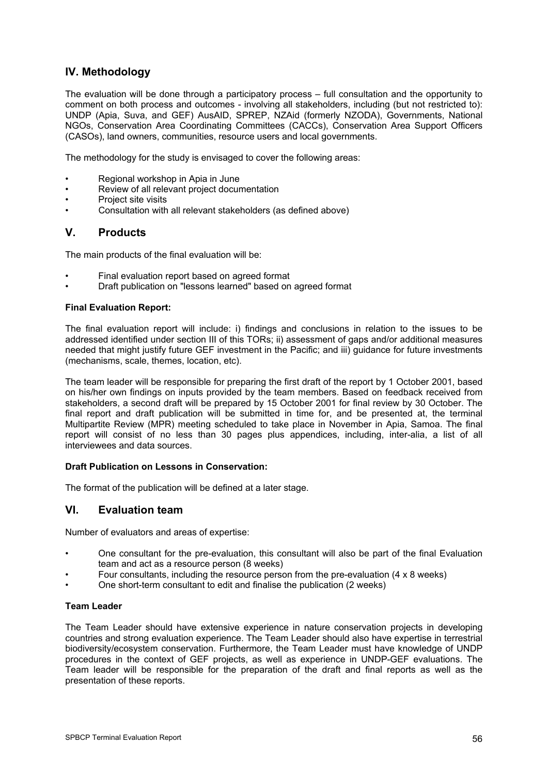### **IV. Methodology**

The evaluation will be done through a participatory process – full consultation and the opportunity to comment on both process and outcomes - involving all stakeholders, including (but not restricted to): UNDP (Apia, Suva, and GEF) AusAID, SPREP, NZAid (formerly NZODA), Governments, National NGOs, Conservation Area Coordinating Committees (CACCs), Conservation Area Support Officers (CASOs), land owners, communities, resource users and local governments.

The methodology for the study is envisaged to cover the following areas:

- Regional workshop in Apia in June
- Review of all relevant project documentation
- Project site visits
- Consultation with all relevant stakeholders (as defined above)

### **V. Products**

The main products of the final evaluation will be:

- Final evaluation report based on agreed format
- Draft publication on "lessons learned" based on agreed format

#### **Final Evaluation Report:**

The final evaluation report will include: i) findings and conclusions in relation to the issues to be addressed identified under section III of this TORs; ii) assessment of gaps and/or additional measures needed that might justify future GEF investment in the Pacific; and iii) guidance for future investments (mechanisms, scale, themes, location, etc).

The team leader will be responsible for preparing the first draft of the report by 1 October 2001, based on his/her own findings on inputs provided by the team members. Based on feedback received from stakeholders, a second draft will be prepared by 15 October 2001 for final review by 30 October. The final report and draft publication will be submitted in time for, and be presented at, the terminal Multipartite Review (MPR) meeting scheduled to take place in November in Apia, Samoa. The final report will consist of no less than 30 pages plus appendices, including, inter-alia, a list of all interviewees and data sources.

#### **Draft Publication on Lessons in Conservation:**

The format of the publication will be defined at a later stage.

### **VI. Evaluation team**

Number of evaluators and areas of expertise:

- One consultant for the pre-evaluation, this consultant will also be part of the final Evaluation team and act as a resource person (8 weeks)
- Four consultants, including the resource person from the pre-evaluation  $(4 \times 8 \text{ weeks})$
- One short-term consultant to edit and finalise the publication (2 weeks)

### **Team Leader**

The Team Leader should have extensive experience in nature conservation projects in developing countries and strong evaluation experience. The Team Leader should also have expertise in terrestrial biodiversity/ecosystem conservation. Furthermore, the Team Leader must have knowledge of UNDP procedures in the context of GEF projects, as well as experience in UNDP-GEF evaluations. The Team leader will be responsible for the preparation of the draft and final reports as well as the presentation of these reports.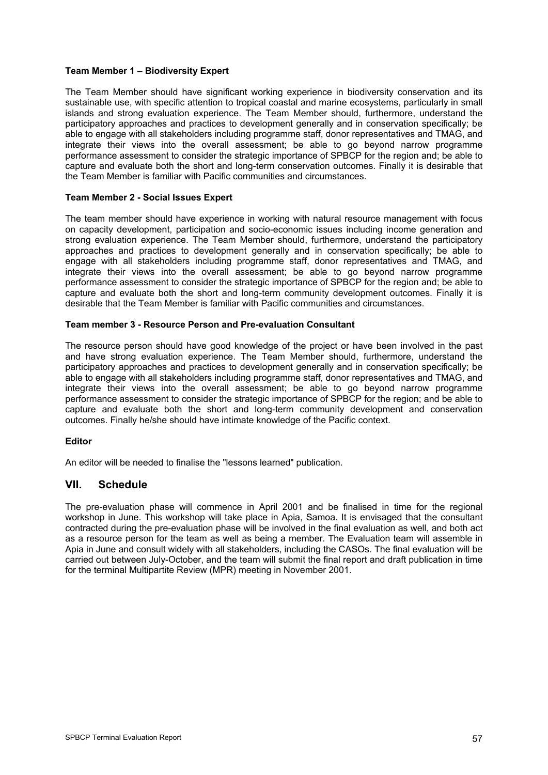### **Team Member 1 – Biodiversity Expert**

The Team Member should have significant working experience in biodiversity conservation and its sustainable use, with specific attention to tropical coastal and marine ecosystems, particularly in small islands and strong evaluation experience. The Team Member should, furthermore, understand the participatory approaches and practices to development generally and in conservation specifically; be able to engage with all stakeholders including programme staff, donor representatives and TMAG, and integrate their views into the overall assessment; be able to go beyond narrow programme performance assessment to consider the strategic importance of SPBCP for the region and; be able to capture and evaluate both the short and long-term conservation outcomes. Finally it is desirable that the Team Member is familiar with Pacific communities and circumstances.

### **Team Member 2 - Social Issues Expert**

The team member should have experience in working with natural resource management with focus on capacity development, participation and socio-economic issues including income generation and strong evaluation experience. The Team Member should, furthermore, understand the participatory approaches and practices to development generally and in conservation specifically; be able to engage with all stakeholders including programme staff, donor representatives and TMAG, and integrate their views into the overall assessment; be able to go beyond narrow programme performance assessment to consider the strategic importance of SPBCP for the region and; be able to capture and evaluate both the short and long-term community development outcomes. Finally it is desirable that the Team Member is familiar with Pacific communities and circumstances.

### **Team member 3 - Resource Person and Pre-evaluation Consultant**

The resource person should have good knowledge of the project or have been involved in the past and have strong evaluation experience. The Team Member should, furthermore, understand the participatory approaches and practices to development generally and in conservation specifically; be able to engage with all stakeholders including programme staff, donor representatives and TMAG, and integrate their views into the overall assessment; be able to go beyond narrow programme performance assessment to consider the strategic importance of SPBCP for the region; and be able to capture and evaluate both the short and long-term community development and conservation outcomes. Finally he/she should have intimate knowledge of the Pacific context.

### **Editor**

An editor will be needed to finalise the "lessons learned" publication.

### **VII. Schedule**

The pre-evaluation phase will commence in April 2001 and be finalised in time for the regional workshop in June. This workshop will take place in Apia, Samoa. It is envisaged that the consultant contracted during the pre-evaluation phase will be involved in the final evaluation as well, and both act as a resource person for the team as well as being a member. The Evaluation team will assemble in Apia in June and consult widely with all stakeholders, including the CASOs. The final evaluation will be carried out between July-October, and the team will submit the final report and draft publication in time for the terminal Multipartite Review (MPR) meeting in November 2001.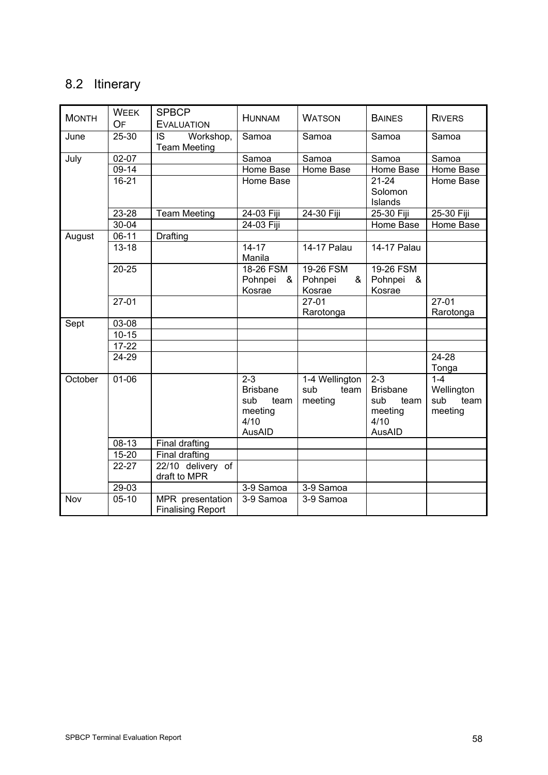# 8.2 Itinerary

| <b>MONTH</b> | <b>WEEK</b> | <b>SPBCP</b>                                 | <b>HUNNAM</b>                                                          | <b>WATSON</b>                            | <b>BAINES</b>                                                          | <b>RIVERS</b>                                   |
|--------------|-------------|----------------------------------------------|------------------------------------------------------------------------|------------------------------------------|------------------------------------------------------------------------|-------------------------------------------------|
|              | OF          | <b>EVALUATION</b>                            |                                                                        |                                          |                                                                        |                                                 |
| June         | 25-30       | IS<br>Workshop,<br><b>Team Meeting</b>       | Samoa                                                                  | Samoa                                    | Samoa                                                                  | Samoa                                           |
| July         | 02-07       |                                              | Samoa                                                                  | Samoa                                    | Samoa                                                                  | Samoa                                           |
|              | 09-14       |                                              | Home Base                                                              | Home Base                                | Home Base                                                              | Home Base                                       |
|              | $16 - 21$   |                                              | Home Base                                                              |                                          | $21 - 24$<br>Solomon<br>Islands                                        | Home Base                                       |
|              | 23-28       | <b>Team Meeting</b>                          | 24-03 Fiji                                                             | 24-30 Fiji                               | 25-30 Fiji                                                             | 25-30 Fiji                                      |
|              | 30-04       |                                              | 24-03 Fiji                                                             |                                          | Home Base                                                              | Home Base                                       |
| August       | $06-11$     | Drafting                                     |                                                                        |                                          |                                                                        |                                                 |
|              | $13 - 18$   |                                              | $14 - 17$<br>Manila                                                    | 14-17 Palau                              | 14-17 Palau                                                            |                                                 |
|              | 20-25       |                                              | 18-26 FSM<br>Pohnpei<br>&<br>Kosrae                                    | 19-26 FSM<br>Pohnpei<br>&<br>Kosrae      | 19-26 FSM<br>Pohnpei<br>&<br>Kosrae                                    |                                                 |
|              | $27-01$     |                                              |                                                                        | $27-01$<br>Rarotonga                     |                                                                        | $27 - 01$<br>Rarotonga                          |
| Sept         | 03-08       |                                              |                                                                        |                                          |                                                                        |                                                 |
|              | $10 - 15$   |                                              |                                                                        |                                          |                                                                        |                                                 |
|              | $17 - 22$   |                                              |                                                                        |                                          |                                                                        |                                                 |
|              | 24-29       |                                              |                                                                        |                                          |                                                                        | 24-28<br>Tonga                                  |
| October      | $01 - 06$   |                                              | $2 - 3$<br><b>Brisbane</b><br>sub<br>team<br>meeting<br>4/10<br>AusAID | 1-4 Wellington<br>sub<br>team<br>meeting | $2 - 3$<br><b>Brisbane</b><br>sub<br>team<br>meeting<br>4/10<br>AusAID | $1 - 4$<br>Wellington<br>sub<br>team<br>meeting |
|              | 08-13       | Final drafting                               |                                                                        |                                          |                                                                        |                                                 |
|              | 15-20       | Final drafting                               |                                                                        |                                          |                                                                        |                                                 |
|              | 22-27       | 22/10 delivery of<br>draft to MPR            |                                                                        |                                          |                                                                        |                                                 |
|              | 29-03       |                                              | $3-9$ Samoa                                                            | $3-9$ Samoa                              |                                                                        |                                                 |
| Nov          | $05-10$     | MPR presentation<br><b>Finalising Report</b> | 3-9 Samoa                                                              | 3-9 Samoa                                |                                                                        |                                                 |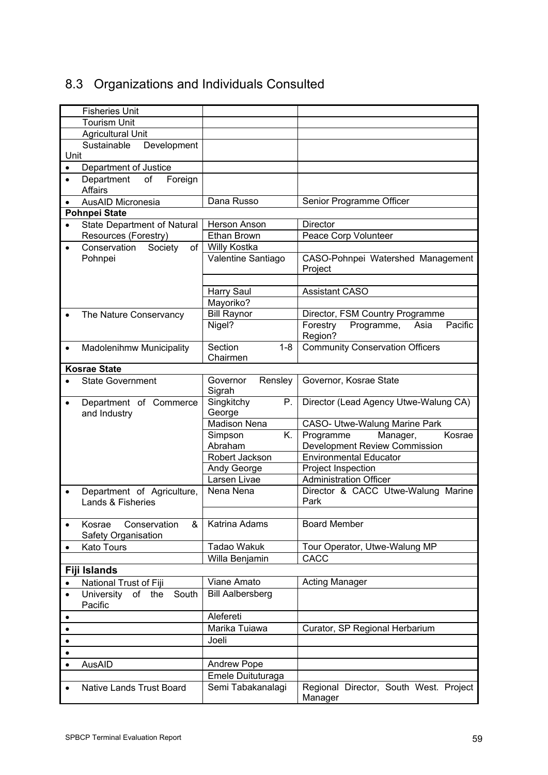# 8.3 Organizations and Individuals Consulted

|           | <b>Fisheries Unit</b>              |                               |                                                                         |
|-----------|------------------------------------|-------------------------------|-------------------------------------------------------------------------|
|           | <b>Tourism Unit</b>                |                               |                                                                         |
|           | <b>Agricultural Unit</b>           |                               |                                                                         |
|           | Sustainable<br>Development         |                               |                                                                         |
| Unit      |                                    |                               |                                                                         |
| $\bullet$ | Department of Justice              |                               |                                                                         |
| $\bullet$ | Department<br>Foreign<br>of        |                               |                                                                         |
|           | Affairs                            |                               |                                                                         |
|           | AusAID Micronesia                  | Dana Russo                    | Senior Programme Officer                                                |
|           | <b>Pohnpei State</b>               |                               |                                                                         |
| $\bullet$ | <b>State Department of Natural</b> | Herson Anson                  | <b>Director</b>                                                         |
|           | Resources (Forestry)               | Ethan Brown                   | Peace Corp Volunteer                                                    |
|           | Conservation<br>Society<br>of      | Willy Kostka                  |                                                                         |
|           | Pohnpei                            | Valentine Santiago            | CASO-Pohnpei Watershed Management<br>Project                            |
|           |                                    |                               |                                                                         |
|           |                                    | <b>Harry Saul</b>             | <b>Assistant CASO</b>                                                   |
|           |                                    | Mayoriko?                     |                                                                         |
| $\bullet$ | The Nature Conservancy             | <b>Bill Raynor</b>            | Director, FSM Country Programme                                         |
|           |                                    | Nigel?                        | Pacific<br>Programme,<br>Forestry<br>Asia                               |
|           |                                    |                               | Region?                                                                 |
| $\bullet$ | Madolenihmw Municipality           | Section<br>$1 - 8$            | <b>Community Conservation Officers</b>                                  |
|           |                                    | Chairmen                      |                                                                         |
|           | <b>Kosrae State</b>                |                               |                                                                         |
|           | <b>State Government</b>            | Rensley<br>Governor           | Governor, Kosrae State                                                  |
|           |                                    | Sigrah                        |                                                                         |
| $\bullet$ | Department of Commerce             | Singkitchy<br>Ρ.              | Director (Lead Agency Utwe-Walung CA)                                   |
|           | and Industry                       | George<br><b>Madison Nena</b> |                                                                         |
|           |                                    | Simpson<br>Κ.                 | <b>CASO- Utwe-Walung Marine Park</b><br>Manager,<br>Programme<br>Kosrae |
|           |                                    | Abraham                       | <b>Development Review Commission</b>                                    |
|           |                                    | Robert Jackson                | <b>Environmental Educator</b>                                           |
|           |                                    | Andy George                   | Project Inspection                                                      |
|           |                                    | Larsen Livae                  | <b>Administration Officer</b>                                           |
| $\bullet$ | Department of Agriculture,         | Nena Nena                     | Director & CACC Utwe-Walung Marine                                      |
|           | Lands & Fisheries                  |                               | Park                                                                    |
|           |                                    |                               |                                                                         |
|           | Kosrae<br>Conservation<br>&        | Katrina Adams                 | <b>Board Member</b>                                                     |
|           | Safety Organisation                |                               |                                                                         |
| $\bullet$ | Kato Tours                         | <b>Tadao Wakuk</b>            | Tour Operator, Utwe-Walung MP                                           |
|           |                                    | Willa Benjamin                | CACC                                                                    |
|           | Fiji Islands                       |                               |                                                                         |
| $\bullet$ | National Trust of Fiji             | Viane Amato                   | <b>Acting Manager</b>                                                   |
| $\bullet$ | University<br>of the<br>South      | <b>Bill Aalbersberg</b>       |                                                                         |
|           | Pacific                            | Alefereti                     |                                                                         |
| $\bullet$ |                                    | Marika Tuiawa                 |                                                                         |
| $\bullet$ |                                    |                               | Curator, SP Regional Herbarium                                          |
| $\bullet$ |                                    | Joeli                         |                                                                         |
| $\bullet$ |                                    |                               |                                                                         |
| $\bullet$ | AusAID                             | <b>Andrew Pope</b>            |                                                                         |
|           |                                    | Emele Duituturaga             |                                                                         |
| $\bullet$ | <b>Native Lands Trust Board</b>    | Semi Tabakanalagi             | Regional Director, South West. Project<br>Manager                       |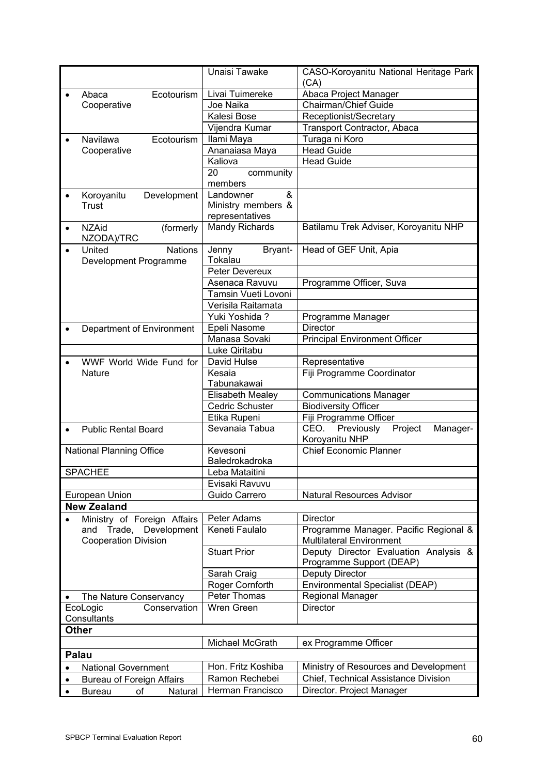|           |                                                   | Unaisi Tawake                   | CASO-Koroyanitu National Heritage Park    |
|-----------|---------------------------------------------------|---------------------------------|-------------------------------------------|
|           |                                                   |                                 | (CA)                                      |
|           | Ecotourism<br>Abaca                               | Livai Tuimereke                 | Abaca Project Manager                     |
|           | Cooperative                                       | Joe Naika                       | Chairman/Chief Guide                      |
|           |                                                   | Kalesi Bose                     | Receptionist/Secretary                    |
|           |                                                   | Vijendra Kumar                  | Transport Contractor, Abaca               |
| $\bullet$ | Ecotourism<br><b>Navilawa</b>                     | Ilami Maya                      | Turaga ni Koro                            |
|           | Cooperative                                       | Ananaiasa Maya                  | <b>Head Guide</b>                         |
|           |                                                   | Kaliova                         | <b>Head Guide</b>                         |
|           |                                                   | 20<br>community                 |                                           |
|           |                                                   | members                         |                                           |
|           | Koroyanitu<br>Development                         | &<br>Landowner                  |                                           |
|           | Trust                                             | Ministry members &              |                                           |
|           |                                                   | representatives                 |                                           |
| $\bullet$ | <b>NZAid</b><br>(formerly<br>NZODA)/TRC           | <b>Mandy Richards</b>           | Batilamu Trek Adviser, Koroyanitu NHP     |
|           | <b>Nations</b><br>United<br>Development Programme | Bryant-<br>Jenny<br>Tokalau     | Head of GEF Unit, Apia                    |
|           |                                                   | Peter Devereux                  |                                           |
|           |                                                   | Asenaca Ravuvu                  | Programme Officer, Suva                   |
|           |                                                   | Tamsin Vueti Lovoni             |                                           |
|           |                                                   | Verisila Raitamata              |                                           |
|           |                                                   | Yuki Yoshida ?                  | Programme Manager                         |
|           | Department of Environment                         | Epeli Nasome                    | <b>Director</b>                           |
|           |                                                   | Manasa Sovaki                   | <b>Principal Environment Officer</b>      |
|           |                                                   | Luke Qiritabu                   |                                           |
|           | WWF World Wide Fund for                           | David Hulse                     | Representative                            |
|           | Nature                                            | Kesaia                          | Fiji Programme Coordinator                |
|           |                                                   | Tabunakawai<br>Elisabeth Mealey | <b>Communications Manager</b>             |
|           |                                                   | Cedric Schuster                 | <b>Biodiversity Officer</b>               |
|           |                                                   | Etika Rupeni                    | Fiji Programme Officer                    |
| $\bullet$ | <b>Public Rental Board</b>                        | Sevanaia Tabua                  | CEO.<br>Previously<br>Project<br>Manager- |
|           |                                                   |                                 | Koroyanitu NHP                            |
|           | <b>National Planning Office</b>                   | Kevesoni<br>Baledrokadroka      | <b>Chief Economic Planner</b>             |
|           | <b>SPACHEE</b>                                    | Leba Mataitini                  |                                           |
|           |                                                   | Evisaki Ravuvu                  |                                           |
|           | European Union                                    | Guido Carrero                   | Natural Resources Advisor                 |
|           | <b>New Zealand</b>                                |                                 |                                           |
|           | Ministry of Foreign Affairs                       | Peter Adams                     | <b>Director</b>                           |
|           | and Trade, Development                            | Keneti Faulalo                  | Programme Manager. Pacific Regional &     |
|           | <b>Cooperation Division</b>                       |                                 | <b>Multilateral Environment</b>           |
|           |                                                   | <b>Stuart Prior</b>             | Deputy Director Evaluation Analysis &     |
|           |                                                   |                                 | Programme Support (DEAP)                  |
|           |                                                   | Sarah Craig                     | Deputy Director                           |
|           |                                                   | Roger Cornforth                 | Environmental Specialist (DEAP)           |
|           | The Nature Conservancy                            | Peter Thomas                    | Regional Manager                          |
|           | EcoLogic<br>Conservation<br>Consultants           | Wren Green                      | <b>Director</b>                           |
|           | <b>Other</b>                                      |                                 |                                           |
|           |                                                   | Michael McGrath                 | ex Programme Officer                      |
|           | Palau                                             |                                 |                                           |
| $\bullet$ | <b>National Government</b>                        | Hon. Fritz Koshiba              | Ministry of Resources and Development     |
| $\bullet$ | <b>Bureau of Foreign Affairs</b>                  | Ramon Rechebei                  | Chief, Technical Assistance Division      |
| $\bullet$ | <b>Bureau</b><br>of<br>Natural                    | Herman Francisco                | Director. Project Manager                 |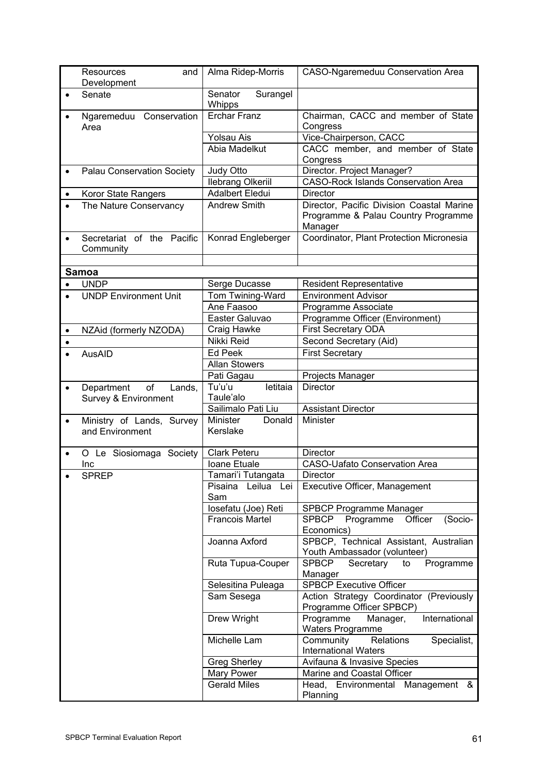|           | Resources<br>and<br>Development                    | Alma Ridep-Morris                | <b>CASO-Ngaremeduu Conservation Area</b>                                                    |
|-----------|----------------------------------------------------|----------------------------------|---------------------------------------------------------------------------------------------|
| $\bullet$ | Senate                                             | Senator<br>Surangel<br>Whipps    |                                                                                             |
| $\bullet$ | Ngaremeduu Conservation<br>Area                    | <b>Erchar Franz</b>              | Chairman, CACC and member of State<br>Congress                                              |
|           |                                                    | Yolsau Ais                       | Vice-Chairperson, CACC                                                                      |
|           |                                                    | Abia Madelkut                    | CACC member, and member of State<br>Congress                                                |
| $\bullet$ | Palau Conservation Society                         | Judy Otto                        | Director. Project Manager?                                                                  |
|           |                                                    | <b>Ilebrang Olkeriil</b>         | <b>CASO-Rock Islands Conservation Area</b>                                                  |
| $\bullet$ | Koror State Rangers                                | <b>Adalbert Eledui</b>           | <b>Director</b>                                                                             |
| $\bullet$ | The Nature Conservancy                             | <b>Andrew Smith</b>              | Director, Pacific Division Coastal Marine<br>Programme & Palau Country Programme<br>Manager |
| $\bullet$ | Secretariat of the Pacific<br>Community            | Konrad Engleberger               | Coordinator, Plant Protection Micronesia                                                    |
|           |                                                    |                                  |                                                                                             |
|           | Samoa                                              |                                  |                                                                                             |
| $\bullet$ | <b>UNDP</b>                                        | Serge Ducasse                    | <b>Resident Representative</b>                                                              |
|           | <b>UNDP Environment Unit</b>                       | Tom Twining-Ward                 | <b>Environment Advisor</b>                                                                  |
|           |                                                    | Ane Faasoo                       | Programme Associate                                                                         |
|           |                                                    | Easter Galuvao                   | Programme Officer (Environment)                                                             |
| $\bullet$ | NZAid (formerly NZODA)                             | Craig Hawke                      | <b>First Secretary ODA</b>                                                                  |
| $\bullet$ |                                                    | Nikki Reid                       | Second Secretary (Aid)                                                                      |
| $\bullet$ | AusAID                                             | <b>Ed Peek</b>                   | <b>First Secretary</b>                                                                      |
|           |                                                    | <b>Allan Stowers</b>             |                                                                                             |
|           |                                                    | Pati Gagau<br>Tu'u'u<br>letitaia | Projects Manager<br><b>Director</b>                                                         |
| $\bullet$ | Department<br>of<br>Lands,<br>Survey & Environment | Taule'alo                        |                                                                                             |
|           |                                                    | Sailimalo Pati Liu               | <b>Assistant Director</b>                                                                   |
| $\bullet$ | Ministry of Lands, Survey                          | Minister<br>Donald               | Minister                                                                                    |
|           | and Environment                                    | Kerslake                         |                                                                                             |
| $\bullet$ | O Le Siosiomaga Society                            | <b>Clark Peteru</b>              | <b>Director</b>                                                                             |
|           | Inc                                                | Ioane Etuale                     | <b>CASO-Uafato Conservation Area</b>                                                        |
|           | <b>SPREP</b>                                       | Tamari'i Tutangata               | Director                                                                                    |
|           |                                                    | Pisaina Leilua Lei<br>Sam        | Executive Officer, Management                                                               |
|           |                                                    | losefatu (Joe) Reti              | <b>SPBCP Programme Manager</b>                                                              |
|           |                                                    | <b>Francois Martel</b>           | <b>SPBCP</b><br>(Socio-<br>Programme<br>Officer<br>Economics)                               |
|           |                                                    | Joanna Axford                    | SPBCP, Technical Assistant, Australian<br>Youth Ambassador (volunteer)                      |
|           |                                                    | Ruta Tupua-Couper                | <b>SPBCP</b><br>Secretary<br>Programme<br>to<br>Manager                                     |
|           |                                                    | Selesitina Puleaga               | <b>SPBCP Executive Officer</b>                                                              |
|           |                                                    | Sam Sesega                       | Action Strategy Coordinator (Previously<br>Programme Officer SPBCP)                         |
|           |                                                    | Drew Wright                      | Programme<br>International<br>Manager,<br><b>Waters Programme</b>                           |
|           |                                                    | Michelle Lam                     | Community<br>Relations<br>Specialist,<br><b>International Waters</b>                        |
|           |                                                    | <b>Greg Sherley</b>              | Avifauna & Invasive Species                                                                 |
|           |                                                    | Mary Power                       | Marine and Coastal Officer                                                                  |
|           |                                                    | <b>Gerald Miles</b>              | Head, Environmental Management &<br>Planning                                                |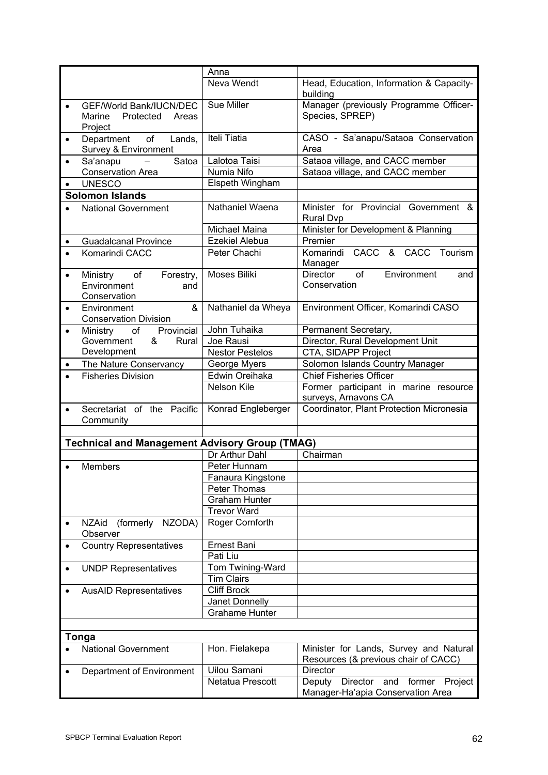|           |                                                       | Anna                   |                                             |
|-----------|-------------------------------------------------------|------------------------|---------------------------------------------|
|           |                                                       | Neva Wendt             | Head, Education, Information & Capacity-    |
|           |                                                       |                        | building                                    |
|           | GEF/World Bank/IUCN/DEC                               | Sue Miller             | Manager (previously Programme Officer-      |
|           | Protected Areas<br>Marine                             |                        | Species, SPREP)                             |
|           | Project                                               |                        |                                             |
| $\bullet$ | Department<br>$\circ$ of<br>Lands,                    | Iteli Tiatia           | CASO - Sa'anapu/Sataoa Conservation         |
|           | Survey & Environment                                  |                        | Area                                        |
| $\bullet$ | Satoa<br>Sa'anapu<br>$\sim$                           | Lalotoa Taisi          | Sataoa village, and CACC member             |
|           | <b>Conservation Area</b>                              | Numia Nifo             | Sataoa village, and CACC member             |
| $\bullet$ | <b>UNESCO</b>                                         | Elspeth Wingham        |                                             |
|           | <b>Solomon Islands</b>                                |                        |                                             |
|           | <b>National Government</b>                            | Nathaniel Waena        | Minister for Provincial Government &        |
|           |                                                       |                        | <b>Rural Dvp</b>                            |
|           |                                                       | Michael Maina          | Minister for Development & Planning         |
| $\bullet$ | <b>Guadalcanal Province</b>                           | <b>Ezekiel Alebua</b>  | Premier                                     |
| $\bullet$ | Komarindi CACC                                        | Peter Chachi           | Komarindi CACC & CACC<br>Tourism            |
|           |                                                       |                        | Manager                                     |
| $\bullet$ | Ministry<br>of<br>Forestry,                           | Moses Biliki           | Director<br>of<br>Environment<br>and        |
|           | Environment<br>and                                    |                        | Conservation                                |
|           | Conservation                                          |                        |                                             |
| $\bullet$ | Environment<br>&                                      | Nathaniel da Wheya     | Environment Officer, Komarindi CASO         |
|           | <b>Conservation Division</b>                          |                        |                                             |
| $\bullet$ | Provincial<br>Ministry<br>of                          | John Tuhaika           | Permanent Secretary,                        |
|           | Government<br>&<br>Rural                              | Joe Rausi              | Director, Rural Development Unit            |
|           | Development                                           | <b>Nestor Pestelos</b> | CTA, SIDAPP Project                         |
| $\bullet$ | The Nature Conservancy                                | George Myers           | Solomon Islands Country Manager             |
|           | <b>Fisheries Division</b>                             | Edwin Oreihaka         | <b>Chief Fisheries Officer</b>              |
|           |                                                       | Nelson Kile            | Former participant in marine resource       |
|           |                                                       |                        | surveys, Arnavons CA                        |
| $\bullet$ | Secretariat of the Pacific                            | Konrad Engleberger     | Coordinator, Plant Protection Micronesia    |
|           | Community                                             |                        |                                             |
|           |                                                       |                        |                                             |
|           | <b>Technical and Management Advisory Group (TMAG)</b> |                        |                                             |
|           |                                                       | Dr Arthur Dahl         | Chairman                                    |
| $\bullet$ | Members                                               | Peter Hunnam           |                                             |
|           |                                                       | Fanaura Kingstone      |                                             |
|           |                                                       | Peter Thomas           |                                             |
|           |                                                       | <b>Graham Hunter</b>   |                                             |
|           |                                                       | <b>Trevor Ward</b>     |                                             |
| $\bullet$ | <b>NZAid</b><br>(formerly NZODA)<br>Observer          | Roger Cornforth        |                                             |
| $\bullet$ | <b>Country Representatives</b>                        | Ernest Bani            |                                             |
|           |                                                       | Pati Liu               |                                             |
| $\bullet$ | <b>UNDP Representatives</b>                           | Tom Twining-Ward       |                                             |
|           |                                                       | <b>Tim Clairs</b>      |                                             |
|           | <b>AusAID Representatives</b>                         | <b>Cliff Brock</b>     |                                             |
|           |                                                       | Janet Donnelly         |                                             |
|           |                                                       | <b>Grahame Hunter</b>  |                                             |
|           |                                                       |                        |                                             |
|           | <b>Tonga</b>                                          |                        |                                             |
|           | <b>National Government</b>                            | Hon. Fielakepa         | Minister for Lands, Survey and Natural      |
|           |                                                       |                        | Resources (& previous chair of CACC)        |
|           | Department of Environment                             | Uilou Samani           | <b>Director</b>                             |
|           |                                                       | Netatua Prescott       | Director<br>and former<br>Project<br>Deputy |
|           |                                                       |                        | Manager-Ha'apia Conservation Area           |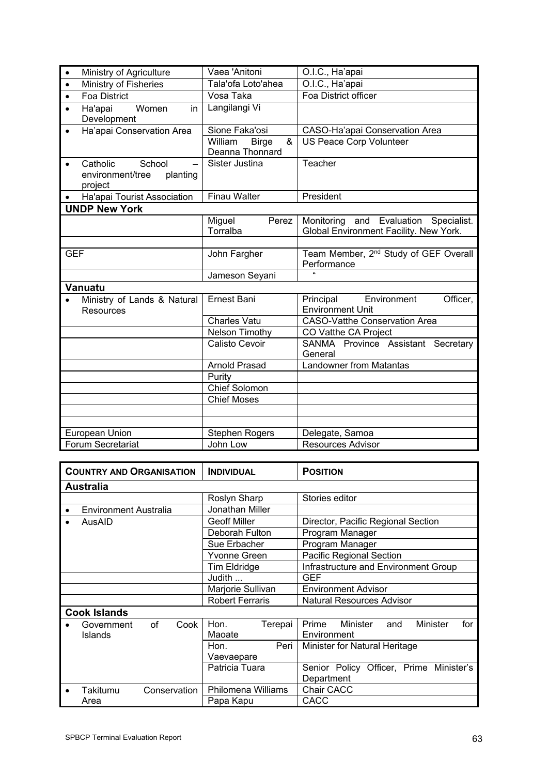| $\bullet$  | Ministry of Agriculture                                       | Vaea 'Anitoni                                   | O.I.C., Ha'apai                                                                       |
|------------|---------------------------------------------------------------|-------------------------------------------------|---------------------------------------------------------------------------------------|
| $\bullet$  | Ministry of Fisheries                                         | Tala'ofa Loto'ahea                              | O.I.C., Ha'apai                                                                       |
| $\bullet$  | <b>Foa District</b>                                           | Vosa Taka                                       | Foa District officer                                                                  |
| $\bullet$  | Women<br>Ha'apai<br>in<br>Development                         | Langilangi Vi                                   |                                                                                       |
| $\bullet$  | Ha'apai Conservation Area                                     | Sione Faka'osi                                  | CASO-Ha'apai Conservation Area                                                        |
|            |                                                               | &<br>William<br><b>Birge</b><br>Deanna Thonnard | <b>US Peace Corp Volunteer</b>                                                        |
| $\bullet$  | School<br>Catholic<br>environment/tree<br>planting<br>project | Sister Justina                                  | Teacher                                                                               |
| $\bullet$  | Ha'apai Tourist Association                                   | <b>Finau Walter</b>                             | President                                                                             |
|            | <b>UNDP New York</b>                                          |                                                 |                                                                                       |
|            |                                                               | Miguel<br>Perez<br>Torralba                     | Monitoring<br>and Evaluation<br>Specialist.<br>Global Environment Facility. New York. |
|            |                                                               |                                                 |                                                                                       |
| <b>GEF</b> |                                                               | John Fargher                                    | Team Member, 2 <sup>nd</sup> Study of GEF Overall<br>Performance                      |
|            |                                                               | Jameson Seyani                                  |                                                                                       |
|            | Vanuatu                                                       |                                                 |                                                                                       |
|            | Ministry of Lands & Natural<br>Resources                      | Ernest Bani                                     | Environment<br>Officer,<br>Principal<br><b>Environment Unit</b>                       |
|            |                                                               | <b>Charles Vatu</b>                             | <b>CASO-Vatthe Conservation Area</b>                                                  |
|            |                                                               | Nelson Timothy                                  | CO Vatthe CA Project                                                                  |
|            |                                                               | Calisto Cevoir                                  | SANMA Province Assistant Secretary<br>General                                         |
|            |                                                               | <b>Arnold Prasad</b>                            | <b>Landowner from Matantas</b>                                                        |
|            |                                                               | Purity                                          |                                                                                       |
|            |                                                               | Chief Solomon                                   |                                                                                       |
|            |                                                               | <b>Chief Moses</b>                              |                                                                                       |
|            |                                                               |                                                 |                                                                                       |
|            |                                                               |                                                 |                                                                                       |
|            | European Union                                                | <b>Stephen Rogers</b>                           | Delegate, Samoa                                                                       |
|            | Forum Secretariat                                             | John Low                                        | <b>Resources Advisor</b>                                                              |

| <b>COUNTRY AND ORGANISATION</b> |                                            | <b>INDIVIDUAL</b>          | <b>POSITION</b>                                            |
|---------------------------------|--------------------------------------------|----------------------------|------------------------------------------------------------|
|                                 | <b>Australia</b>                           |                            |                                                            |
|                                 |                                            | Roslyn Sharp               | Stories editor                                             |
|                                 | <b>Environment Australia</b>               | Jonathan Miller            |                                                            |
| ٠                               | AusAID                                     | Geoff Miller               | Director, Pacific Regional Section                         |
|                                 |                                            | Deborah Fulton             | Program Manager                                            |
|                                 |                                            | Sue Erbacher               | Program Manager                                            |
|                                 |                                            | Yvonne Green               | Pacific Regional Section                                   |
|                                 |                                            | Tim Eldridge               | Infrastructure and Environment Group                       |
|                                 |                                            | Judith                     | <b>GEF</b>                                                 |
|                                 |                                            | Marjorie Sullivan          | <b>Environment Advisor</b>                                 |
|                                 |                                            | <b>Robert Ferraris</b>     | Natural Resources Advisor                                  |
|                                 | <b>Cook Islands</b>                        |                            |                                                            |
|                                 | of<br>Cook<br>Government<br><b>Islands</b> | Hon.<br>Terepai<br>Maoate  | Prime<br>Minister<br>Minister<br>for<br>and<br>Environment |
|                                 |                                            | Peri<br>Hon.<br>Vaevaepare | Minister for Natural Heritage                              |
|                                 |                                            | Patricia Tuara             | Senior Policy Officer, Prime Minister's<br>Department      |
| $\bullet$                       | Takitumu<br>Conservation                   | Philomena Williams         | Chair CACC                                                 |
|                                 | Area                                       | Papa Kapu                  | CACC                                                       |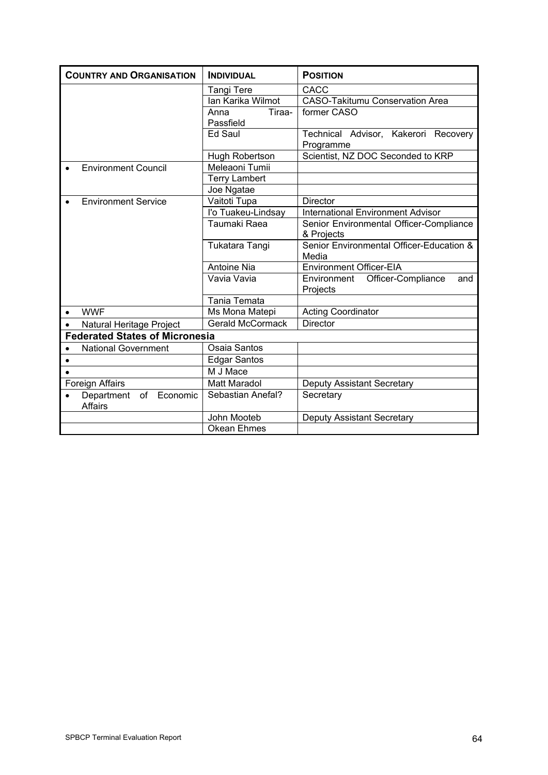| <b>COUNTRY AND ORGANISATION</b>                             | <b>INDIVIDUAL</b>           | <b>POSITION</b>                                       |
|-------------------------------------------------------------|-----------------------------|-------------------------------------------------------|
|                                                             | <b>Tangi Tere</b>           | CACC                                                  |
|                                                             | Ian Karika Wilmot           | <b>CASO-Takitumu Conservation Area</b>                |
|                                                             | Anna<br>Tiraa-<br>Passfield | former CASO                                           |
|                                                             | Ed Saul                     | Technical Advisor, Kakerori Recovery<br>Programme     |
|                                                             | Hugh Robertson              | Scientist, NZ DOC Seconded to KRP                     |
| <b>Environment Council</b>                                  | Meleaoni Tumii              |                                                       |
|                                                             | <b>Terry Lambert</b>        |                                                       |
|                                                             | Joe Ngatae                  |                                                       |
| <b>Environment Service</b><br>$\bullet$                     | Vaitoti Tupa                | <b>Director</b>                                       |
|                                                             | l'o Tuakeu-Lindsay          | <b>International Environment Advisor</b>              |
|                                                             | Taumaki Raea                | Senior Environmental Officer-Compliance<br>& Projects |
|                                                             | Tukatara Tangi              | Senior Environmental Officer-Education &<br>Media     |
|                                                             | <b>Antoine Nia</b>          | <b>Environment Officer-EIA</b>                        |
|                                                             | Vavia Vavia                 | Officer-Compliance<br>Environment<br>and<br>Projects  |
|                                                             | Tania Temata                |                                                       |
| <b>WWF</b><br>$\bullet$                                     | Ms Mona Matepi              | <b>Acting Coordinator</b>                             |
| Natural Heritage Project<br>$\bullet$                       | <b>Gerald McCormack</b>     | <b>Director</b>                                       |
| <b>Federated States of Micronesia</b>                       |                             |                                                       |
| <b>National Government</b><br>$\bullet$                     | Osaia Santos                |                                                       |
| $\bullet$                                                   | <b>Edgar Santos</b>         |                                                       |
| $\bullet$                                                   | M J Mace                    |                                                       |
| Foreign Affairs                                             | <b>Matt Maradol</b>         | <b>Deputy Assistant Secretary</b>                     |
| Department<br>of<br>Economic<br>$\bullet$<br><b>Affairs</b> | Sebastian Anefal?           | Secretary                                             |
|                                                             | John Mooteb                 | <b>Deputy Assistant Secretary</b>                     |
|                                                             | <b>Okean Ehmes</b>          |                                                       |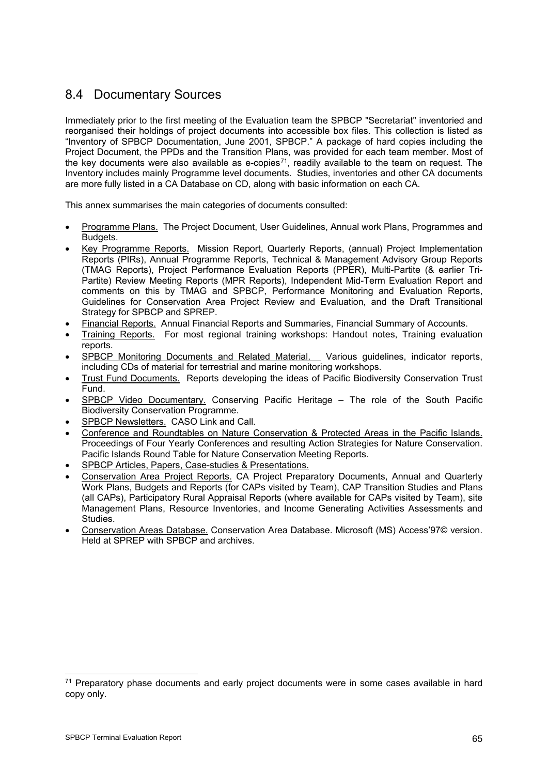# 8.4 Documentary Sources

Immediately prior to the first meeting of the Evaluation team the SPBCP "Secretariat" inventoried and reorganised their holdings of project documents into accessible box files. This collection is listed as "Inventory of SPBCP Documentation, June 2001, SPBCP." A package of hard copies including the Project Document, the PPDs and the Transition Plans, was provided for each team member. Most of the key documents were also available as e-copies $71$ , readily available to the team on request. The Inventory includes mainly Programme level documents. Studies, inventories and other CA documents are more fully listed in a CA Database on CD, along with basic information on each CA.

This annex summarises the main categories of documents consulted:

- Programme Plans. The Project Document, User Guidelines, Annual work Plans, Programmes and Budgets.
- Key Programme Reports. Mission Report, Quarterly Reports, (annual) Project Implementation Reports (PIRs), Annual Programme Reports, Technical & Management Advisory Group Reports (TMAG Reports), Project Performance Evaluation Reports (PPER), Multi-Partite (& earlier Tri-Partite) Review Meeting Reports (MPR Reports), Independent Mid-Term Evaluation Report and comments on this by TMAG and SPBCP, Performance Monitoring and Evaluation Reports, Guidelines for Conservation Area Project Review and Evaluation, and the Draft Transitional Strategy for SPBCP and SPREP.
- Financial Reports. Annual Financial Reports and Summaries, Financial Summary of Accounts.
- Training Reports. For most regional training workshops: Handout notes, Training evaluation reports.
- SPBCP Monitoring Documents and Related Material. Various guidelines, indicator reports, including CDs of material for terrestrial and marine monitoring workshops.
- Trust Fund Documents. Reports developing the ideas of Pacific Biodiversity Conservation Trust Fund.
- SPBCP Video Documentary. Conserving Pacific Heritage The role of the South Pacific Biodiversity Conservation Programme.
- SPBCP Newsletters. CASO Link and Call.
- Conference and Roundtables on Nature Conservation & Protected Areas in the Pacific Islands. Proceedings of Four Yearly Conferences and resulting Action Strategies for Nature Conservation. Pacific Islands Round Table for Nature Conservation Meeting Reports.
- SPBCP Articles, Papers, Case-studies & Presentations.
- Conservation Area Project Reports. CA Project Preparatory Documents, Annual and Quarterly Work Plans, Budgets and Reports (for CAPs visited by Team), CAP Transition Studies and Plans (all CAPs), Participatory Rural Appraisal Reports (where available for CAPs visited by Team), site Management Plans, Resource Inventories, and Income Generating Activities Assessments and Studies.
- Conservation Areas Database. Conservation Area Database. Microsoft (MS) Access'97© version. Held at SPREP with SPBCP and archives.

<span id="page-68-0"></span><sup>71</sup> Preparatory phase documents and early project documents were in some cases available in hard copy only.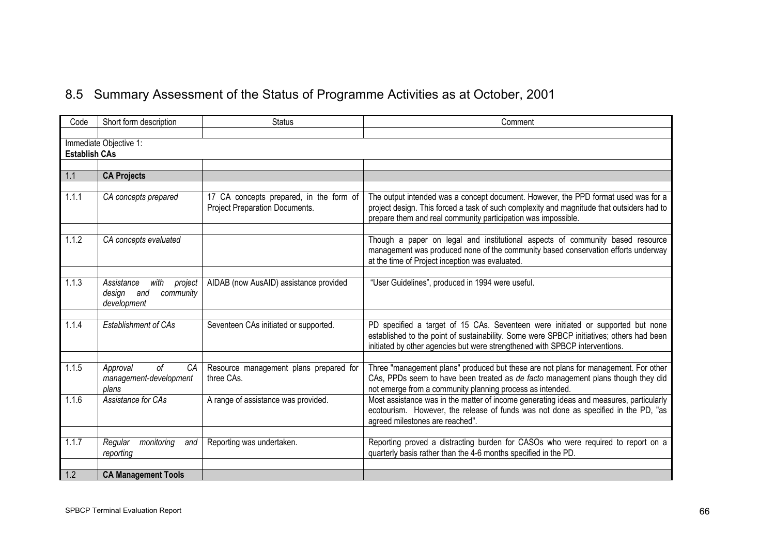# 8.5 Summary Assessment of the Status of Programme Activities as at October, 2001

| Code                 | Short form description                                                  | <b>Status</b>                                                             | Comment                                                                                                                                                                                                                                                    |
|----------------------|-------------------------------------------------------------------------|---------------------------------------------------------------------------|------------------------------------------------------------------------------------------------------------------------------------------------------------------------------------------------------------------------------------------------------------|
|                      |                                                                         |                                                                           |                                                                                                                                                                                                                                                            |
|                      | Immediate Objective 1:                                                  |                                                                           |                                                                                                                                                                                                                                                            |
| <b>Establish CAs</b> |                                                                         |                                                                           |                                                                                                                                                                                                                                                            |
|                      |                                                                         |                                                                           |                                                                                                                                                                                                                                                            |
| 1.1                  | <b>CA Projects</b>                                                      |                                                                           |                                                                                                                                                                                                                                                            |
|                      |                                                                         |                                                                           |                                                                                                                                                                                                                                                            |
| 1.1.1                | CA concepts prepared                                                    | 17 CA concepts prepared, in the form of<br>Project Preparation Documents. | The output intended was a concept document. However, the PPD format used was for a<br>project design. This forced a task of such complexity and magnitude that outsiders had to<br>prepare them and real community participation was impossible.           |
|                      |                                                                         |                                                                           |                                                                                                                                                                                                                                                            |
| 1.1.2                | CA concepts evaluated                                                   |                                                                           | Though a paper on legal and institutional aspects of community based resource<br>management was produced none of the community based conservation efforts underway<br>at the time of Project inception was evaluated.                                      |
|                      |                                                                         |                                                                           |                                                                                                                                                                                                                                                            |
| 1.1.3                | Assistance<br>with<br>project<br>design and<br>community<br>development | AIDAB (now AusAID) assistance provided                                    | "User Guidelines", produced in 1994 were useful.                                                                                                                                                                                                           |
|                      |                                                                         |                                                                           |                                                                                                                                                                                                                                                            |
| 1.1.4                | Establishment of CAs                                                    | Seventeen CAs initiated or supported.                                     | PD specified a target of 15 CAs. Seventeen were initiated or supported but none<br>established to the point of sustainability. Some were SPBCP initiatives; others had been<br>initiated by other agencies but were strengthened with SPBCP interventions. |
|                      |                                                                         |                                                                           |                                                                                                                                                                                                                                                            |
| 1.1.5                | 0f<br>Approval<br>CA<br>management-development<br>plans                 | Resource management plans prepared for<br>three CAs.                      | Three "management plans" produced but these are not plans for management. For other<br>CAs, PPDs seem to have been treated as de facto management plans though they did<br>not emerge from a community planning process as intended.                       |
| 1.1.6                | Assistance for CAs                                                      | A range of assistance was provided.                                       | Most assistance was in the matter of income generating ideas and measures, particularly<br>ecotourism. However, the release of funds was not done as specified in the PD, "as<br>agreed milestones are reached".                                           |
|                      |                                                                         |                                                                           |                                                                                                                                                                                                                                                            |
| 1.1.7                | Regular<br>monitoring<br>and<br>reporting                               | Reporting was undertaken.                                                 | Reporting proved a distracting burden for CASOs who were required to report on a<br>quarterly basis rather than the 4-6 months specified in the PD.                                                                                                        |
|                      |                                                                         |                                                                           |                                                                                                                                                                                                                                                            |
| 1.2                  | <b>CA Management Tools</b>                                              |                                                                           |                                                                                                                                                                                                                                                            |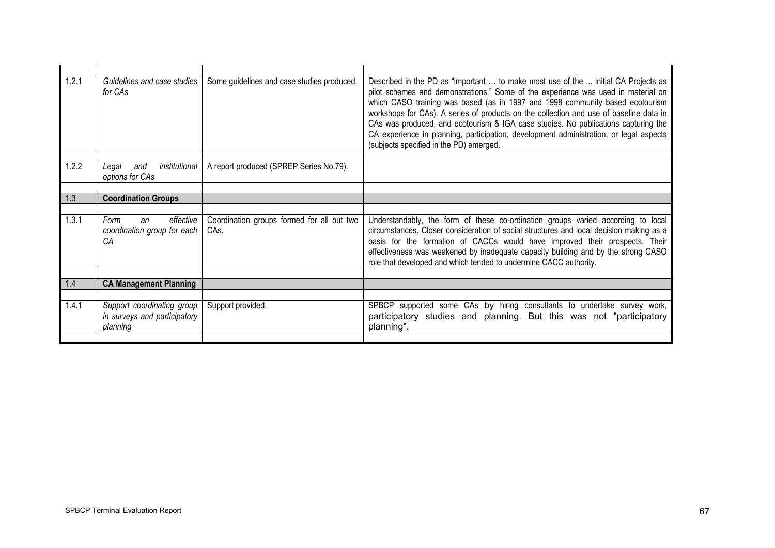| $\overline{1.2.1}$ | Guidelines and case studies<br>for CAs                                 | Some guidelines and case studies produced.                    | Described in the PD as "important  to make most use of the  initial CA Projects as<br>pilot schemes and demonstrations." Some of the experience was used in material on<br>which CASO training was based (as in 1997 and 1998 community based ecotourism<br>workshops for CAs). A series of products on the collection and use of baseline data in<br>CAs was produced, and ecotourism & IGA case studies. No publications capturing the<br>CA experience in planning, participation, development administration, or legal aspects<br>(subjects specified in the PD) emerged. |
|--------------------|------------------------------------------------------------------------|---------------------------------------------------------------|-------------------------------------------------------------------------------------------------------------------------------------------------------------------------------------------------------------------------------------------------------------------------------------------------------------------------------------------------------------------------------------------------------------------------------------------------------------------------------------------------------------------------------------------------------------------------------|
|                    |                                                                        |                                                               |                                                                                                                                                                                                                                                                                                                                                                                                                                                                                                                                                                               |
| 1.2.2              | institutional<br>and<br>Legal<br>options for CAs                       | A report produced (SPREP Series No.79).                       |                                                                                                                                                                                                                                                                                                                                                                                                                                                                                                                                                                               |
|                    |                                                                        |                                                               |                                                                                                                                                                                                                                                                                                                                                                                                                                                                                                                                                                               |
| 1.3                | <b>Coordination Groups</b>                                             |                                                               |                                                                                                                                                                                                                                                                                                                                                                                                                                                                                                                                                                               |
|                    |                                                                        |                                                               |                                                                                                                                                                                                                                                                                                                                                                                                                                                                                                                                                                               |
| 1.3.1              | effective<br>Form<br>an<br>coordination group for each<br>СA           | Coordination groups formed for all but two<br>CA <sub>s</sub> | Understandably, the form of these co-ordination groups varied according to local<br>circumstances. Closer consideration of social structures and local decision making as a<br>basis for the formation of CACCs would have improved their prospects. Their<br>effectiveness was weakened by inadequate capacity building and by the strong CASO<br>role that developed and which tended to undermine CACC authority.                                                                                                                                                          |
|                    |                                                                        |                                                               |                                                                                                                                                                                                                                                                                                                                                                                                                                                                                                                                                                               |
| 1.4                | <b>CA Management Planning</b>                                          |                                                               |                                                                                                                                                                                                                                                                                                                                                                                                                                                                                                                                                                               |
|                    |                                                                        |                                                               |                                                                                                                                                                                                                                                                                                                                                                                                                                                                                                                                                                               |
| 1.4.1              | Support coordinating group<br>in surveys and participatory<br>planning | Support provided.                                             | SPBCP supported some CAs by hiring consultants to undertake survey work,<br>participatory studies and planning. But this was not "participatory<br>planning".                                                                                                                                                                                                                                                                                                                                                                                                                 |
|                    |                                                                        |                                                               |                                                                                                                                                                                                                                                                                                                                                                                                                                                                                                                                                                               |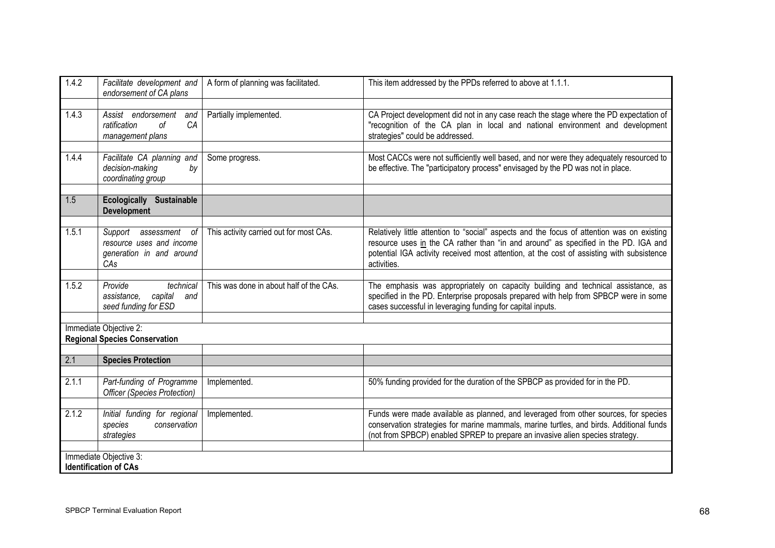| 1.4.2                                                          | Facilitate development and<br>endorsement of CA plans                                        | A form of planning was facilitated.     | This item addressed by the PPDs referred to above at 1.1.1.                                                                                                                                                                                                                                   |
|----------------------------------------------------------------|----------------------------------------------------------------------------------------------|-----------------------------------------|-----------------------------------------------------------------------------------------------------------------------------------------------------------------------------------------------------------------------------------------------------------------------------------------------|
| 1.4.3                                                          | Assist endorsement<br>and<br>CA<br>ratification<br>οf<br>management plans                    | Partially implemented.                  | CA Project development did not in any case reach the stage where the PD expectation of<br>"recognition of the CA plan in local and national environment and development<br>strategies" could be addressed.                                                                                    |
| 1.4.4                                                          | Facilitate CA planning and<br>decision-making<br>by<br>coordinating group                    | Some progress.                          | Most CACCs were not sufficiently well based, and nor were they adequately resourced to<br>be effective. The "participatory process" envisaged by the PD was not in place.                                                                                                                     |
| 1.5                                                            | Ecologically<br><b>Sustainable</b><br><b>Development</b>                                     |                                         |                                                                                                                                                                                                                                                                                               |
| 1.5.1                                                          | Support<br>assessment<br>- of<br>resource uses and income<br>generation in and around<br>CAs | This activity carried out for most CAs. | Relatively little attention to "social" aspects and the focus of attention was on existing<br>resource uses in the CA rather than "in and around" as specified in the PD. IGA and<br>potential IGA activity received most attention, at the cost of assisting with subsistence<br>activities. |
|                                                                |                                                                                              |                                         |                                                                                                                                                                                                                                                                                               |
| 1.5.2                                                          | Provide<br>technical<br>capital<br>assistance,<br>and<br>seed funding for ESD                | This was done in about half of the CAs. | The emphasis was appropriately on capacity building and technical assistance, as<br>specified in the PD. Enterprise proposals prepared with help from SPBCP were in some<br>cases successful in leveraging funding for capital inputs.                                                        |
|                                                                |                                                                                              |                                         |                                                                                                                                                                                                                                                                                               |
| Immediate Objective 2:<br><b>Regional Species Conservation</b> |                                                                                              |                                         |                                                                                                                                                                                                                                                                                               |
|                                                                |                                                                                              |                                         |                                                                                                                                                                                                                                                                                               |
| 2.1                                                            | <b>Species Protection</b>                                                                    |                                         |                                                                                                                                                                                                                                                                                               |
| 2.1.1                                                          | Part-funding of Programme<br><b>Officer (Species Protection)</b>                             | Implemented.                            | 50% funding provided for the duration of the SPBCP as provided for in the PD.                                                                                                                                                                                                                 |
| 2.1.2                                                          | Initial funding for regional<br>conservation<br>species<br>strategies                        | Implemented.                            | Funds were made available as planned, and leveraged from other sources, for species<br>conservation strategies for marine mammals, marine turtles, and birds. Additional funds<br>(not from SPBCP) enabled SPREP to prepare an invasive alien species strategy.                               |
| Immediate Objective 3:                                         |                                                                                              |                                         |                                                                                                                                                                                                                                                                                               |
| <b>Identification of CAs</b>                                   |                                                                                              |                                         |                                                                                                                                                                                                                                                                                               |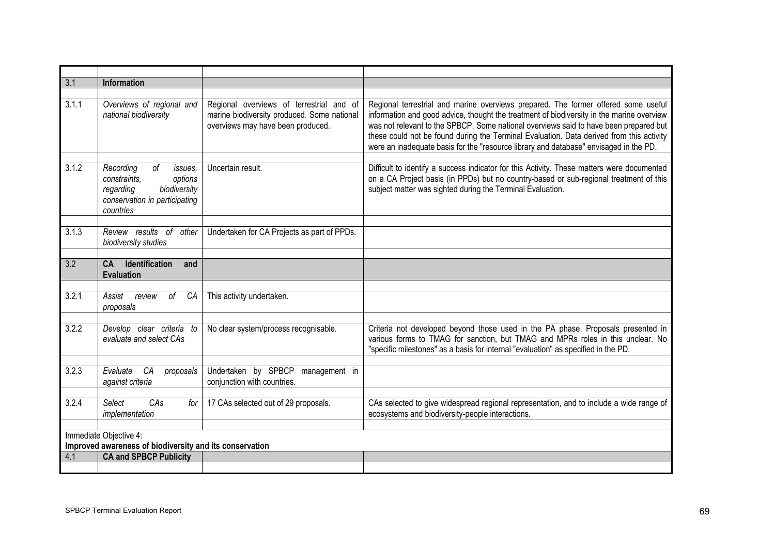| 3.1   | <b>Information</b>                                                                                                                          |                                                                                                                              |                                                                                                                                                                                                                                                                                                                                                                                                                                                               |
|-------|---------------------------------------------------------------------------------------------------------------------------------------------|------------------------------------------------------------------------------------------------------------------------------|---------------------------------------------------------------------------------------------------------------------------------------------------------------------------------------------------------------------------------------------------------------------------------------------------------------------------------------------------------------------------------------------------------------------------------------------------------------|
|       |                                                                                                                                             |                                                                                                                              |                                                                                                                                                                                                                                                                                                                                                                                                                                                               |
| 3.1.1 | Overviews of regional and<br>national biodiversity                                                                                          | Regional overviews of terrestrial and of<br>marine biodiversity produced. Some national<br>overviews may have been produced. | Regional terrestrial and marine overviews prepared. The former offered some useful<br>information and good advice, thought the treatment of biodiversity in the marine overview<br>was not relevant to the SPBCP. Some national overviews said to have been prepared but<br>these could not be found during the Terminal Evaluation. Data derived from this activity<br>were an inadequate basis for the "resource library and database" envisaged in the PD. |
| 3.1.2 | Recording<br><sub>of</sub><br>issues,<br>constraints,<br>options<br>regarding<br>biodiversity<br>conservation in participating<br>countries | Uncertain result.                                                                                                            | Difficult to identify a success indicator for this Activity. These matters were documented<br>on a CA Project basis (in PPDs) but no country-based or sub-regional treatment of this<br>subject matter was sighted during the Terminal Evaluation.                                                                                                                                                                                                            |
| 3.1.3 | Review results of<br>other<br>biodiversity studies                                                                                          | Undertaken for CA Projects as part of PPDs.                                                                                  |                                                                                                                                                                                                                                                                                                                                                                                                                                                               |
| 3.2   | Identification<br>CA<br>and<br><b>Evaluation</b>                                                                                            |                                                                                                                              |                                                                                                                                                                                                                                                                                                                                                                                                                                                               |
|       |                                                                                                                                             |                                                                                                                              |                                                                                                                                                                                                                                                                                                                                                                                                                                                               |
| 3.2.1 | Assist<br>review<br>0f<br>CA<br>proposals                                                                                                   | This activity undertaken.                                                                                                    |                                                                                                                                                                                                                                                                                                                                                                                                                                                               |
|       |                                                                                                                                             |                                                                                                                              |                                                                                                                                                                                                                                                                                                                                                                                                                                                               |
| 3.2.2 | Develop clear criteria to<br>evaluate and select CAs                                                                                        | No clear system/process recognisable.                                                                                        | Criteria not developed beyond those used in the PA phase. Proposals presented in<br>various forms to TMAG for sanction, but TMAG and MPRs roles in this unclear. No<br>"specific milestones" as a basis for internal "evaluation" as specified in the PD.                                                                                                                                                                                                     |
|       |                                                                                                                                             |                                                                                                                              |                                                                                                                                                                                                                                                                                                                                                                                                                                                               |
| 3.2.3 | Evaluate<br>CA<br>proposals<br>against criteria                                                                                             | Undertaken by SPBCP<br>management in<br>conjunction with countries.                                                          |                                                                                                                                                                                                                                                                                                                                                                                                                                                               |
| 3.2.4 | Select<br>CAs<br>for                                                                                                                        | 17 CAs selected out of 29 proposals.                                                                                         | CAs selected to give widespread regional representation, and to include a wide range of                                                                                                                                                                                                                                                                                                                                                                       |
|       | implementation                                                                                                                              |                                                                                                                              | ecosystems and biodiversity-people interactions.                                                                                                                                                                                                                                                                                                                                                                                                              |
|       | Immediate Objective 4:                                                                                                                      |                                                                                                                              |                                                                                                                                                                                                                                                                                                                                                                                                                                                               |
|       | Improved awareness of biodiversity and its conservation                                                                                     |                                                                                                                              |                                                                                                                                                                                                                                                                                                                                                                                                                                                               |
| 4.1   | <b>CA and SPBCP Publicity</b>                                                                                                               |                                                                                                                              |                                                                                                                                                                                                                                                                                                                                                                                                                                                               |
|       |                                                                                                                                             |                                                                                                                              |                                                                                                                                                                                                                                                                                                                                                                                                                                                               |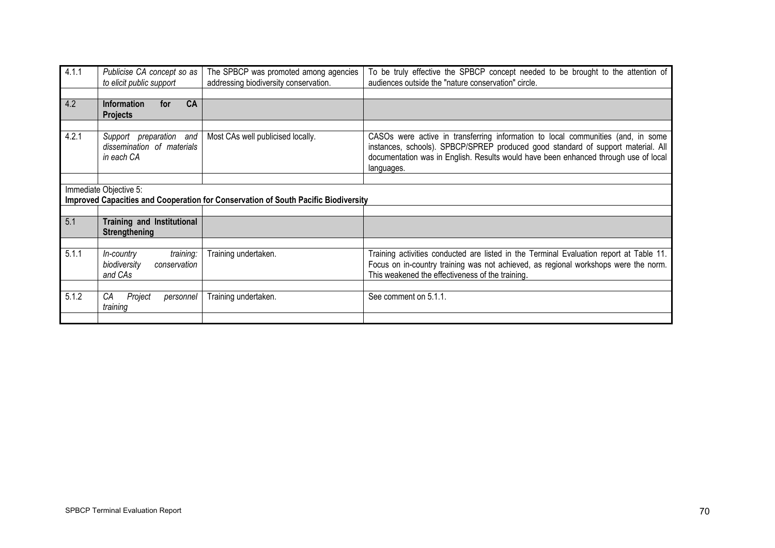| 4.1.1 | Publicise CA concept so as<br>to elicit public support              | The SPBCP was promoted among agencies<br>addressing biodiversity conservation.     | To be truly effective the SPBCP concept needed to be brought to the attention of<br>audiences outside the "nature conservation" circle.                                                                                                                                   |
|-------|---------------------------------------------------------------------|------------------------------------------------------------------------------------|---------------------------------------------------------------------------------------------------------------------------------------------------------------------------------------------------------------------------------------------------------------------------|
|       |                                                                     |                                                                                    |                                                                                                                                                                                                                                                                           |
| 4.2   | CA<br><b>Information</b><br>for<br><b>Projects</b>                  |                                                                                    |                                                                                                                                                                                                                                                                           |
|       |                                                                     |                                                                                    |                                                                                                                                                                                                                                                                           |
| 4.2.1 | Support preparation and<br>dissemination of materials<br>in each CA | Most CAs well publicised locally.                                                  | CASOs were active in transferring information to local communities (and, in some<br>instances, schools). SPBCP/SPREP produced good standard of support material. All<br>documentation was in English. Results would have been enhanced through use of local<br>languages. |
|       |                                                                     |                                                                                    |                                                                                                                                                                                                                                                                           |
|       | Immediate Objective 5:                                              | Improved Capacities and Cooperation for Conservation of South Pacific Biodiversity |                                                                                                                                                                                                                                                                           |
|       |                                                                     |                                                                                    |                                                                                                                                                                                                                                                                           |
| 5.1   | <b>Training and Institutional</b><br><b>Strengthening</b>           |                                                                                    |                                                                                                                                                                                                                                                                           |
|       |                                                                     |                                                                                    |                                                                                                                                                                                                                                                                           |
| 5.1.1 | training:<br>In-country<br>biodiversity<br>conservation<br>and CAs  | Training undertaken.                                                               | Training activities conducted are listed in the Terminal Evaluation report at Table 11.<br>Focus on in-country training was not achieved, as regional workshops were the norm.<br>This weakened the effectiveness of the training.                                        |
|       |                                                                     |                                                                                    |                                                                                                                                                                                                                                                                           |
| 5.1.2 | СA<br>Project<br>personnel<br>training                              | Training undertaken.                                                               | See comment on 5.1.1.                                                                                                                                                                                                                                                     |
|       |                                                                     |                                                                                    |                                                                                                                                                                                                                                                                           |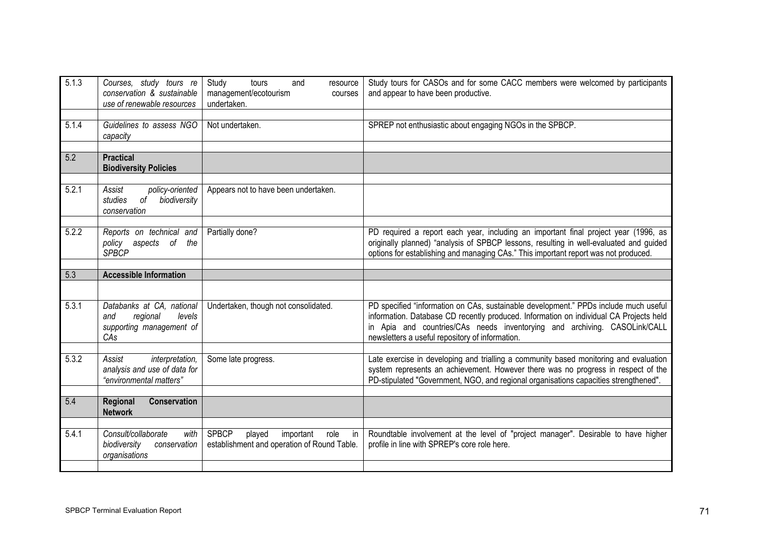| 5.1.3 | Courses, study tours re<br>conservation & sustainable<br>use of renewable resources       | Study<br>and<br>tours<br>resource<br>management/ecotourism<br>courses<br>undertaken.             | Study tours for CASOs and for some CACC members were welcomed by participants<br>and appear to have been productive.                                                                                                                                                                                           |
|-------|-------------------------------------------------------------------------------------------|--------------------------------------------------------------------------------------------------|----------------------------------------------------------------------------------------------------------------------------------------------------------------------------------------------------------------------------------------------------------------------------------------------------------------|
| 5.1.4 | Guidelines to assess NGO<br>capacity                                                      | Not undertaken.                                                                                  | SPREP not enthusiastic about engaging NGOs in the SPBCP.                                                                                                                                                                                                                                                       |
| 5.2   | <b>Practical</b><br><b>Biodiversity Policies</b>                                          |                                                                                                  |                                                                                                                                                                                                                                                                                                                |
| 5.2.1 | policy-oriented<br>Assist<br>studies<br>biodiversity<br>оf<br>conservation                | Appears not to have been undertaken.                                                             |                                                                                                                                                                                                                                                                                                                |
| 5.2.2 | Reports on technical and<br>policy aspects of<br>the<br><b>SPBCP</b>                      | Partially done?                                                                                  | PD required a report each year, including an important final project year (1996, as<br>originally planned) "analysis of SPBCP lessons, resulting in well-evaluated and guided<br>options for establishing and managing CAs." This important report was not produced.                                           |
| 5.3   | <b>Accessible Information</b>                                                             |                                                                                                  |                                                                                                                                                                                                                                                                                                                |
|       |                                                                                           |                                                                                                  |                                                                                                                                                                                                                                                                                                                |
|       |                                                                                           |                                                                                                  |                                                                                                                                                                                                                                                                                                                |
| 5.3.1 | Databanks at CA, national<br>regional<br>levels<br>and<br>supporting management of<br>CAs | Undertaken, though not consolidated.                                                             | PD specified "information on CAs, sustainable development." PPDs include much useful<br>information. Database CD recently produced. Information on individual CA Projects held<br>in Apia and countries/CAs needs inventorying and archiving. CASOLink/CALL<br>newsletters a useful repository of information. |
| 5.3.2 | interpretation,<br>Assist<br>analysis and use of data for<br>"environmental matters"      | Some late progress.                                                                              | Late exercise in developing and trialling a community based monitoring and evaluation<br>system represents an achievement. However there was no progress in respect of the<br>PD-stipulated "Government, NGO, and regional organisations capacities strengthened".                                             |
| 5.4   | Conservation<br><b>Regional</b><br><b>Network</b>                                         |                                                                                                  |                                                                                                                                                                                                                                                                                                                |
|       |                                                                                           |                                                                                                  |                                                                                                                                                                                                                                                                                                                |
| 5.4.1 | Consult/collaborate<br>with<br>biodiversity<br>conservation<br>organisations              | <b>SPBCP</b><br>played<br>important<br>role<br>in<br>establishment and operation of Round Table. | Roundtable involvement at the level of "project manager". Desirable to have higher<br>profile in line with SPREP's core role here.                                                                                                                                                                             |
|       |                                                                                           |                                                                                                  |                                                                                                                                                                                                                                                                                                                |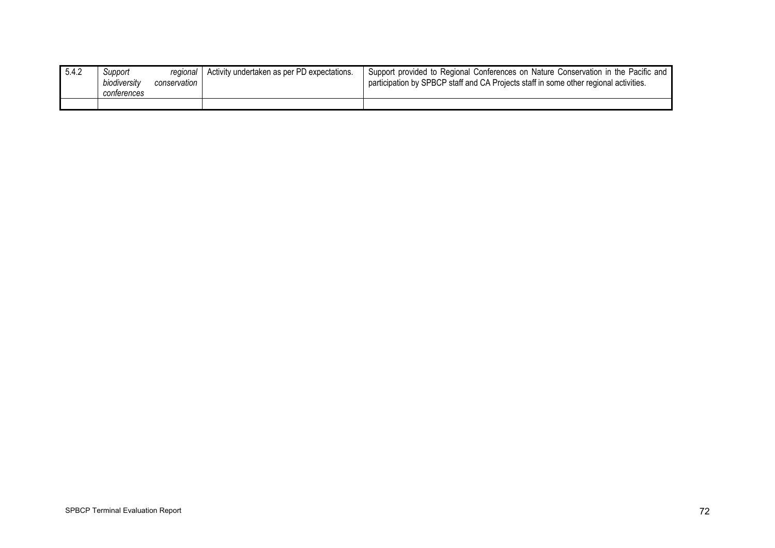| 5.4.2 | Support<br>biodiversity<br>conterences | regional<br>conservation | Activity undertaken as per PD expectations. | Support provided to Regional Conferences on Nature Conservation in the Pacific and<br>participation by SPBCP staff and CA Projects staff in some other regional activities. |
|-------|----------------------------------------|--------------------------|---------------------------------------------|-----------------------------------------------------------------------------------------------------------------------------------------------------------------------------|
|       |                                        |                          |                                             |                                                                                                                                                                             |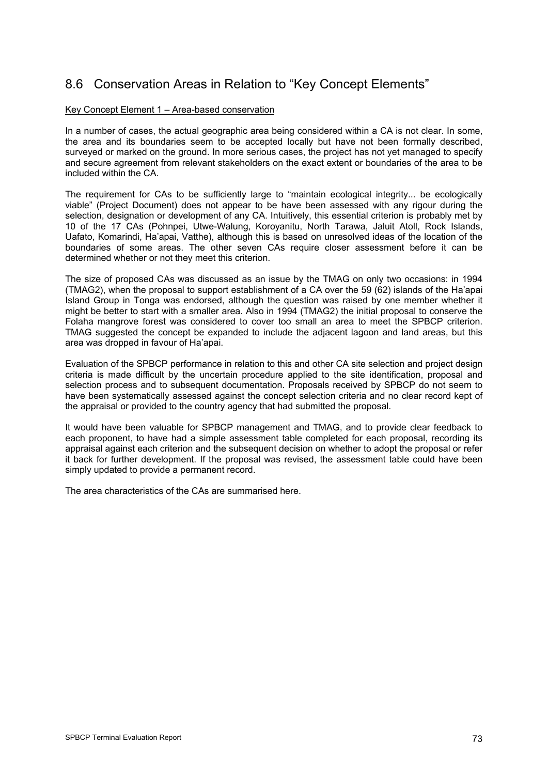## 8.6 Conservation Areas in Relation to "Key Concept Elements"

#### Key Concept Element 1 – Area-based conservation

In a number of cases, the actual geographic area being considered within a CA is not clear. In some, the area and its boundaries seem to be accepted locally but have not been formally described, surveyed or marked on the ground. In more serious cases, the project has not yet managed to specify and secure agreement from relevant stakeholders on the exact extent or boundaries of the area to be included within the CA.

The requirement for CAs to be sufficiently large to "maintain ecological integrity... be ecologically viable" (Project Document) does not appear to be have been assessed with any rigour during the selection, designation or development of any CA. Intuitively, this essential criterion is probably met by 10 of the 17 CAs (Pohnpei, Utwe-Walung, Koroyanitu, North Tarawa, Jaluit Atoll, Rock Islands, Uafato, Komarindi, Ha'apai, Vatthe), although this is based on unresolved ideas of the location of the boundaries of some areas. The other seven CAs require closer assessment before it can be determined whether or not they meet this criterion.

The size of proposed CAs was discussed as an issue by the TMAG on only two occasions: in 1994 (TMAG2), when the proposal to support establishment of a CA over the 59 (62) islands of the Ha'apai Island Group in Tonga was endorsed, although the question was raised by one member whether it might be better to start with a smaller area. Also in 1994 (TMAG2) the initial proposal to conserve the Folaha mangrove forest was considered to cover too small an area to meet the SPBCP criterion. TMAG suggested the concept be expanded to include the adjacent lagoon and land areas, but this area was dropped in favour of Ha'apai.

Evaluation of the SPBCP performance in relation to this and other CA site selection and project design criteria is made difficult by the uncertain procedure applied to the site identification, proposal and selection process and to subsequent documentation. Proposals received by SPBCP do not seem to have been systematically assessed against the concept selection criteria and no clear record kept of the appraisal or provided to the country agency that had submitted the proposal.

It would have been valuable for SPBCP management and TMAG, and to provide clear feedback to each proponent, to have had a simple assessment table completed for each proposal, recording its appraisal against each criterion and the subsequent decision on whether to adopt the proposal or refer it back for further development. If the proposal was revised, the assessment table could have been simply updated to provide a permanent record.

The area characteristics of the CAs are summarised here.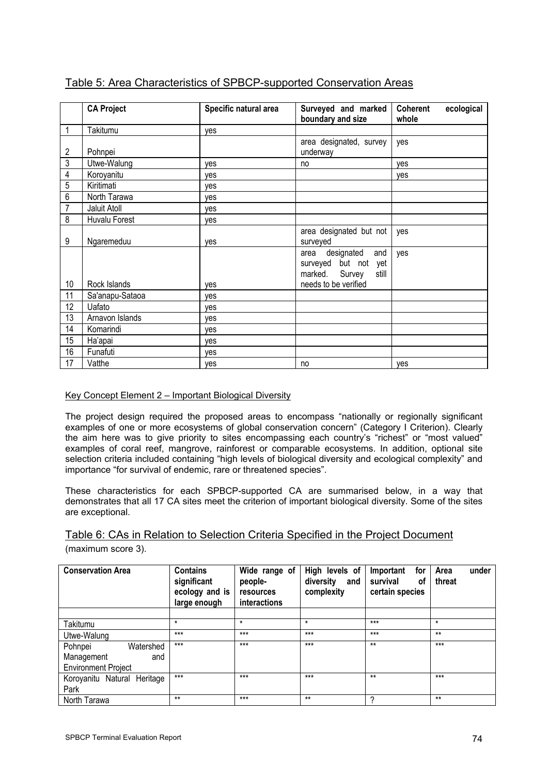|                | <b>CA Project</b> | Specific natural area | Surveyed and marked                                                          | Coherent<br>ecological |
|----------------|-------------------|-----------------------|------------------------------------------------------------------------------|------------------------|
|                |                   |                       | boundary and size                                                            | whole                  |
| 1              | Takitumu          | ves                   |                                                                              |                        |
| $\overline{2}$ | Pohnpei           |                       | area designated, survey<br>underway                                          | ves                    |
| $\overline{3}$ | Utwe-Walung       | ves                   | no                                                                           | ves                    |
| 4              | Koroyanitu        | yes                   |                                                                              | yes                    |
| $\sqrt{5}$     | Kiritimati        | ves                   |                                                                              |                        |
| $\,6\,$        | North Tarawa      | ves                   |                                                                              |                        |
| $\overline{7}$ | Jaluit Atoll      | ves                   |                                                                              |                        |
| 8              | Huvalu Forest     | yes                   |                                                                              |                        |
| 9              | Ngaremeduu        | yes                   | area designated but not<br>surveyed                                          | yes                    |
|                |                   |                       | designated<br>and<br>area<br>surveyed but not yet<br>marked. Survey<br>still | yes                    |
| 10             | Rock Islands      | ves                   | needs to be verified                                                         |                        |
| 11             | Sa'anapu-Sataoa   | ves                   |                                                                              |                        |
| 12             | Uafato            | yes                   |                                                                              |                        |
| 13             | Arnavon Islands   | yes                   |                                                                              |                        |
| 14             | Komarindi         | yes                   |                                                                              |                        |
| 15             | Ha'apai           | yes                   |                                                                              |                        |
| 16             | Funafuti          | yes                   |                                                                              |                        |
| 17             | Vatthe            | yes                   | no                                                                           | ves                    |

### Table 5: Area Characteristics of SPBCP-supported Conservation Areas

#### Key Concept Element 2 – Important Biological Diversity

The project design required the proposed areas to encompass "nationally or regionally significant examples of one or more ecosystems of global conservation concern" (Category I Criterion). Clearly the aim here was to give priority to sites encompassing each country's "richest" or "most valued" examples of coral reef, mangrove, rainforest or comparable ecosystems. In addition, optional site selection criteria included containing "high levels of biological diversity and ecological complexity" and importance "for survival of endemic, rare or threatened species".

These characteristics for each SPBCP-supported CA are summarised below, in a way that demonstrates that all 17 CA sites meet the criterion of important biological diversity. Some of the sites are exceptional.

### Table 6: CAs in Relation to Selection Criteria Specified in the Project Document (maximum score 3).

| <b>Conservation Area</b>    | <b>Contains</b><br>significant<br>ecology and is<br>large enough | Wide range of<br>people-<br>resources<br>interactions | High levels of<br>diversity<br>and<br>complexity | Important<br>for<br>survival<br>οf<br>certain species | under<br>Area<br>threat |
|-----------------------------|------------------------------------------------------------------|-------------------------------------------------------|--------------------------------------------------|-------------------------------------------------------|-------------------------|
|                             |                                                                  |                                                       |                                                  |                                                       |                         |
| Takitumu                    | $\star$                                                          | $\star$                                               | $\star$                                          | $***$                                                 | $\star$                 |
| Utwe-Walung                 | $***$                                                            | $***$                                                 | $***$                                            | $***$                                                 | $**$                    |
| Pohnpei<br>Watershed        | $***$                                                            | $***$                                                 | $***$                                            | $**$                                                  | $***$                   |
| Management<br>and           |                                                                  |                                                       |                                                  |                                                       |                         |
| <b>Environment Project</b>  |                                                                  |                                                       |                                                  |                                                       |                         |
| Koroyanitu Natural Heritage | $***$                                                            | $***$                                                 | $***$                                            | $**$                                                  | $***$                   |
| Park                        |                                                                  |                                                       |                                                  |                                                       |                         |
| North Tarawa                | $**$                                                             | $***$                                                 | $**$                                             | າ                                                     | $**$                    |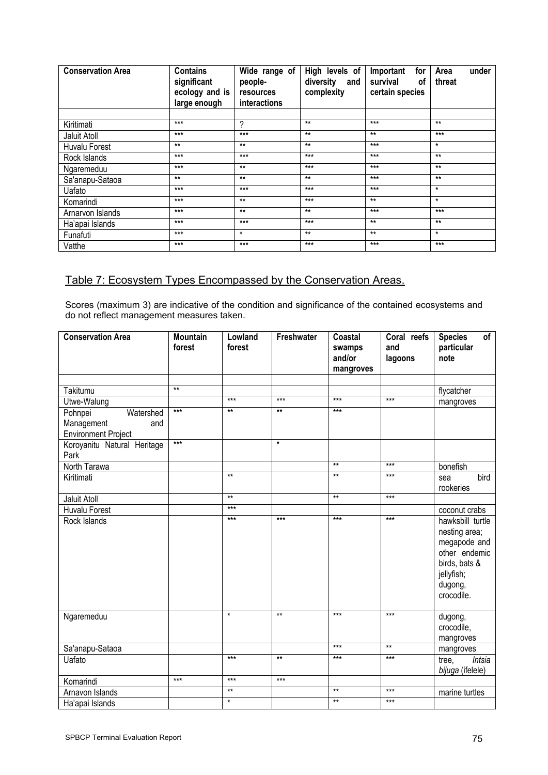| <b>Conservation Area</b> | <b>Contains</b><br>significant<br>ecology and is<br>large enough | Wide range of<br>people-<br>resources<br>interactions | High levels of<br>diversity<br>and<br>complexity | for<br>Important<br>survival<br>0f<br>certain species | under<br>Area<br>threat |
|--------------------------|------------------------------------------------------------------|-------------------------------------------------------|--------------------------------------------------|-------------------------------------------------------|-------------------------|
|                          | $***$                                                            |                                                       | $**$                                             | $***$                                                 | $**$                    |
| Kiritimati               |                                                                  | ?                                                     |                                                  |                                                       |                         |
| Jaluit Atoll             | $***$                                                            | $***$                                                 | $**$                                             | $**$                                                  | $***$                   |
| Huvalu Forest            | $**$                                                             | $**$                                                  | $**$                                             | $***$                                                 | $\star$                 |
| Rock Islands             | $***$                                                            | $***$                                                 | $***$                                            | $***$                                                 | $**$                    |
| Ngaremeduu               | $***$                                                            | $**$                                                  | $***$                                            | $***$                                                 | $**$                    |
| Sa'anapu-Sataoa          | $**$                                                             | $**$                                                  | $**$                                             | $***$                                                 | $**$                    |
| Uafato                   | $***$                                                            | $***$                                                 | $***$                                            | $***$                                                 | $^\star$                |
| Komarindi                | $***$                                                            | $**$                                                  | $***$                                            | $**$                                                  | $\star$                 |
| Arnarvon Islands         | $***$                                                            | $**$                                                  | $**$                                             | $***$                                                 | $***$                   |
| Ha'apai Islands          | $***$                                                            | $***$                                                 | $***$                                            | $**$                                                  | $**$                    |
| Funafuti                 | $***$                                                            | $\star$                                               | $**$                                             | $**$                                                  | $^\star$                |
| Vatthe                   | $***$                                                            | $***$                                                 | $***$                                            | $***$                                                 | $***$                   |

### Table 7: Ecosystem Types Encompassed by the Conservation Areas.

Scores (maximum 3) are indicative of the condition and significance of the contained ecosystems and do not reflect management measures taken.

| <b>Conservation Area</b>            | <b>Mountain</b> | Lowland | Freshwater | Coastal   | Coral reefs | of<br><b>Species</b> |
|-------------------------------------|-----------------|---------|------------|-----------|-------------|----------------------|
|                                     | forest          | forest  |            | swamps    | and         | particular           |
|                                     |                 |         |            | and/or    | lagoons     | note                 |
|                                     |                 |         |            | mangroves |             |                      |
|                                     | $**$            |         |            |           |             |                      |
| Takitumu                            |                 | $***$   | $***$      | $***$     | $***$       | flycatcher           |
| Utwe-Walung                         | $***$           | $**$    | $**$       | $***$     |             | mangroves            |
| Pohnpei<br>Watershed                |                 |         |            |           |             |                      |
| Management<br>and                   |                 |         |            |           |             |                      |
| <b>Environment Project</b>          | $***$           |         | $\star$    |           |             |                      |
| Koroyanitu Natural Heritage<br>Park |                 |         |            |           |             |                      |
|                                     |                 |         |            | $**$      | $***$       |                      |
| North Tarawa                        |                 | $***$   |            | $***$     | $***$       | bonefish             |
| Kiritimati                          |                 |         |            |           |             | bird<br>sea          |
|                                     |                 | $***$   |            | $***$     | $***$       | rookeries            |
| Jaluit Atoll                        |                 | $***$   |            |           |             |                      |
| Huvalu Forest                       |                 | $***$   | $***$      | $***$     | $***$       | coconut crabs        |
| Rock Islands                        |                 |         |            |           |             | hawksbill turtle     |
|                                     |                 |         |            |           |             | nesting area;        |
|                                     |                 |         |            |           |             | megapode and         |
|                                     |                 |         |            |           |             | other endemic        |
|                                     |                 |         |            |           |             | birds, bats &        |
|                                     |                 |         |            |           |             | jellyfish;           |
|                                     |                 |         |            |           |             | dugong,              |
|                                     |                 |         |            |           |             | crocodile.           |
|                                     |                 | $\star$ | $**$       | $***$     | $***$       |                      |
| Ngaremeduu                          |                 |         |            |           |             | dugong,              |
|                                     |                 |         |            |           |             | crocodile,           |
|                                     |                 |         |            | $***$     | $*$         | mangroves            |
| Sa'anapu-Sataoa                     |                 | $***$   | $**$       | $***$     | $***$       | mangroves            |
| Uafato                              |                 |         |            |           |             | Intsia<br>tree,      |
|                                     | $***$           | $***$   | $***$      |           |             | bijuga (ifelele)     |
| Komarindi                           |                 |         |            | $**$      | $***$       |                      |
| Arnavon Islands                     |                 | $***$   |            |           |             | marine turtles       |
| Ha'apai Islands                     |                 | $\star$ |            | $**$      | $***$       |                      |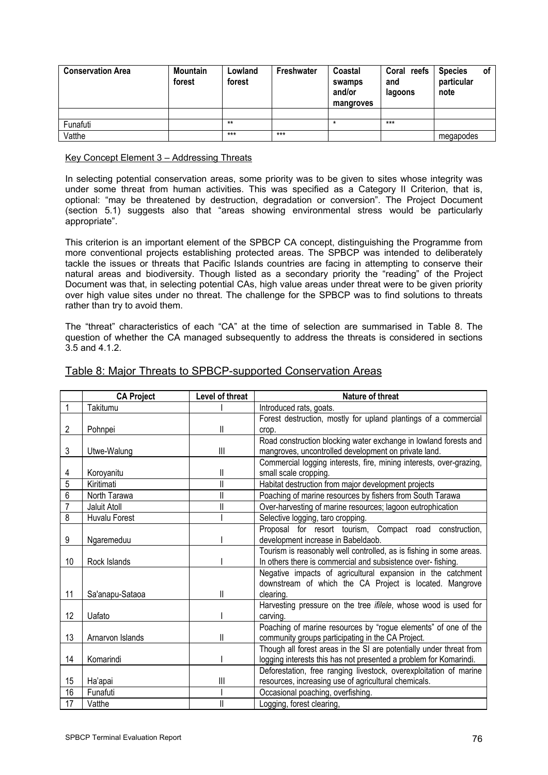| <b>Conservation Area</b> | <b>Mountain</b><br>forest | Lowland<br>forest | Freshwater | Coastal<br>swamps<br>and/or<br>mangroves | Coral reefs<br>and<br>lagoons | <b>Species</b><br>particular<br>note | οf |
|--------------------------|---------------------------|-------------------|------------|------------------------------------------|-------------------------------|--------------------------------------|----|
|                          |                           |                   |            |                                          |                               |                                      |    |
| Funafuti                 |                           | $***$             |            |                                          | $***$                         |                                      |    |
| Vatthe                   |                           | $***$             | $***$      |                                          |                               | megapodes                            |    |

#### Key Concept Element 3 – Addressing Threats

In selecting potential conservation areas, some priority was to be given to sites whose integrity was under some threat from human activities. This was specified as a Category II Criterion, that is, optional: "may be threatened by destruction, degradation or conversion". The Project Document (section 5.1) suggests also that "areas showing environmental stress would be particularly appropriate".

This criterion is an important element of the SPBCP CA concept, distinguishing the Programme from more conventional projects establishing protected areas. The SPBCP was intended to deliberately tackle the issues or threats that Pacific Islands countries are facing in attempting to conserve their natural areas and biodiversity. Though listed as a secondary priority the "reading" of the Project Document was that, in selecting potential CAs, high value areas under threat were to be given priority over high value sites under no threat. The challenge for the SPBCP was to find solutions to threats rather than try to avoid them.

The "threat" characteristics of each "CA" at the time of selection are summarised in Table 8. The question of whether the CA managed subsequently to address the threats is considered in sections 3.5 and 4.1.2.

|                | <b>CA Project</b> | Level of threat         | <b>Nature of threat</b>                                                 |  |  |
|----------------|-------------------|-------------------------|-------------------------------------------------------------------------|--|--|
| 1              | Takitumu          |                         | Introduced rats, goats.                                                 |  |  |
|                |                   |                         | Forest destruction, mostly for upland plantings of a commercial         |  |  |
| $\overline{2}$ | Pohnpei           | $\mathsf{I}$            | crop.                                                                   |  |  |
|                |                   |                         | Road construction blocking water exchange in lowland forests and        |  |  |
| 3              | Utwe-Walung       | $\mathbf{III}$          | mangroves, uncontrolled development on private land.                    |  |  |
|                |                   |                         | Commercial logging interests, fire, mining interests, over-grazing,     |  |  |
| 4              | Koroyanitu        | II                      | small scale cropping.                                                   |  |  |
| 5              | Kiritimati        | Ш                       | Habitat destruction from major development projects                     |  |  |
| $\overline{6}$ | North Tarawa      | $\overline{\mathsf{I}}$ | Poaching of marine resources by fishers from South Tarawa               |  |  |
| $\overline{7}$ | Jaluit Atoll      | $\mathsf{I}$            | Over-harvesting of marine resources; lagoon eutrophication              |  |  |
| 8              | Huvalu Forest     |                         | Selective logging, taro cropping.                                       |  |  |
|                |                   |                         | Proposal for resort tourism, Compact road construction,                 |  |  |
| 9              | Ngaremeduu        |                         | development increase in Babeldaob.                                      |  |  |
|                |                   |                         | Tourism is reasonably well controlled, as is fishing in some areas.     |  |  |
| 10             | Rock Islands      |                         | In others there is commercial and subsistence over- fishing.            |  |  |
|                |                   |                         | Negative impacts of agricultural expansion in the catchment             |  |  |
|                |                   |                         | downstream of which the CA Project is located. Mangrove                 |  |  |
| 11             | Sa'anapu-Sataoa   | II                      | clearing.                                                               |  |  |
|                |                   |                         | Harvesting pressure on the tree <i>ifilele</i> , whose wood is used for |  |  |
| 12             | Uafato            |                         | carving.                                                                |  |  |
|                |                   |                         | Poaching of marine resources by "rogue elements" of one of the          |  |  |
| 13             | Arnarvon Islands  | II                      | community groups participating in the CA Project.                       |  |  |
|                |                   |                         | Though all forest areas in the SI are potentially under threat from     |  |  |
| 14             | Komarindi         |                         | logging interests this has not presented a problem for Komarindi.       |  |  |
|                |                   |                         | Deforestation, free ranging livestock, overexploitation of marine       |  |  |
| 15             | Ha'apai           | $\parallel$             | resources, increasing use of agricultural chemicals.                    |  |  |
| 16             | Funafuti          |                         | Occasional poaching, overfishing.                                       |  |  |
| 17             | Vatthe            | II                      | Logging, forest clearing,                                               |  |  |

### Table 8: Major Threats to SPBCP-supported Conservation Areas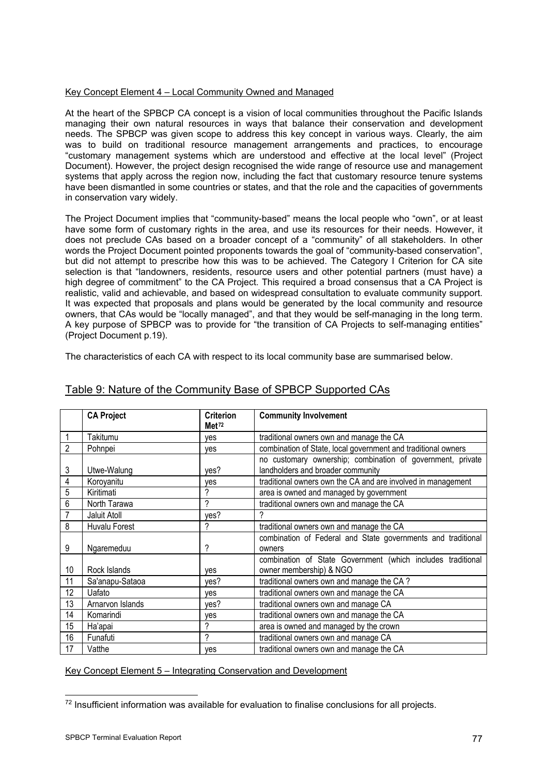#### Key Concept Element 4 – Local Community Owned and Managed

At the heart of the SPBCP CA concept is a vision of local communities throughout the Pacific Islands managing their own natural resources in ways that balance their conservation and development needs. The SPBCP was given scope to address this key concept in various ways. Clearly, the aim was to build on traditional resource management arrangements and practices, to encourage "customary management systems which are understood and effective at the local level" (Project Document). However, the project design recognised the wide range of resource use and management systems that apply across the region now, including the fact that customary resource tenure systems have been dismantled in some countries or states, and that the role and the capacities of governments in conservation vary widely.

The Project Document implies that "community-based" means the local people who "own", or at least have some form of customary rights in the area, and use its resources for their needs. However, it does not preclude CAs based on a broader concept of a "community" of all stakeholders. In other words the Project Document pointed proponents towards the goal of "community-based conservation", but did not attempt to prescribe how this was to be achieved. The Category I Criterion for CA site selection is that "landowners, residents, resource users and other potential partners (must have) a high degree of commitment" to the CA Project. This required a broad consensus that a CA Project is realistic, valid and achievable, and based on widespread consultation to evaluate community support. It was expected that proposals and plans would be generated by the local community and resource owners, that CAs would be "locally managed", and that they would be self-managing in the long term. A key purpose of SPBCP was to provide for "the transition of CA Projects to self-managing entities" (Project Document p.19).

The characteristics of each CA with respect to its local community base are summarised below.

|    | <b>CA Project</b> | <b>Criterion</b><br>Met <sup>72</sup> | <b>Community Involvement</b>                                  |
|----|-------------------|---------------------------------------|---------------------------------------------------------------|
|    |                   |                                       |                                                               |
|    | Takitumu          | yes                                   | traditional owners own and manage the CA                      |
| 2  | Pohnpei           | yes                                   | combination of State, local government and traditional owners |
|    |                   |                                       | no customary ownership; combination of government, private    |
| 3  | Utwe-Walung       | yes?                                  | landholders and broader community                             |
| 4  | Koroyanitu        | yes                                   | traditional owners own the CA and are involved in management  |
| 5  | Kiritimati        | ?                                     | area is owned and managed by government                       |
| 6  | North Tarawa      | ?                                     | traditional owners own and manage the CA                      |
|    | Jaluit Atoll      | yes?                                  | 2                                                             |
| 8  | Huvalu Forest     | ?                                     | traditional owners own and manage the CA                      |
|    |                   |                                       | combination of Federal and State governments and traditional  |
| 9  | Ngaremeduu        | ?                                     | owners                                                        |
|    |                   |                                       | combination of State Government (which includes traditional   |
| 10 | Rock Islands      | ves                                   | owner membership) & NGO                                       |
| 11 | Sa'anapu-Sataoa   | yes?                                  | traditional owners own and manage the CA?                     |
| 12 | Uafato            | ves                                   | traditional owners own and manage the CA                      |
| 13 | Arnarvon Islands  | yes?                                  | traditional owners own and manage CA                          |
| 14 | Komarindi         | yes                                   | traditional owners own and manage the CA                      |
| 15 | Ha'apai           | ?                                     | area is owned and managed by the crown                        |
| 16 | Funafuti          | ?                                     | traditional owners own and manage CA                          |
| 17 | Vatthe            | yes                                   | traditional owners own and manage the CA                      |

### Table 9: Nature of the Community Base of SPBCP Supported CAs

Key Concept Element 5 – Integrating Conservation and Development

<span id="page-80-0"></span><sup>-</sup><sup>72</sup> Insufficient information was available for evaluation to finalise conclusions for all projects.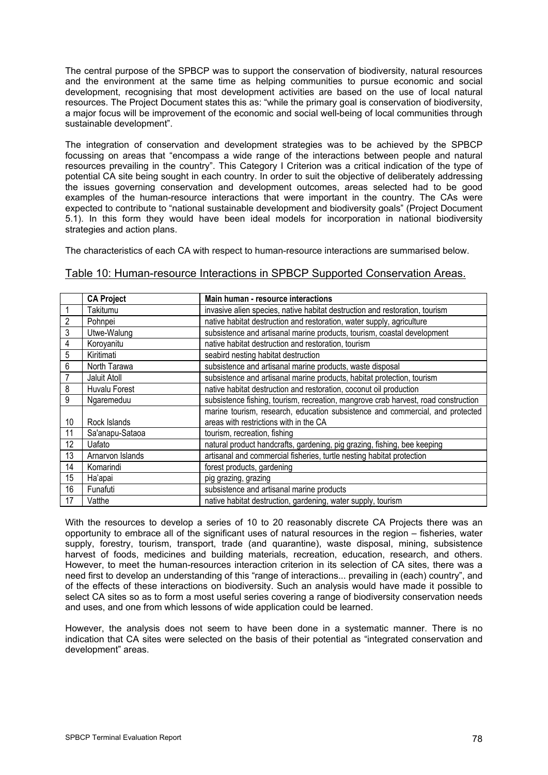The central purpose of the SPBCP was to support the conservation of biodiversity, natural resources and the environment at the same time as helping communities to pursue economic and social development, recognising that most development activities are based on the use of local natural resources. The Project Document states this as: "while the primary goal is conservation of biodiversity, a major focus will be improvement of the economic and social well-being of local communities through sustainable development".

The integration of conservation and development strategies was to be achieved by the SPBCP focussing on areas that "encompass a wide range of the interactions between people and natural resources prevailing in the country". This Category I Criterion was a critical indication of the type of potential CA site being sought in each country. In order to suit the objective of deliberately addressing the issues governing conservation and development outcomes, areas selected had to be good examples of the human-resource interactions that were important in the country. The CAs were expected to contribute to "national sustainable development and biodiversity goals" (Project Document 5.1). In this form they would have been ideal models for incorporation in national biodiversity strategies and action plans.

The characteristics of each CA with respect to human-resource interactions are summarised below.

#### Table 10: Human-resource Interactions in SPBCP Supported Conservation Areas.

|    | <b>CA Project</b> | Main human - resource interactions                                                 |
|----|-------------------|------------------------------------------------------------------------------------|
|    | Takitumu          | invasive alien species, native habitat destruction and restoration, tourism        |
| 2  | Pohnpei           | native habitat destruction and restoration, water supply, agriculture              |
| 3  | Utwe-Walung       | subsistence and artisanal marine products, tourism, coastal development            |
| 4  | Koroyanitu        | native habitat destruction and restoration, tourism                                |
| 5  | Kiritimati        | seabird nesting habitat destruction                                                |
| 6  | North Tarawa      | subsistence and artisanal marine products, waste disposal                          |
|    | Jaluit Atoll      | subsistence and artisanal marine products, habitat protection, tourism             |
| 8  | Huvalu Forest     | native habitat destruction and restoration, coconut oil production                 |
| 9  | Ngaremeduu        | subsistence fishing, tourism, recreation, mangrove crab harvest, road construction |
|    |                   | marine tourism, research, education subsistence and commercial, and protected      |
| 10 | Rock Islands      | areas with restrictions with in the CA                                             |
| 11 | Sa'anapu-Sataoa   | tourism, recreation, fishing                                                       |
| 12 | Uafato            | natural product handcrafts, gardening, pig grazing, fishing, bee keeping           |
| 13 | Arnarvon Islands  | artisanal and commercial fisheries, turtle nesting habitat protection              |
| 14 | Komarindi         | forest products, gardening                                                         |
| 15 | Ha'apai           | pig grazing, grazing                                                               |
| 16 | Funafuti          | subsistence and artisanal marine products                                          |
| 17 | Vatthe            | native habitat destruction, gardening, water supply, tourism                       |

With the resources to develop a series of 10 to 20 reasonably discrete CA Projects there was an opportunity to embrace all of the significant uses of natural resources in the region – fisheries, water supply, forestry, tourism, transport, trade (and quarantine), waste disposal, mining, subsistence harvest of foods, medicines and building materials, recreation, education, research, and others. However, to meet the human-resources interaction criterion in its selection of CA sites, there was a need first to develop an understanding of this "range of interactions... prevailing in (each) country", and of the effects of these interactions on biodiversity. Such an analysis would have made it possible to select CA sites so as to form a most useful series covering a range of biodiversity conservation needs and uses, and one from which lessons of wide application could be learned.

However, the analysis does not seem to have been done in a systematic manner. There is no indication that CA sites were selected on the basis of their potential as "integrated conservation and development" areas.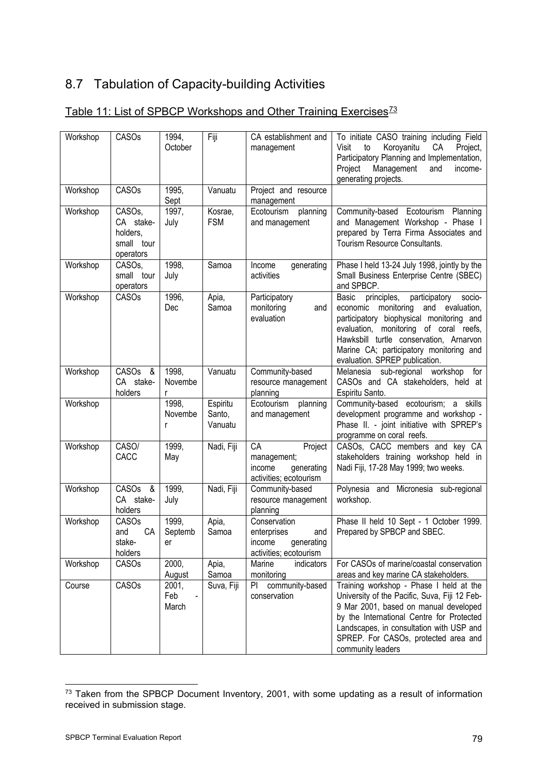# 8.7 Tabulation of Capacity-building Activities

| Workshop | CASOs                                                                   | 1994,<br>October       | Fiji                          | CA establishment and<br>management                                                   | To initiate CASO training including Field<br>Koroyanitu<br>Visit<br>to<br>СA<br>Project,<br>Participatory Planning and Implementation,<br>Project<br>Management<br>and<br>income-<br>generating projects.                                                                                                     |
|----------|-------------------------------------------------------------------------|------------------------|-------------------------------|--------------------------------------------------------------------------------------|---------------------------------------------------------------------------------------------------------------------------------------------------------------------------------------------------------------------------------------------------------------------------------------------------------------|
| Workshop | CASOs                                                                   | 1995,<br>Sept          | Vanuatu                       | Project and resource<br>management                                                   |                                                                                                                                                                                                                                                                                                               |
| Workshop | CASO <sub>s</sub> ,<br>CA stake-<br>holders,<br>small tour<br>operators | 1997,<br>July          | Kosrae,<br><b>FSM</b>         | Ecotourism<br>planning<br>and management                                             | Community-based Ecotourism Planning<br>and Management Workshop - Phase I<br>prepared by Terra Firma Associates and<br>Tourism Resource Consultants.                                                                                                                                                           |
| Workshop | CASO <sub>s</sub> ,<br>small tour<br>operators                          | 1998,<br>July          | Samoa                         | Income<br>generating<br>activities                                                   | Phase I held 13-24 July 1998, jointly by the<br>Small Business Enterprise Centre (SBEC)<br>and SPBCP.                                                                                                                                                                                                         |
| Workshop | CASOs                                                                   | 1996,<br>Dec           | Apia,<br>Samoa                | Participatory<br>monitoring<br>and<br>evaluation                                     | Basic<br>principles,<br>participatory<br>socio-<br>monitoring<br>and<br>evaluation,<br>economic<br>participatory biophysical monitoring and<br>evaluation, monitoring of coral reefs,<br>Hawksbill turtle conservation, Arnarvon<br>Marine CA; participatory monitoring and<br>evaluation. SPREP publication. |
| Workshop | CASOs &<br>CA stake-<br>holders                                         | 1998,<br>Novembe       | Vanuatu                       | Community-based<br>resource management<br>planning                                   | Melanesia sub-regional workshop for<br>CASOs and CA stakeholders, held at<br>Espiritu Santo.                                                                                                                                                                                                                  |
| Workshop |                                                                         | 1998,<br>Novembe<br>r  | Espiritu<br>Santo,<br>Vanuatu | Ecotourism<br>planning<br>and management                                             | Community-based ecotourism; a skills<br>development programme and workshop -<br>Phase II. - joint initiative with SPREP's<br>programme on coral reefs.                                                                                                                                                        |
| Workshop | CASO/<br>CACC                                                           | 1999,<br>May           | Nadi, Fiji                    | CA<br>Project<br>management;<br>income<br>generating<br>activities; ecotourism       | CASOs, CACC members and key CA<br>stakeholders training workshop held in<br>Nadi Fiji, 17-28 May 1999; two weeks.                                                                                                                                                                                             |
| Workshop | CASOs<br>- &<br>CA stake-<br>holders                                    | 1999,<br>July          | Nadi, Fiji                    | Community-based<br>resource management<br>planning                                   | Polynesia and Micronesia sub-regional<br>workshop.                                                                                                                                                                                                                                                            |
| Workshop | <b>CASOs</b><br>CA<br>and<br>stake-<br>holders                          | 1999,<br>Septemb<br>er | Apia,<br>Samoa                | Conservation<br>enterprises<br>and<br>generating<br>income<br>activities; ecotourism | Phase II held 10 Sept - 1 October 1999.<br>Prepared by SPBCP and SBEC.                                                                                                                                                                                                                                        |
| Workshop | CASOs                                                                   | 2000,<br>August        | Apia,<br>Samoa                | Marine<br>indicators<br>monitoring                                                   | For CASOs of marine/coastal conservation<br>areas and key marine CA stakeholders.                                                                                                                                                                                                                             |
| Course   | CASOs                                                                   | 2001,<br>Feb<br>March  | Suva, Fiji                    | community-based<br>PI<br>conservation                                                | Training workshop - Phase I held at the<br>University of the Pacific, Suva, Fiji 12 Feb-<br>9 Mar 2001, based on manual developed<br>by the International Centre for Protected<br>Landscapes, in consultation with USP and<br>SPREP. For CASOs, protected area and<br>community leaders                       |

## Table 11: List of SPBCP Workshops and Other Training Exercises<sup>[73](#page-82-0)</sup>

-

<span id="page-82-0"></span> $73$  Taken from the SPBCP Document Inventory, 2001, with some updating as a result of information received in submission stage.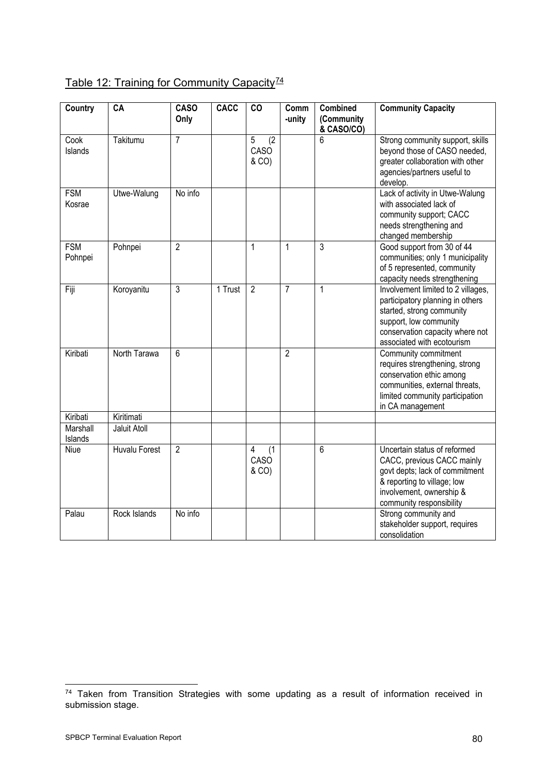| Country               | CA                   | <b>CASO</b><br>Only | <b>CACC</b> | CO                                     | Comm<br>-unity | <b>Combined</b><br>(Community<br>& CASO/CO) | <b>Community Capacity</b>                                                                                                                                                                      |
|-----------------------|----------------------|---------------------|-------------|----------------------------------------|----------------|---------------------------------------------|------------------------------------------------------------------------------------------------------------------------------------------------------------------------------------------------|
| Cook<br>Islands       | Takitumu             | 7                   |             | 5<br>(2)<br>CASO<br>& CO)              |                | 6                                           | Strong community support, skills<br>beyond those of CASO needed,<br>greater collaboration with other<br>agencies/partners useful to<br>develop.                                                |
| <b>FSM</b><br>Kosrae  | Utwe-Walung          | No info             |             |                                        |                |                                             | Lack of activity in Utwe-Walung<br>with associated lack of<br>community support; CACC<br>needs strengthening and<br>changed membership                                                         |
| <b>FSM</b><br>Pohnpei | Pohnpei              | $\overline{2}$      |             | $\mathbf{1}$                           | $\mathbf{1}$   | 3                                           | Good support from 30 of 44<br>communities; only 1 municipality<br>of 5 represented, community<br>capacity needs strengthening                                                                  |
| Fiji                  | Koroyanitu           | 3                   | 1 Trust     | $\overline{2}$                         | $\overline{7}$ | 1                                           | Involvement limited to 2 villages,<br>participatory planning in others<br>started, strong community<br>support, low community<br>conservation capacity where not<br>associated with ecotourism |
| Kiribati              | North Tarawa         | 6                   |             |                                        | $\overline{2}$ |                                             | Community commitment<br>requires strengthening, strong<br>conservation ethic among<br>communities, external threats,<br>limited community participation<br>in CA management                    |
| Kiribati              | Kiritimati           |                     |             |                                        |                |                                             |                                                                                                                                                                                                |
| Marshall<br>Islands   | Jaluit Atoll         |                     |             |                                        |                |                                             |                                                                                                                                                                                                |
| Niue                  | <b>Huvalu Forest</b> | $\overline{2}$      |             | $\overline{4}$<br>(1)<br>CASO<br>& CO) |                | 6                                           | Uncertain status of reformed<br>CACC, previous CACC mainly<br>govt depts; lack of commitment<br>& reporting to village; low<br>involvement, ownership &<br>community responsibility            |
| Palau                 | Rock Islands         | No info             |             |                                        |                |                                             | Strong community and<br>stakeholder support, requires<br>consolidation                                                                                                                         |

# Table 12: Training for Community Capacity<sup>[74](#page-83-0)</sup>

-

<span id="page-83-0"></span> $74$  Taken from Transition Strategies with some updating as a result of information received in submission stage.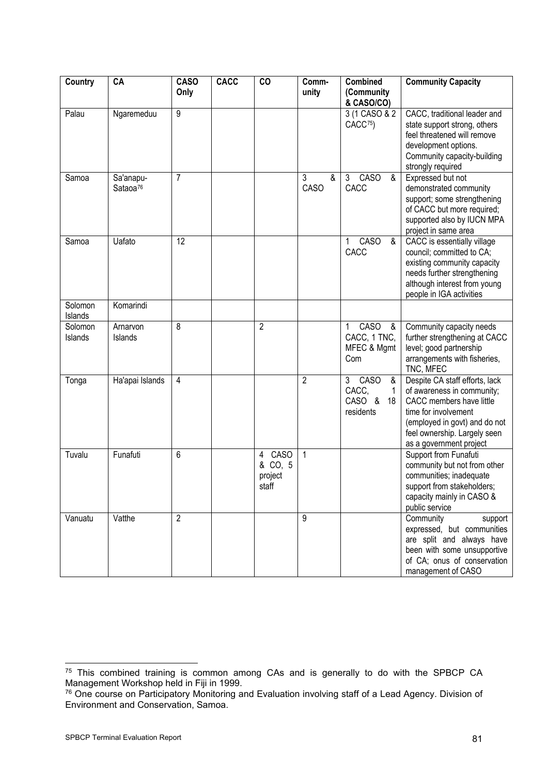| Country            | CA                                | <b>CASO</b><br>Only | CACC | CO                                              | Comm-<br>unity | <b>Combined</b><br>(Community                             | <b>Community Capacity</b>                                                                                                                                                                                    |  |
|--------------------|-----------------------------------|---------------------|------|-------------------------------------------------|----------------|-----------------------------------------------------------|--------------------------------------------------------------------------------------------------------------------------------------------------------------------------------------------------------------|--|
|                    |                                   |                     |      |                                                 |                | & CASO/CO)                                                |                                                                                                                                                                                                              |  |
| Palau              | Ngaremeduu                        | 9                   |      |                                                 |                | 3 (1 CASO & 2<br>CACC <sup>75</sup> )                     | CACC, traditional leader and<br>state support strong, others<br>feel threatened will remove<br>development options.<br>Community capacity-building<br>strongly required                                      |  |
| Samoa              | Sa'anapu-<br>Sataoa <sup>76</sup> | $\overline{7}$      |      |                                                 | 3<br>&<br>CASO | <b>CASO</b><br>3<br>&<br>CACC                             | Expressed but not<br>demonstrated community<br>support; some strengthening<br>of CACC but more required;<br>supported also by IUCN MPA<br>project in same area                                               |  |
| Samoa              | Uafato                            | 12                  |      |                                                 |                | CASO<br>&<br>1<br>CACC                                    | CACC is essentially village<br>council; committed to CA;<br>existing community capacity<br>needs further strengthening<br>although interest from young<br>people in IGA activities                           |  |
| Solomon<br>Islands | Komarindi                         |                     |      |                                                 |                |                                                           |                                                                                                                                                                                                              |  |
| Solomon<br>Islands | Arnarvon<br>Islands               | 8                   |      | $\overline{2}$                                  |                | CASO<br>1<br>&<br>CACC, 1 TNC,<br>MFEC & Mgmt<br>Com      | Community capacity needs<br>further strengthening at CACC<br>level; good partnership<br>arrangements with fisheries,<br>TNC, MFEC                                                                            |  |
| Tonga              | Ha'apai Islands                   | $\overline{4}$      |      |                                                 | $\overline{2}$ | CASO<br>3<br>&<br>CACC,<br>1<br>CASO &<br>18<br>residents | Despite CA staff efforts, lack<br>of awareness in community;<br>CACC members have little<br>time for involvement<br>(employed in govt) and do not<br>feel ownership. Largely seen<br>as a government project |  |
| Tuvalu             | Funafuti                          | 6                   |      | <b>CASO</b><br>4<br>& CO, 5<br>project<br>staff | $\mathbf{1}$   |                                                           | Support from Funafuti<br>community but not from other<br>communities; inadequate<br>support from stakeholders;<br>capacity mainly in CASO &<br>public service                                                |  |
| Vanuatu            | Vatthe                            | $\overline{2}$      |      |                                                 | 9              |                                                           | Community<br>support<br>expressed, but communities<br>are split and always have<br>been with some unsupportive<br>of CA; onus of conservation<br>management of CASO                                          |  |

-

<span id="page-84-0"></span> $75$  This combined training is common among CAs and is generally to do with the SPBCP CA Management Workshop held in Fiji in 1999.

<span id="page-84-1"></span><sup>76</sup> One course on Participatory Monitoring and Evaluation involving staff of a Lead Agency. Division of Environment and Conservation, Samoa.